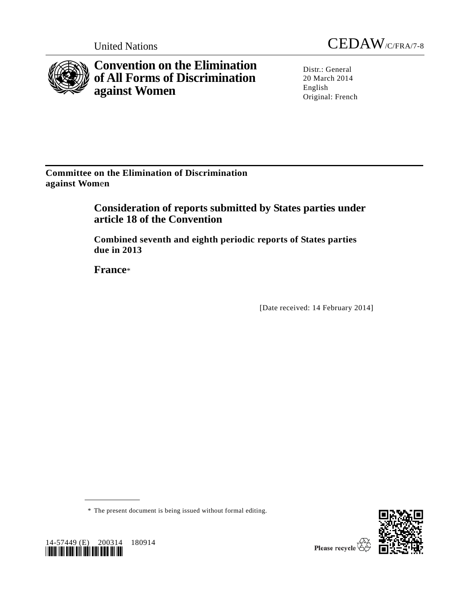

**Convention on the Elimination of All Forms of Discrimination against Women**



Distr.: General 20 March 2014 English Original: French

**Committee on the Elimination of Discrimination against Wom**e**n**

> **Consideration of reports submitted by States parties under article 18 of the Convention**

**Combined seventh and eighth periodic reports of States parties due in 2013**

**France**\*

[Date received: 14 February 2014]

<span id="page-0-0"></span>\* The present document is being issued without formal editing.

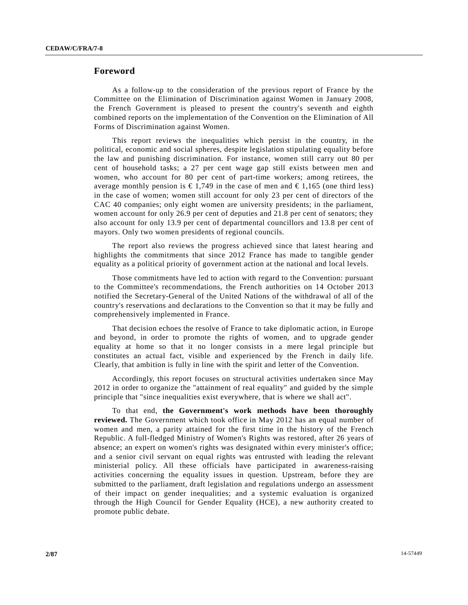# **Foreword**

As a follow-up to the consideration of the previous report of France by the Committee on the Elimination of Discrimination against Women in January 2008, the French Government is pleased to present the country's seventh and eighth combined reports on the implementation of the Convention on the Elimination of All Forms of Discrimination against Women.

This report reviews the inequalities which persist in the country, in the political, economic and social spheres, despite legislation stipulating equality before the law and punishing discrimination. For instance, women still carry out 80 per cent of household tasks; a 27 per cent wage gap still exists between men and women, who account for 80 per cent of part-time workers; among retirees, the average monthly pension is  $\epsilon$ 1,749 in the case of men and  $\epsilon$ 1,165 (one third less) in the case of women; women still account for only 23 per cent of directors of the CAC 40 companies; only eight women are university presidents; in the parliament, women account for only 26.9 per cent of deputies and 21.8 per cent of senators; they also account for only 13.9 per cent of departmental councillors and 13.8 per cent of mayors. Only two women presidents of regional councils.

The report also reviews the progress achieved since that latest hearing and highlights the commitments that since 2012 France has made to tangible gender equality as a political priority of government action at the national and local levels.

Those commitments have led to action with regard to the Convention: pursuant to the Committee's recommendations, the French authorities on 14 October 2013 notified the Secretary-General of the United Nations of the withdrawal of all of the country's reservations and declarations to the Convention so that it may be fully and comprehensively implemented in France.

That decision echoes the resolve of France to take diplomatic action, in Europe and beyond, in order to promote the rights of women, and to upgrade gender equality at home so that it no longer consists in a mere legal principle but constitutes an actual fact, visible and experienced by the French in daily life. Clearly, that ambition is fully in line with the spirit and letter of the Convention.

Accordingly, this report focuses on structural activities undertaken since May 2012 in order to organize the "attainment of real equality" and guided by the simple principle that "since inequalities exist everywhere, that is where we shall act".

To that end, **the Government's work methods have been thoroughly reviewed.** The Government which took office in May 2012 has an equal number of women and men, a parity attained for the first time in the history of the French Republic. A full-fledged Ministry of Women's Rights was restored, after 26 years of absence; an expert on women's rights was designated within every minister's office; and a senior civil servant on equal rights was entrusted with leading the relevant ministerial policy. All these officials have participated in awareness-raising activities concerning the equality issues in question. Upstream, before they are submitted to the parliament, draft legislation and regulations undergo an assessment of their impact on gender inequalities; and a systemic evaluation is organized through the High Council for Gender Equality (HCE), a new authority created to promote public debate.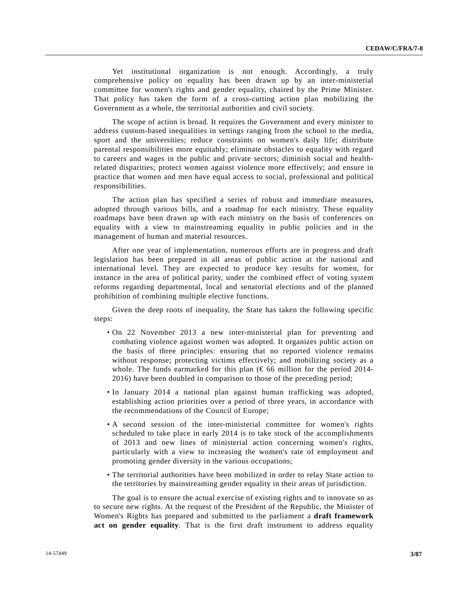Yet institutional organization is not enough. Accordingly, a truly comprehensive policy on equality has been drawn up by an inter-ministerial committee for women's rights and gender equality, chaired by the Prime Minister. That policy has taken the form of a cross-cutting action plan mobilizing the Government as a whole, the territorial authorities and civil society.

The scope of action is broad. It requires the Government and every minister to address custom-based inequalities in settings ranging from the school to the media, sport and the universities; reduce constraints on women's daily life; distribute parental responsibilities more equitably; eliminate obstacles to equality with regard to careers and wages in the public and private sectors; diminish social and healthrelated disparities; protect women against violence more effectively; and ensure in practice that women and men have equal access to social, professional and political responsibilities.

The action plan has specified a series of robust and immediate measures, adopted through various bills, and a roadmap for each ministry. These equality roadmaps have been drawn up with each ministry on the basis of conferences on equality with a view to mainstreaming equality in public policies and in the management of human and material resources.

After one year of implementation, numerous efforts are in progress and draft legislation has been prepared in all areas of public action at the national and international level. They are expected to produce key results for women, for instance in the area of political parity, under the combined effect of voting system reforms regarding departmental, local and senatorial elections and of the planned prohibition of combining multiple elective functions.

Given the deep roots of inequality, the State has taken the following specific steps:

- On 22 November 2013 a new inter-ministerial plan for preventing and combating violence against women was adopted. It organizes public action on the basis of three principles: ensuring that no reported violence remains without response; protecting victims effectively; and mobilizing society as a whole. The funds earmarked for this plan ( $\epsilon$  66 million for the period 2014-2016) have been doubled in comparison to those of the preceding period;
- In January 2014 a national plan against human trafficking was adopted, establishing action priorities over a period of three years, in accordance with the recommendations of the Council of Europe;
- A second session of the inter-ministerial committee for women's rights scheduled to take place in early 2014 is to take stock of the accomplishments of 2013 and new lines of ministerial action concerning women's rights, particularly with a view to increasing the women's rate of employment and promoting gender diversity in the various occupations;
- The territorial authorities have been mobilized in order to relay State action to the territories by mainstreaming gender equality in their areas of jurisdiction.

The goal is to ensure the actual exercise of existing rights and to innovate so as to secure new rights. At the request of the President of the Republic, the Minister of Women's Rights has prepared and submitted to the parliament a **draft framework act on gender equality**. That is the first draft instrument to address equality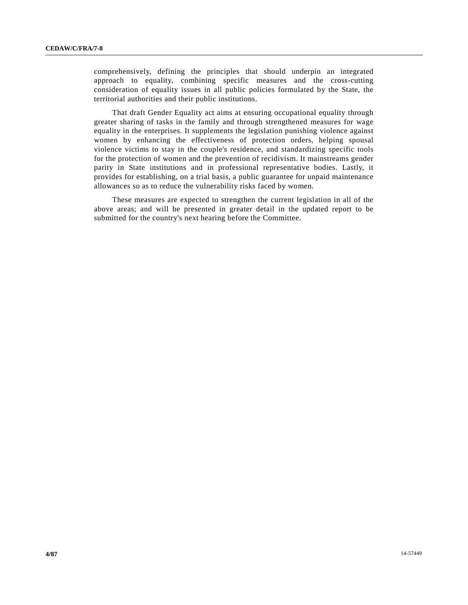comprehensively, defining the principles that should underpin an integrated approach to equality, combining specific measures and the cross-cutting consideration of equality issues in all public policies formulated by the State, the territorial authorities and their public institutions.

That draft Gender Equality act aims at ensuring occupational equality through greater sharing of tasks in the family and through strengthened measures for wage equality in the enterprises. It supplements the legislation punishing violence against women by enhancing the effectiveness of protection orders, helping spousal violence victims to stay in the couple's residence, and standardizing specific tools for the protection of women and the prevention of recidivism. It mainstreams gender parity in State institutions and in professional representative bodies. Lastly, it provides for establishing, on a trial basis, a public guarantee for unpaid maintenance allowances so as to reduce the vulnerability risks faced by women.

These measures are expected to strengthen the current legislation in all of the above areas; and will be presented in greater detail in the updated report to be submitted for the country's next hearing before the Committee.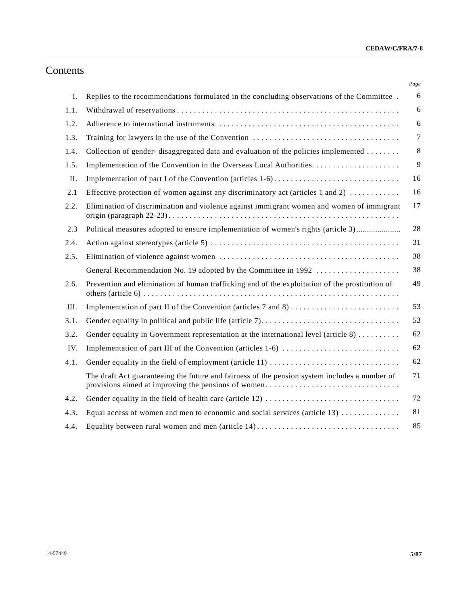# Contents

|      |                                                                                                | Page |
|------|------------------------------------------------------------------------------------------------|------|
| L.   | Replies to the recommendations formulated in the concluding observations of the Committee.     | 6    |
| 1.1. |                                                                                                | 6    |
| 1.2. |                                                                                                | 6    |
| 1.3. |                                                                                                | 7    |
| 1.4. | Collection of gender-disaggregated data and evaluation of the policies implemented             | 8    |
| 1.5. |                                                                                                | 9    |
| II.  |                                                                                                | 16   |
| 2.1  | Effective protection of women against any discriminatory act (articles 1 and 2) $\dots$        | 16   |
| 2.2. | Elimination of discrimination and violence against immigrant women and women of immigrant      | 17   |
| 2.3  | Political measures adopted to ensure implementation of women's rights (article 3)              | 28   |
| 2.4. |                                                                                                | 31   |
| 2.5. |                                                                                                | 38   |
|      | General Recommendation No. 19 adopted by the Committee in 1992                                 | 38   |
| 2.6. | Prevention and elimination of human trafficking and of the exploitation of the prostitution of | 49   |
| III. |                                                                                                | 53   |
| 3.1. |                                                                                                | 53   |
| 3.2. | Gender equality in Government representation at the international level (article $8)$          | 62   |
| IV.  |                                                                                                | 62   |
| 4.1. |                                                                                                | 62   |
|      | The draft Act guaranteeing the future and fairness of the pension system includes a number of  | 71   |
| 4.2. |                                                                                                | 72   |
| 4.3. | Equal access of women and men to economic and social services (article $13)$                   | 81   |
| 4.4. |                                                                                                | 85   |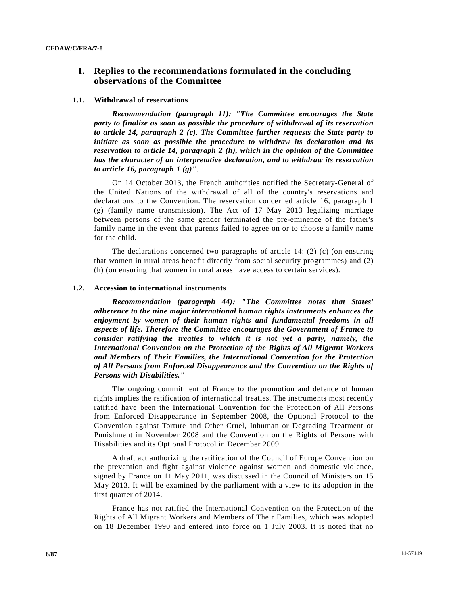# **I. Replies to the recommendations formulated in the concluding observations of the Committee**

### **1.1. Withdrawal of reservations**

*Recommendation (paragraph 11): "The Committee encourages the State party to finalize as soon as possible the procedure of withdrawal of its reservation to article 14, paragraph 2 (c). The Committee further requests the State party to initiate as soon as possible the procedure to withdraw its declaration and its reservation to article 14, paragraph 2 (h), which in the opinion of the Committee has the character of an interpretative declaration, and to withdraw its reservation to article 16, paragraph 1 (g)"*.

On 14 October 2013, the French authorities notified the Secretary-General of the United Nations of the withdrawal of all of the country's reservations and declarations to the Convention. The reservation concerned article 16, paragraph 1 (g) (family name transmission). The Act of 17 May 2013 legalizing marriage between persons of the same gender terminated the pre-eminence of the father's family name in the event that parents failed to agree on or to choose a family name for the child.

The declarations concerned two paragraphs of article 14: (2) (c) (on ensuring that women in rural areas benefit directly from social security programmes) and (2) (h) (on ensuring that women in rural areas have access to certain services).

#### **1.2. Accession to international instruments**

*Recommendation (paragraph 44): "The Committee notes that States' adherence to the nine major international human rights instruments enhances the enjoyment by women of their human rights and fundamental freedoms in all aspects of life. Therefore the Committee encourages the Government of France to consider ratifying the treaties to which it is not yet a party, namely, the International Convention on the Protection of the Rights of All Migrant Workers and Members of Their Families, the International Convention for the Protection of All Persons from Enforced Disappearance and the Convention on the Rights of Persons with Disabilities."*

The ongoing commitment of France to the promotion and defence of human rights implies the ratification of international treaties. The instruments most recently ratified have been the International Convention for the Protection of All Persons from Enforced Disappearance in September 2008, the Optional Protocol to the Convention against Torture and Other Cruel, Inhuman or Degrading Treatment or Punishment in November 2008 and the Convention on the Rights of Persons with Disabilities and its Optional Protocol in December 2009.

A draft act authorizing the ratification of the Council of Europe Convention on the prevention and fight against violence against women and domestic violence, signed by France on 11 May 2011, was discussed in the Council of Ministers on 15 May 2013. It will be examined by the parliament with a view to its adoption in the first quarter of 2014.

France has not ratified the International Convention on the Protection of the Rights of All Migrant Workers and Members of Their Families, which was adopted on 18 December 1990 and entered into force on 1 July 2003. It is noted that no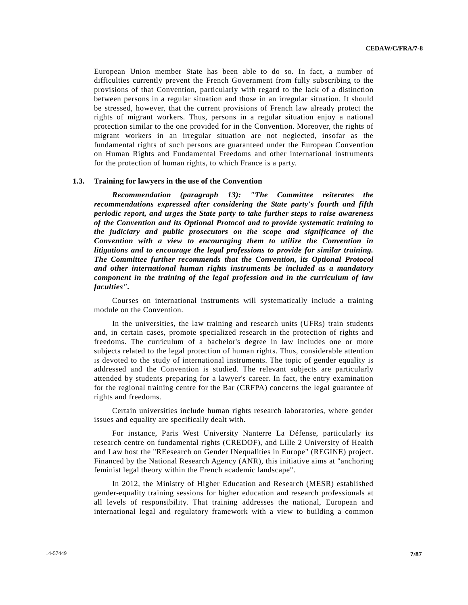European Union member State has been able to do so. In fact, a number of difficulties currently prevent the French Government from fully subscribing to the provisions of that Convention, particularly with regard to the lack of a distinction between persons in a regular situation and those in an irregular situation. It should be stressed, however, that the current provisions of French law already protect the rights of migrant workers. Thus, persons in a regular situation enjoy a national protection similar to the one provided for in the Convention. Moreover, the rights of migrant workers in an irregular situation are not neglected, insofar as the fundamental rights of such persons are guaranteed under the European Convention on Human Rights and Fundamental Freedoms and other international instruments for the protection of human rights, to which France is a party.

# **1.3. Training for lawyers in the use of the Convention**

*Recommendation (paragraph 13): "The Committee reiterates the recommendations expressed after considering the State party's fourth and fifth periodic report, and urges the State party to take further steps to raise awareness of the Convention and its Optional Protocol and to provide systematic training to the judiciary and public prosecutors on the scope and significance of the Convention with a view to encouraging them to utilize the Convention in litigations and to encourage the legal professions to provide for similar training. The Committee further recommends that the Convention, its Optional Protocol and other international human rights instruments be included as a mandatory component in the training of the legal profession and in the curriculum of law faculties".*

Courses on international instruments will systematically include a training module on the Convention.

In the universities, the law training and research units (UFRs) train students and, in certain cases, promote specialized research in the protection of rights and freedoms. The curriculum of a bachelor's degree in law includes one or more subjects related to the legal protection of human rights. Thus, considerable attention is devoted to the study of international instruments. The topic of gender equality is addressed and the Convention is studied. The relevant subjects are particularly attended by students preparing for a lawyer's career. In fact, the entry examination for the regional training centre for the Bar (CRFPA) concerns the legal guarantee of rights and freedoms.

Certain universities include human rights research laboratories, where gender issues and equality are specifically dealt with.

For instance, Paris West University Nanterre La Défense, particularly its research centre on fundamental rights (CREDOF), and Lille 2 University of Health and Law host the "REesearch on Gender INequalities in Europe" (REGINE) project. Financed by the National Research Agency (ANR), this initiative aims at "anchoring feminist legal theory within the French academic landscape".

In 2012, the Ministry of Higher Education and Research (MESR) established gender-equality training sessions for higher education and research professionals at all levels of responsibility. That training addresses the national, European and international legal and regulatory framework with a view to building a common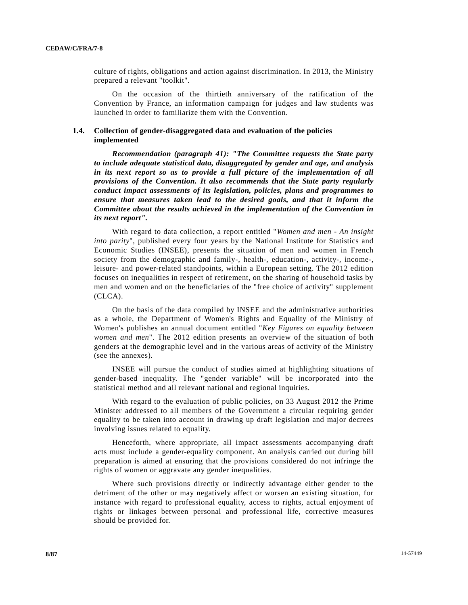culture of rights, obligations and action against discrimination. In 2013, the Ministry prepared a relevant "toolkit".

On the occasion of the thirtieth anniversary of the ratification of the Convention by France, an information campaign for judges and law students was launched in order to familiarize them with the Convention.

# **1.4. Collection of gender-disaggregated data and evaluation of the policies implemented**

*Recommendation (paragraph 41): "The Committee requests the State party to include adequate statistical data, disaggregated by gender and age, and analysis*  in its next report so as to provide a full picture of the implementation of all *provisions of the Convention. It also recommends that the State party regularly conduct impact assessments of its legislation, policies, plans and programmes to ensure that measures taken lead to the desired goals, and that it inform the Committee about the results achieved in the implementation of the Convention in its next report".*

With regard to data collection, a report entitled "*Women and men - An insight into parity*", published every four years by the National Institute for Statistics and Economic Studies (INSEE), presents the situation of men and women in French society from the demographic and family-, health-, education-, activity-, income-, leisure- and power-related standpoints, within a European setting. The 2012 edition focuses on inequalities in respect of retirement, on the sharing of household tasks by men and women and on the beneficiaries of the "free choice of activity" supplement (CLCA).

On the basis of the data compiled by INSEE and the administrative authorities as a whole, the Department of Women's Rights and Equality of the Ministry of Women's publishes an annual document entitled "*Key Figures on equality between women and men*". The 2012 edition presents an overview of the situation of both genders at the demographic level and in the various areas of activity of the Ministry (see the annexes).

INSEE will pursue the conduct of studies aimed at highlighting situations of gender-based inequality. The "gender variable" will be incorporated into the statistical method and all relevant national and regional inquiries.

With regard to the evaluation of public policies, on 33 August 2012 the Prime Minister addressed to all members of the Government a circular requiring gender equality to be taken into account in drawing up draft legislation and major decrees involving issues related to equality.

Henceforth, where appropriate, all impact assessments accompanying draft acts must include a gender-equality component. An analysis carried out during bill preparation is aimed at ensuring that the provisions considered do not infringe the rights of women or aggravate any gender inequalities.

Where such provisions directly or indirectly advantage either gender to the detriment of the other or may negatively affect or worsen an existing situation, for instance with regard to professional equality, access to rights, actual enjoyment of rights or linkages between personal and professional life, corrective measures should be provided for.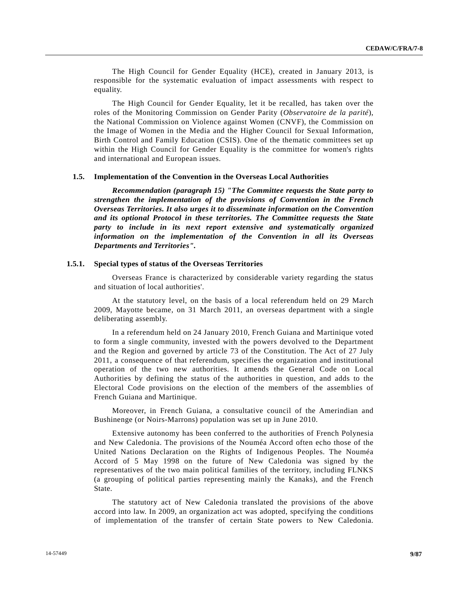The High Council for Gender Equality (HCE), created in January 2013, is responsible for the systematic evaluation of impact assessments with respect to equality.

The High Council for Gender Equality, let it be recalled, has taken over the roles of the Monitoring Commission on Gender Parity (*Observatoire de la parité*), the National Commission on Violence against Women (CNVF), the Commission on the Image of Women in the Media and the Higher Council for Sexual Information, Birth Control and Family Education (CSIS). One of the thematic committees set up within the High Council for Gender Equality is the committee for women's rights and international and European issues.

#### **1.5. Implementation of the Convention in the Overseas Local Authorities**

*Recommendation (paragraph 15) "The Committee requests the State party to strengthen the implementation of the provisions of Convention in the French Overseas Territories. It also urges it to disseminate information on the Convention and its optional Protocol in these territories. The Committee requests the State party to include in its next report extensive and systematically organized information on the implementation of the Convention in all its Overseas Departments and Territories".*

#### **1.5.1. Special types of status of the Overseas Territories**

Overseas France is characterized by considerable variety regarding the status and situation of local authorities'.

At the statutory level, on the basis of a local referendum held on 29 March 2009, Mayotte became, on 31 March 2011, an overseas department with a single deliberating assembly.

In a referendum held on 24 January 2010, French Guiana and Martinique voted to form a single community, invested with the powers devolved to the Department and the Region and governed by article 73 of the Constitution. The Act of 27 July 2011, a consequence of that referendum, specifies the organization and institutional operation of the two new authorities. It amends the General Code on Local Authorities by defining the status of the authorities in question, and adds to the Electoral Code provisions on the election of the members of the assemblies of French Guiana and Martinique.

Moreover, in French Guiana, a consultative council of the Amerindian and Bushinenge (or Noirs-Marrons) population was set up in June 2010.

Extensive autonomy has been conferred to the authorities of French Polynesia and New Caledonia. The provisions of the Nouméa Accord often echo those of the United Nations Declaration on the Rights of Indigenous Peoples. The Nouméa Accord of 5 May 1998 on the future of New Caledonia was signed by the representatives of the two main political families of the territory, including FLNKS (a grouping of political parties representing mainly the Kanaks), and the French State.

The statutory act of New Caledonia translated the provisions of the above accord into law. In 2009, an organization act was adopted, specifying the conditions of implementation of the transfer of certain State powers to New Caledonia.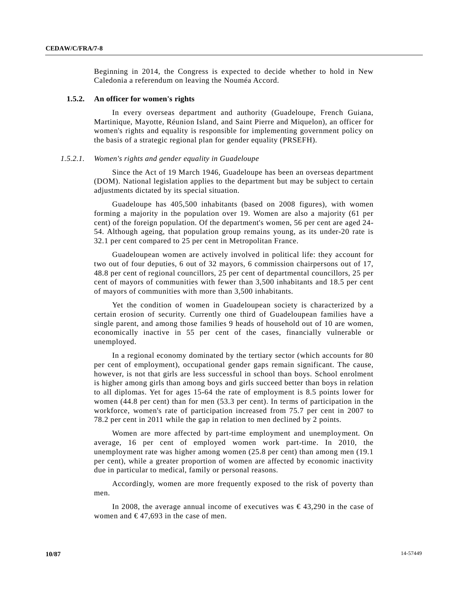Beginning in 2014, the Congress is expected to decide whether to hold in New Caledonia a referendum on leaving the Nouméa Accord.

#### **1.5.2. An officer for women's rights**

In every overseas department and authority (Guadeloupe, French Guiana, Martinique, Mayotte, Réunion Island, and Saint Pierre and Miquelon), an officer for women's rights and equality is responsible for implementing government policy on the basis of a strategic regional plan for gender equality (PRSEFH).

#### *1.5.2.1. Women's rights and gender equality in Guadeloupe*

Since the Act of 19 March 1946, Guadeloupe has been an overseas department (DOM). National legislation applies to the department but may be subject to certain adjustments dictated by its special situation.

Guadeloupe has 405,500 inhabitants (based on 2008 figures), with women forming a majority in the population over 19. Women are also a majority (61 per cent) of the foreign population. Of the department's women, 56 per cent are aged 24- 54. Although ageing, that population group remains young, as its under-20 rate is 32.1 per cent compared to 25 per cent in Metropolitan France.

Guadeloupean women are actively involved in political life: they account for two out of four deputies, 6 out of 32 mayors, 6 commission chairpersons out of 17, 48.8 per cent of regional councillors, 25 per cent of departmental councillors, 25 per cent of mayors of communities with fewer than 3,500 inhabitants and 18.5 per cent of mayors of communities with more than 3,500 inhabitants.

Yet the condition of women in Guadeloupean society is characterized by a certain erosion of security. Currently one third of Guadeloupean families have a single parent, and among those families 9 heads of household out of 10 are women, economically inactive in 55 per cent of the cases, financially vulnerable or unemployed.

In a regional economy dominated by the tertiary sector (which accounts for 80 per cent of employment), occupational gender gaps remain significant. The cause, however, is not that girls are less successful in school than boys. School enrolment is higher among girls than among boys and girls succeed better than boys in relation to all diplomas. Yet for ages 15-64 the rate of employment is 8.5 points lower for women (44.8 per cent) than for men (53.3 per cent). In terms of participation in the workforce, women's rate of participation increased from 75.7 per cent in 2007 to 78.2 per cent in 2011 while the gap in relation to men declined by 2 points.

Women are more affected by part-time employment and unemployment. On average, 16 per cent of employed women work part-time. In 2010, the unemployment rate was higher among women (25.8 per cent) than among men (19.1 per cent), while a greater proportion of women are affected by economic inactivity due in particular to medical, family or personal reasons.

Accordingly, women are more frequently exposed to the risk of poverty than men.

In 2008, the average annual income of executives was  $\epsilon$ 43,290 in the case of women and  $\text{\textsterling}47,693$  in the case of men.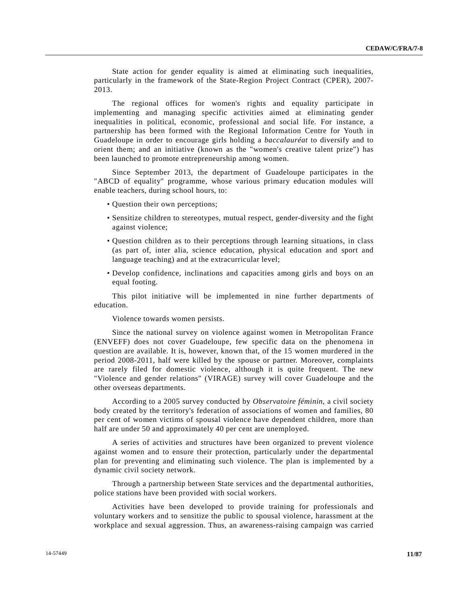State action for gender equality is aimed at eliminating such inequalities, particularly in the framework of the State-Region Project Contract (CPER), 2007- 2013.

The regional offices for women's rights and equality participate in implementing and managing specific activities aimed at eliminating gender inequalities in political, economic, professional and social life. For instance, a partnership has been formed with the Regional Information Centre for Youth in Guadeloupe in order to encourage girls holding a *baccalauréat* to diversify and to orient them; and an initiative (known as the "women's creative talent prize") has been launched to promote entrepreneurship among women.

Since September 2013, the department of Guadeloupe participates in the "ABCD of equality" programme, whose various primary education modules will enable teachers, during school hours, to:

- Question their own perceptions;
- Sensitize children to stereotypes, mutual respect, gender-diversity and the fight against violence;
- Question children as to their perceptions through learning situations, in class (as part of, inter alia, science education, physical education and sport and language teaching) and at the extracurricular level;
- Develop confidence, inclinations and capacities among girls and boys on an equal footing.

This pilot initiative will be implemented in nine further departments of education.

Violence towards women persists.

Since the national survey on violence against women in Metropolitan France (ENVEFF) does not cover Guadeloupe, few specific data on the phenomena in question are available. It is, however, known that, of the 15 women murdered in the period 2008-2011, half were killed by the spouse or partner. Moreover, complaints are rarely filed for domestic violence, although it is quite frequent. The new "Violence and gender relations" (VIRAGE) survey will cover Guadeloupe and the other overseas departments.

According to a 2005 survey conducted by *Observatoire féminin*, a civil society body created by the territory's federation of associations of women and families, 80 per cent of women victims of spousal violence have dependent children, more than half are under 50 and approximately 40 per cent are unemployed.

A series of activities and structures have been organized to prevent violence against women and to ensure their protection, particularly under the departmental plan for preventing and eliminating such violence. The plan is implemented by a dynamic civil society network.

Through a partnership between State services and the departmental authorities, police stations have been provided with social workers.

Activities have been developed to provide training for professionals and voluntary workers and to sensitize the public to spousal violence, harassment at the workplace and sexual aggression. Thus, an awareness-raising campaign was carried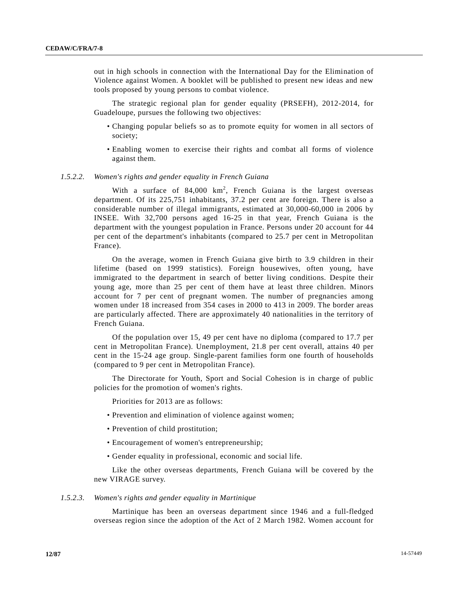out in high schools in connection with the International Day for the Elimination of Violence against Women. A booklet will be published to present new ideas and new tools proposed by young persons to combat violence.

The strategic regional plan for gender equality (PRSEFH), 2012-2014, for Guadeloupe, pursues the following two objectives:

- Changing popular beliefs so as to promote equity for women in all sectors of society;
- Enabling women to exercise their rights and combat all forms of violence against them.

#### *1.5.2.2. Women's rights and gender equality in French Guiana*

With a surface of  $84,000 \text{ km}^2$ , French Guiana is the largest overseas department. Of its 225,751 inhabitants, 37.2 per cent are foreign. There is also a considerable number of illegal immigrants, estimated at 30,000-60,000 in 2006 by INSEE. With 32,700 persons aged 16-25 in that year, French Guiana is the department with the youngest population in France. Persons under 20 account for 44 per cent of the department's inhabitants (compared to 25.7 per cent in Metropolitan France).

On the average, women in French Guiana give birth to 3.9 children in their lifetime (based on 1999 statistics). Foreign housewives, often young, have immigrated to the department in search of better living conditions. Despite their young age, more than 25 per cent of them have at least three children. Minors account for 7 per cent of pregnant women. The number of pregnancies among women under 18 increased from 354 cases in 2000 to 413 in 2009. The border areas are particularly affected. There are approximately 40 nationalities in the territory of French Guiana.

Of the population over 15, 49 per cent have no diploma (compared to 17.7 per cent in Metropolitan France). Unemployment, 21.8 per cent overall, attains 40 per cent in the 15-24 age group. Single-parent families form one fourth of households (compared to 9 per cent in Metropolitan France).

The Directorate for Youth, Sport and Social Cohesion is in charge of public policies for the promotion of women's rights.

Priorities for 2013 are as follows:

- Prevention and elimination of violence against women;
- Prevention of child prostitution;
- Encouragement of women's entrepreneurship;
- Gender equality in professional, economic and social life.

Like the other overseas departments, French Guiana will be covered by the new VIRAGE survey.

#### *1.5.2.3. Women's rights and gender equality in Martinique*

Martinique has been an overseas department since 1946 and a full-fledged overseas region since the adoption of the Act of 2 March 1982. Women account for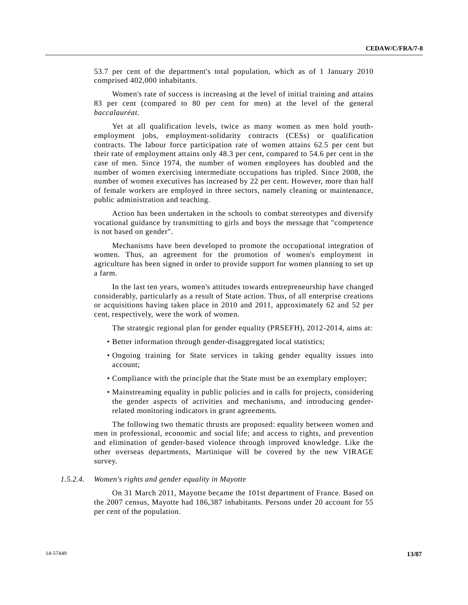53.7 per cent of the department's total population, which as of 1 January 2010 comprised 402,000 inhabitants.

Women's rate of success is increasing at the level of initial training and attains 83 per cent (compared to 80 per cent for men) at the level of the general *baccalauréat*.

Yet at all qualification levels, twice as many women as men hold youthemployment jobs, employment-solidarity contracts (CESs) or qualification contracts. The labour force participation rate of women attains 62.5 per cent but their rate of employment attains only 48.3 per cent, compared to 54.6 per cent in the case of men. Since 1974, the number of women employees has doubled and the number of women exercising intermediate occupations has tripled. Since 2008, the number of women executives has increased by 22 per cent. However, more than half of female workers are employed in three sectors, namely cleaning or maintenance, public administration and teaching.

Action has been undertaken in the schools to combat stereotypes and diversify vocational guidance by transmitting to girls and boys the message that "competence is not based on gender".

Mechanisms have been developed to promote the occupational integration of women. Thus, an agreement for the promotion of women's employment in agriculture has been signed in order to provide support for women planning to set up a farm.

In the last ten years, women's attitudes towards entrepreneurship have changed considerably, particularly as a result of State action. Thus, of all enterprise creations or acquisitions having taken place in 2010 and 2011, approximately 62 and 52 per cent, respectively, were the work of women.

The strategic regional plan for gender equality (PRSEFH), 2012-2014, aims at:

- Better information through gender-disaggregated local statistics;
- Ongoing training for State services in taking gender equality issues into account;
- Compliance with the principle that the State must be an exemplary employer;
- Mainstreaming equality in public policies and in calls for projects, considering the gender aspects of activities and mechanisms, and introducing genderrelated monitoring indicators in grant agreements.

The following two thematic thrusts are proposed: equality between women and men in professional, economic and social life; and access to rights, and prevention and elimination of gender-based violence through improved knowledge. Like the other overseas departments, Martinique will be covered by the new VIRAGE survey.

#### *1.5.2.4. Women's rights and gender equality in Mayotte*

On 31 March 2011, Mayotte became the 101st department of France. Based on the 2007 census, Mayotte had 186,387 inhabitants. Persons under 20 account for 55 per cent of the population.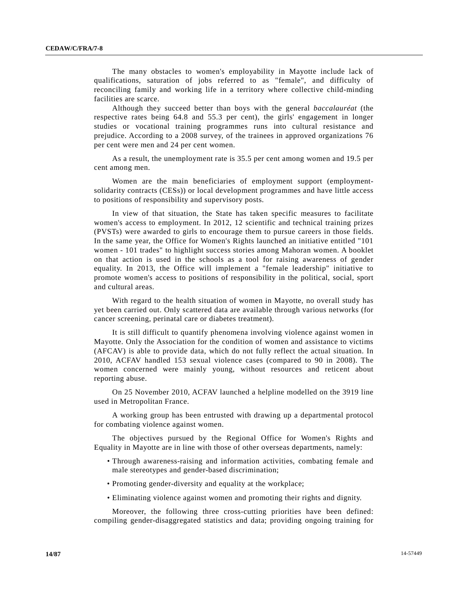The many obstacles to women's employability in Mayotte include lack of qualifications, saturation of jobs referred to as "female", and difficulty of reconciling family and working life in a territory where collective child-minding facilities are scarce.

Although they succeed better than boys with the general *baccalauréat* (the respective rates being 64.8 and 55.3 per cent), the girls' engagement in longer studies or vocational training programmes runs into cultural resistance and prejudice. According to a 2008 survey, of the trainees in approved organizations 76 per cent were men and 24 per cent women.

As a result, the unemployment rate is 35.5 per cent among women and 19.5 per cent among men.

Women are the main beneficiaries of employment support (employmentsolidarity contracts (CESs)) or local development programmes and have little access to positions of responsibility and supervisory posts.

In view of that situation, the State has taken specific measures to facilitate women's access to employment. In 2012, 12 scientific and technical training prizes (PVSTs) were awarded to girls to encourage them to pursue careers in those fields. In the same year, the Office for Women's Rights launched an initiative entitled "101 women - 101 trades" to highlight success stories among Mahoran women. A booklet on that action is used in the schools as a tool for raising awareness of gender equality. In 2013, the Office will implement a "female leadership" initiative to promote women's access to positions of responsibility in the political, social, sport and cultural areas.

With regard to the health situation of women in Mayotte, no overall study has yet been carried out. Only scattered data are available through various networks (for cancer screening, perinatal care or diabetes treatment).

It is still difficult to quantify phenomena involving violence against women in Mayotte. Only the Association for the condition of women and assistance to victims (AFCAV) is able to provide data, which do not fully reflect the actual situation. In 2010, ACFAV handled 153 sexual violence cases (compared to 90 in 2008). The women concerned were mainly young, without resources and reticent about reporting abuse.

On 25 November 2010, ACFAV launched a helpline modelled on the 3919 line used in Metropolitan France.

A working group has been entrusted with drawing up a departmental protocol for combating violence against women.

The objectives pursued by the Regional Office for Women's Rights and Equality in Mayotte are in line with those of other overseas departments, namely:

- Through awareness-raising and information activities, combating female and male stereotypes and gender-based discrimination;
- Promoting gender-diversity and equality at the workplace;
- Eliminating violence against women and promoting their rights and dignity.

Moreover, the following three cross-cutting priorities have been defined: compiling gender-disaggregated statistics and data; providing ongoing training for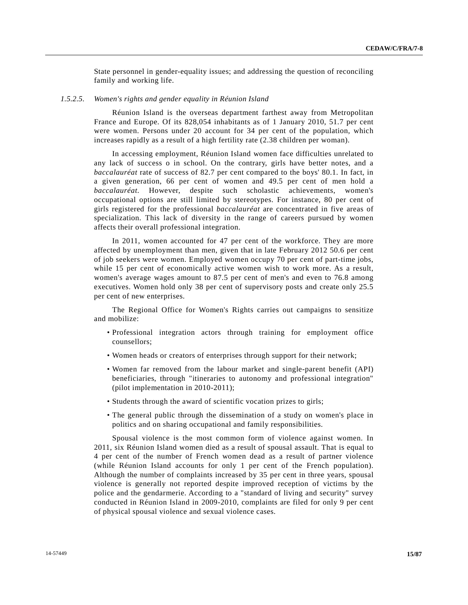State personnel in gender-equality issues; and addressing the question of reconciling family and working life.

#### *1.5.2.5. Women's rights and gender equality in Réunion Island*

Réunion Island is the overseas department farthest away from Metropolitan France and Europe. Of its 828,054 inhabitants as of 1 January 2010, 51.7 per cent were women. Persons under 20 account for 34 per cent of the population, which increases rapidly as a result of a high fertility rate (2.38 children per woman).

In accessing employment, Réunion Island women face difficulties unrelated to any lack of success o in school. On the contrary, girls have better notes, and a *baccalauréat* rate of success of 82.7 per cent compared to the boys' 80.1. In fact, in a given generation, 66 per cent of women and 49.5 per cent of men hold a *baccalauréat*. However, despite such scholastic achievements, women's occupational options are still limited by stereotypes. For instance, 80 per cent of girls registered for the professional *baccalauréat* are concentrated in five areas of specialization. This lack of diversity in the range of careers pursued by women affects their overall professional integration.

In 2011, women accounted for 47 per cent of the workforce. They are more affected by unemployment than men, given that in late February 2012 50.6 per cent of job seekers were women. Employed women occupy 70 per cent of part-time jobs, while 15 per cent of economically active women wish to work more. As a result, women's average wages amount to 87.5 per cent of men's and even to 76.8 among executives. Women hold only 38 per cent of supervisory posts and create only 25.5 per cent of new enterprises.

The Regional Office for Women's Rights carries out campaigns to sensitize and mobilize:

- Professional integration actors through training for employment office counsellors;
- Women heads or creators of enterprises through support for their network;
- Women far removed from the labour market and single-parent benefit (API) beneficiaries, through "itineraries to autonomy and professional integration" (pilot implementation in 2010-2011);
- Students through the award of scientific vocation prizes to girls;
- The general public through the dissemination of a study on women's place in politics and on sharing occupational and family responsibilities.

Spousal violence is the most common form of violence against women. In 2011, six Réunion Island women died as a result of spousal assault. That is equal to 4 per cent of the number of French women dead as a result of partner violence (while Réunion Island accounts for only 1 per cent of the French population). Although the number of complaints increased by 35 per cent in three years, spousal violence is generally not reported despite improved reception of victims by the police and the gendarmerie. According to a "standard of living and security" survey conducted in Réunion Island in 2009-2010, complaints are filed for only 9 per cent of physical spousal violence and sexual violence cases.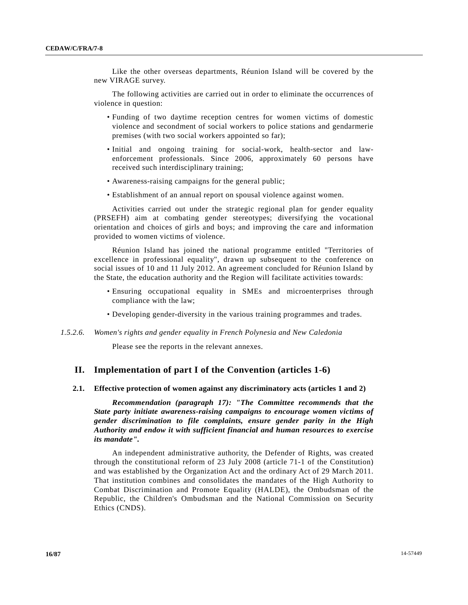Like the other overseas departments, Réunion Island will be covered by the new VIRAGE survey.

The following activities are carried out in order to eliminate the occurrences of violence in question:

- Funding of two daytime reception centres for women victims of domestic violence and secondment of social workers to police stations and gendarmerie premises (with two social workers appointed so far);
- Initial and ongoing training for social-work, health-sector and lawenforcement professionals. Since 2006, approximately 60 persons have received such interdisciplinary training;
- Awareness-raising campaigns for the general public;
- Establishment of an annual report on spousal violence against women.

Activities carried out under the strategic regional plan for gender equality (PRSEFH) aim at combating gender stereotypes; diversifying the vocational orientation and choices of girls and boys; and improving the care and information provided to women victims of violence.

Réunion Island has joined the national programme entitled "Territories of excellence in professional equality", drawn up subsequent to the conference on social issues of 10 and 11 July 2012. An agreement concluded for Réunion Island by the State, the education authority and the Region will facilitate activities towards:

- Ensuring occupational equality in SMEs and microenterprises through compliance with the law;
- Developing gender-diversity in the various training programmes and trades.

# *1.5.2.6. Women's rights and gender equality in French Polynesia and New Caledonia*

Please see the reports in the relevant annexes.

# **II. Implementation of part I of the Convention (articles 1-6)**

#### **2.1. Effective protection of women against any discriminatory acts (articles 1 and 2)**

*Recommendation (paragraph 17): "The Committee recommends that the State party initiate awareness-raising campaigns to encourage women victims of gender discrimination to file complaints, ensure gender parity in the High Authority and endow it with sufficient financial and human resources to exercise its mandate".*

An independent administrative authority, the Defender of Rights, was created through the constitutional reform of 23 July 2008 (article 71-1 of the Constitution) and was established by the Organization Act and the ordinary Act of 29 March 2011. That institution combines and consolidates the mandates of the High Authority to Combat Discrimination and Promote Equality (HALDE), the Ombudsman of the Republic, the Children's Ombudsman and the National Commission on Security Ethics (CNDS).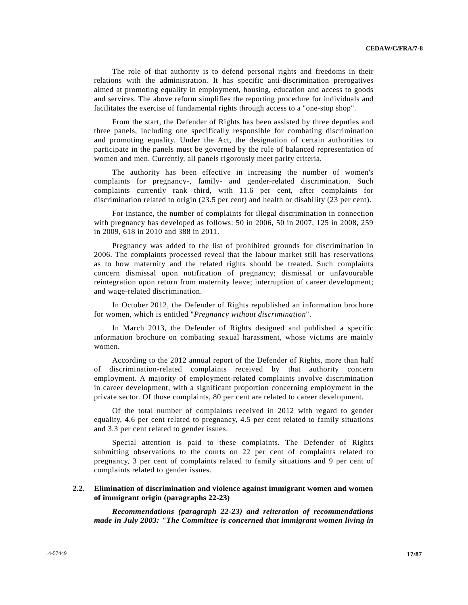The role of that authority is to defend personal rights and freedoms in their relations with the administration. It has specific anti-discrimination prerogatives aimed at promoting equality in employment, housing, education and access to goods and services. The above reform simplifies the reporting procedure for individuals and facilitates the exercise of fundamental rights through access to a "one-stop shop".

From the start, the Defender of Rights has been assisted by three deputies and three panels, including one specifically responsible for combating discrimination and promoting equality. Under the Act, the designation of certain authorities to participate in the panels must be governed by the rule of balanced representation of women and men. Currently, all panels rigorously meet parity criteria.

The authority has been effective in increasing the number of women's complaints for pregnancy-, family- and gender-related discrimination. Such complaints currently rank third, with 11.6 per cent, after complaints for discrimination related to origin (23.5 per cent) and health or disability (23 per cent).

For instance, the number of complaints for illegal discrimination in connection with pregnancy has developed as follows: 50 in 2006, 50 in 2007, 125 in 2008, 259 in 2009, 618 in 2010 and 388 in 2011.

Pregnancy was added to the list of prohibited grounds for discrimination in 2006. The complaints processed reveal that the labour market still has reservations as to how maternity and the related rights should be treated. Such complaints concern dismissal upon notification of pregnancy; dismissal or unfavourable reintegration upon return from maternity leave; interruption of career development; and wage-related discrimination.

In October 2012, the Defender of Rights republished an information brochure for women, which is entitled "*Pregnancy without discrimination*".

In March 2013, the Defender of Rights designed and published a specific information brochure on combating sexual harassment, whose victims are mainly women.

According to the 2012 annual report of the Defender of Rights, more than half of discrimination-related complaints received by that authority concern employment. A majority of employment-related complaints involve discrimination in career development, with a significant proportion concerning employment in the private sector. Of those complaints, 80 per cent are related to career development.

Of the total number of complaints received in 2012 with regard to gender equality, 4.6 per cent related to pregnancy, 4.5 per cent related to family situations and 3.3 per cent related to gender issues.

Special attention is paid to these complaints. The Defender of Rights submitting observations to the courts on 22 per cent of complaints related to pregnancy, 3 per cent of complaints related to family situations and 9 per cent of complaints related to gender issues.

# **2.2. Elimination of discrimination and violence against immigrant women and women of immigrant origin (paragraphs 22-23)**

*Recommendations (paragraph 22-23) and reiteration of recommendations made in July 2003: "The Committee is concerned that immigrant women living in*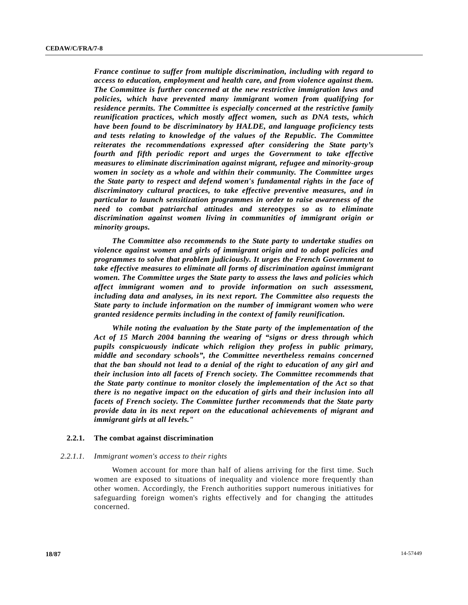*France continue to suffer from multiple discrimination, including with regard to access to education, employment and health care, and from violence against them. The Committee is further concerned at the new restrictive immigration laws and policies, which have prevented many immigrant women from qualifying for residence permits. The Committee is especially concerned at the restrictive family reunification practices, which mostly affect women, such as DNA tests, which have been found to be discriminatory by HALDE, and language proficiency tests and tests relating to knowledge of the values of the Republic. The Committee reiterates the recommendations expressed after considering the State party's fourth and fifth periodic report and urges the Government to take effective measures to eliminate discrimination against migrant, refugee and minority-group women in society as a whole and within their community. The Committee urges the State party to respect and defend women's fundamental rights in the face of discriminatory cultural practices, to take effective preventive measures, and in particular to launch sensitization programmes in order to raise awareness of the need to combat patriarchal attitudes and stereotypes so as to eliminate discrimination against women living in communities of immigrant origin or minority groups.* 

*The Committee also recommends to the State party to undertake studies on violence against women and girls of immigrant origin and to adopt policies and programmes to solve that problem judiciously. It urges the French Government to take effective measures to eliminate all forms of discrimination against immigrant women. The Committee urges the State party to assess the laws and policies which affect immigrant women and to provide information on such assessment, including data and analyses, in its next report. The Committee also requests the State party to include information on the number of immigrant women who were granted residence permits including in the context of family reunification.*

*While noting the evaluation by the State party of the implementation of the Act of 15 March 2004 banning the wearing of "signs or dress through which pupils conspicuously indicate which religion they profess in public primary, middle and secondary schools", the Committee nevertheless remains concerned that the ban should not lead to a denial of the right to education of any girl and their inclusion into all facets of French society. The Committee recommends that the State party continue to monitor closely the implementation of the Act so that there is no negative impact on the education of girls and their inclusion into all facets of French society. The Committee further recommends that the State party provide data in its next report on the educational achievements of migrant and immigrant girls at all levels."*

#### **2.2.1. The combat against discrimination**

#### *2.2.1.1. Immigrant women's access to their rights*

Women account for more than half of aliens arriving for the first time. Such women are exposed to situations of inequality and violence more frequently than other women. Accordingly, the French authorities support numerous initiatives for safeguarding foreign women's rights effectively and for changing the attitudes concerned.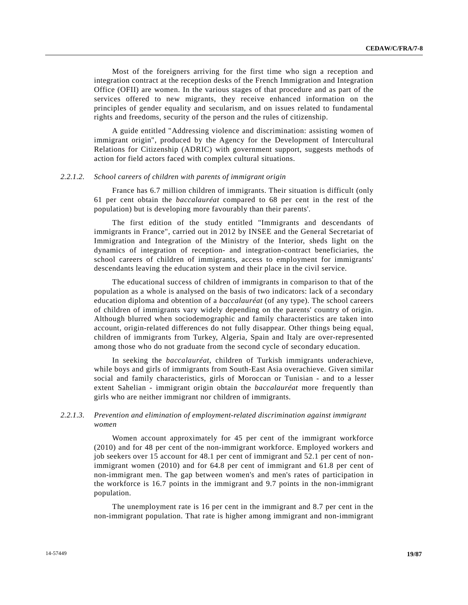Most of the foreigners arriving for the first time who sign a reception and integration contract at the reception desks of the French Immigration and Integration Office (OFII) are women. In the various stages of that procedure and as part of the services offered to new migrants, they receive enhanced information on the principles of gender equality and secularism, and on issues related to fundamental rights and freedoms, security of the person and the rules of citizenship.

A guide entitled "Addressing violence and discrimination: assisting women of immigrant origin", produced by the Agency for the Development of Intercultural Relations for Citizenship (ADRIC) with government support, suggests methods of action for field actors faced with complex cultural situations.

#### *2.2.1.2. School careers of children with parents of immigrant origin*

France has 6.7 million children of immigrants. Their situation is difficult (only 61 per cent obtain the *baccalauréat* compared to 68 per cent in the rest of the population) but is developing more favourably than their parents'.

The first edition of the study entitled "Immigrants and descendants of immigrants in France", carried out in 2012 by INSEE and the General Secretariat of Immigration and Integration of the Ministry of the Interior, sheds light on the dynamics of integration of reception- and integration-contract beneficiaries, the school careers of children of immigrants, access to employment for immigrants' descendants leaving the education system and their place in the civil service.

The educational success of children of immigrants in comparison to that of the population as a whole is analysed on the basis of two indicators: lack of a secondary education diploma and obtention of a *baccalauréat* (of any type). The school careers of children of immigrants vary widely depending on the parents' country of origin. Although blurred when sociodemographic and family characteristics are taken into account, origin-related differences do not fully disappear. Other things being equal, children of immigrants from Turkey, Algeria, Spain and Italy are over-represented among those who do not graduate from the second cycle of secondary education.

In seeking the *baccalauréat*, children of Turkish immigrants underachieve, while boys and girls of immigrants from South-East Asia overachieve. Given similar social and family characteristics, girls of Moroccan or Tunisian - and to a lesser extent Sahelian - immigrant origin obtain the *baccalauréat* more frequently than girls who are neither immigrant nor children of immigrants.

# *2.2.1.3. Prevention and elimination of employment-related discrimination against immigrant women*

Women account approximately for 45 per cent of the immigrant workforce (2010) and for 48 per cent of the non-immigrant workforce. Employed workers and job seekers over 15 account for 48.1 per cent of immigrant and 52.1 per cent of nonimmigrant women (2010) and for 64.8 per cent of immigrant and 61.8 per cent of non-immigrant men. The gap between women's and men's rates of participation in the workforce is 16.7 points in the immigrant and 9.7 points in the non-immigrant population.

The unemployment rate is 16 per cent in the immigrant and 8.7 per cent in the non-immigrant population. That rate is higher among immigrant and non-immigrant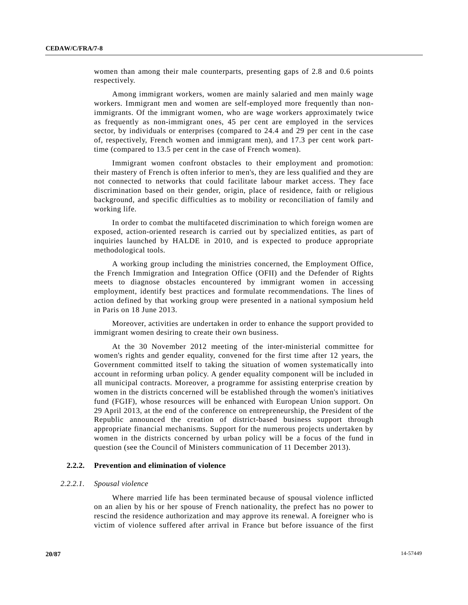women than among their male counterparts, presenting gaps of 2.8 and 0.6 points respectively.

Among immigrant workers, women are mainly salaried and men mainly wage workers. Immigrant men and women are self-employed more frequently than nonimmigrants. Of the immigrant women, who are wage workers approximately twice as frequently as non-immigrant ones, 45 per cent are employed in the services sector, by individuals or enterprises (compared to 24.4 and 29 per cent in the case of, respectively, French women and immigrant men), and 17.3 per cent work parttime (compared to 13.5 per cent in the case of French women).

Immigrant women confront obstacles to their employment and promotion: their mastery of French is often inferior to men's, they are less qualified and they are not connected to networks that could facilitate labour market access. They face discrimination based on their gender, origin, place of residence, faith or religious background, and specific difficulties as to mobility or reconciliation of family and working life.

In order to combat the multifaceted discrimination to which foreign women are exposed, action-oriented research is carried out by specialized entities, as part of inquiries launched by HALDE in 2010, and is expected to produce appropriate methodological tools.

A working group including the ministries concerned, the Employment Office, the French Immigration and Integration Office (OFII) and the Defender of Rights meets to diagnose obstacles encountered by immigrant women in accessing employment, identify best practices and formulate recommendations. The lines of action defined by that working group were presented in a national symposium held in Paris on 18 June 2013.

Moreover, activities are undertaken in order to enhance the support provided to immigrant women desiring to create their own business.

At the 30 November 2012 meeting of the inter-ministerial committee for women's rights and gender equality, convened for the first time after 12 years, the Government committed itself to taking the situation of women systematically into account in reforming urban policy. A gender equality component will be included in all municipal contracts. Moreover, a programme for assisting enterprise creation by women in the districts concerned will be established through the women's initiatives fund (FGIF), whose resources will be enhanced with European Union support. On 29 April 2013, at the end of the conference on entrepreneurship, the President of the Republic announced the creation of district-based business support through appropriate financial mechanisms. Support for the numerous projects undertaken by women in the districts concerned by urban policy will be a focus of the fund in question (see the Council of Ministers communication of 11 December 2013).

#### **2.2.2. Prevention and elimination of violence**

#### *2.2.2.1. Spousal violence*

Where married life has been terminated because of spousal violence inflicted on an alien by his or her spouse of French nationality, the prefect has no power to rescind the residence authorization and may approve its renewal. A foreigner who is victim of violence suffered after arrival in France but before issuance of the first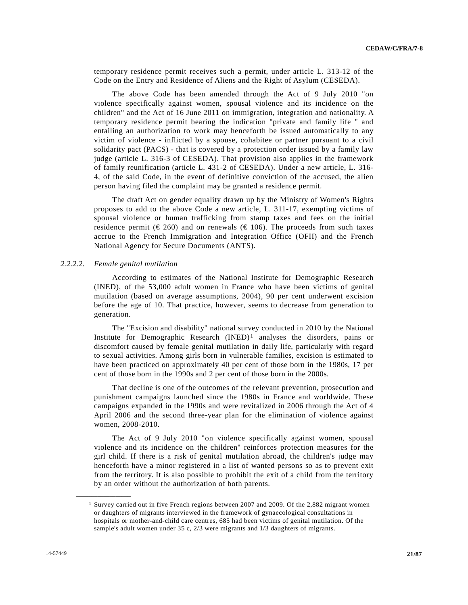temporary residence permit receives such a permit, under article L. 313-12 of the Code on the Entry and Residence of Aliens and the Right of Asylum (CESEDA).

The above Code has been amended through the Act of 9 July 2010 "on violence specifically against women, spousal violence and its incidence on the children" and the Act of 16 June 2011 on immigration, integration and nationality. A temporary residence permit bearing the indication "private and family life " and entailing an authorization to work may henceforth be issued automatically to any victim of violence - inflicted by a spouse, cohabitee or partner pursuant to a civil solidarity pact (PACS) - that is covered by a protection order issued by a family law judge (article L. 316-3 of CESEDA). That provision also applies in the framework of family reunification (article L. 431-2 of CESEDA). Under a new article, L. 316- 4, of the said Code, in the event of definitive conviction of the accused, the alien person having filed the complaint may be granted a residence permit.

The draft Act on gender equality drawn up by the Ministry of Women's Rights proposes to add to the above Code a new article, L. 311-17, exempting victims of spousal violence or human trafficking from stamp taxes and fees on the initial residence permit ( $\epsilon$  260) and on renewals ( $\epsilon$  106). The proceeds from such taxes accrue to the French Immigration and Integration Office (OFII) and the French National Agency for Secure Documents (ANTS).

#### *2.2.2.2. Female genital mutilation*

According to estimates of the National Institute for Demographic Research (INED), of the 53,000 adult women in France who have been victims of genital mutilation (based on average assumptions, 2004), 90 per cent underwent excision before the age of 10. That practice, however, seems to decrease from generation to generation.

The "Excision and disability" national survey conducted in 2010 by the National Institute for Demographic Research  $(INED)^1$  $(INED)^1$  analyses the disorders, pains or discomfort caused by female genital mutilation in daily life, particularly with regard to sexual activities. Among girls born in vulnerable families, excision is estimated to have been practiced on approximately 40 per cent of those born in the 1980s, 17 per cent of those born in the 1990s and 2 per cent of those born in the 2000s.

That decline is one of the outcomes of the relevant prevention, prosecution and punishment campaigns launched since the 1980s in France and worldwide. These campaigns expanded in the 1990s and were revitalized in 2006 through the Act of 4 April 2006 and the second three-year plan for the elimination of violence against women, 2008-2010.

The Act of 9 July 2010 "on violence specifically against women, spousal violence and its incidence on the children" reinforces protection measures for the girl child. If there is a risk of genital mutilation abroad, the children's judge may henceforth have a minor registered in a list of wanted persons so as to prevent exit from the territory. It is also possible to prohibit the exit of a child from the territory by an order without the authorization of both parents.

<span id="page-20-0"></span>**\_\_\_\_\_\_\_\_\_\_\_\_\_\_\_\_\_\_**

<sup>1</sup> Survey carried out in five French regions between 2007 and 2009. Of the 2,882 migrant women or daughters of migrants interviewed in the framework of gynaecological consultations in hospitals or mother-and-child care centres, 685 had been victims of genital mutilation. Of the sample's adult women under 35 c, 2/3 were migrants and 1/3 daughters of migrants.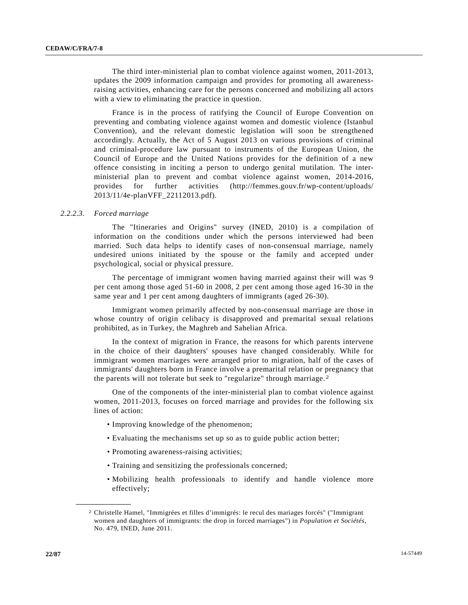The third inter-ministerial plan to combat violence against women, 2011-2013, updates the 2009 information campaign and provides for promoting all awarenessraising activities, enhancing care for the persons concerned and mobilizing all actors with a view to eliminating the practice in question.

France is in the process of ratifying the Council of Europe Convention on preventing and combating violence against women and domestic violence (Istanbul Convention), and the relevant domestic legislation will soon be strengthened accordingly. Actually, the Act of 5 August 2013 on various provisions of criminal and criminal-procedure law pursuant to instruments of the European Union, the Council of Europe and the United Nations provides for the definition of a new offence consisting in inciting a person to undergo genital mutilation. The interministerial plan to prevent and combat violence against women, 2014-2016, provides for further activities (http://femmes.gouv.fr/wp-content/uploads/ 2013/11/4e-planVFF\_22112013.pdf).

### *2.2.2.3. Forced marriage*

**\_\_\_\_\_\_\_\_\_\_\_\_\_\_\_\_\_\_**

The "Itineraries and Origins" survey (INED, 2010) is a compilation of information on the conditions under which the persons interviewed had been married. Such data helps to identify cases of non-consensual marriage, namely undesired unions initiated by the spouse or the family and accepted under psychological, social or physical pressure.

The percentage of immigrant women having married against their will was 9 per cent among those aged 51-60 in 2008, 2 per cent among those aged 16-30 in the same year and 1 per cent among daughters of immigrants (aged 26-30).

Immigrant women primarily affected by non-consensual marriage are those in whose country of origin celibacy is disapproved and premarital sexual relations prohibited, as in Turkey, the Maghreb and Sahelian Africa.

In the context of migration in France, the reasons for which parents intervene in the choice of their daughters' spouses have changed considerably. While for immigrant women marriages were arranged prior to migration, half of the cases of immigrants' daughters born in France involve a premarital relation or pregnancy that the parents will not tolerate but seek to "regularize" through marriage.<sup>[2](#page-20-0)</sup>

One of the components of the inter-ministerial plan to combat violence against women, 2011-2013, focuses on forced marriage and provides for the following six lines of action:

- Improving knowledge of the phenomenon;
- Evaluating the mechanisms set up so as to guide public action better;
- Promoting awareness-raising activities;
- Training and sensitizing the professionals concerned;
- Mobilizing health professionals to identify and handle violence more effectively;

<sup>2</sup> Christelle Hamel, "Immigrées et filles d'immigrés: le recul des mariages forcés" ("Immigrant women and daughters of immigrants: the drop in forced marriages") in *Population et Sociétés*, No. 479, INED, June 2011.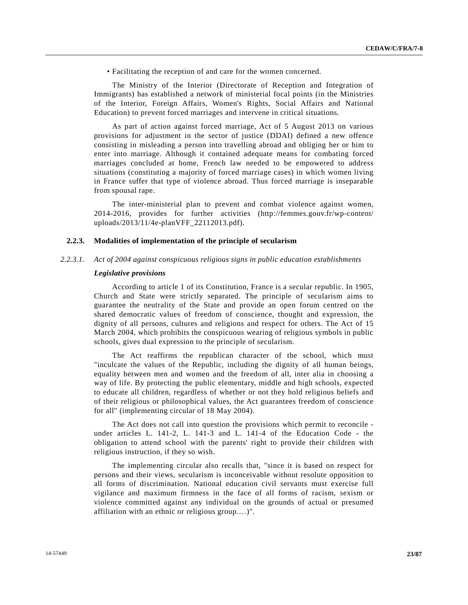• Facilitating the reception of and care for the women concerned.

The Ministry of the Interior (Directorate of Reception and Integration of Immigrants) has established a network of ministerial focal points (in the Ministries of the Interior, Foreign Affairs, Women's Rights, Social Affairs and National Education) to prevent forced marriages and intervene in critical situations.

As part of action against forced marriage, Act of 5 August 2013 on various provisions for adjustment in the sector of justice (DDAI) defined a new offence consisting in misleading a person into travelling abroad and obliging her or him to enter into marriage. Although it contained adequate means for combating forced marriages concluded at home, French law needed to be empowered to address situations (constituting a majority of forced marriage cases) in which women living in France suffer that type of violence abroad. Thus forced marriage is inseparable from spousal rape.

The inter-ministerial plan to prevent and combat violence against women, 2014-2016, provides for further activities (http://femmes.gouv.fr/wp-content/ uploads/2013/11/4e-planVFF\_22112013.pdf).

#### **2.2.3. Modalities of implementation of the principle of secularism**

# *2.2.3.1. Act of 2004 against conspicuous religious signs in public education establishments*

#### *Legislative provisions*

According to article 1 of its Constitution, France is a secular republic. In 1905, Church and State were strictly separated. The principle of secularism aims to guarantee the neutrality of the State and provide an open forum centred on the shared democratic values of freedom of conscience, thought and expression, the dignity of all persons, cultures and religions and respect for others. The Act of 15 March 2004, which prohibits the conspicuous wearing of religious symbols in public schools, gives dual expression to the principle of secularism.

The Act reaffirms the republican character of the school, which must "inculcate the values of the Republic, including the dignity of all human beings, equality between men and women and the freedom of all, inter alia in choosing a way of life. By protecting the public elementary, middle and high schools, expected to educate all children, regardless of whether or not they hold religious beliefs and of their religious or philosophical values, the Act guarantees freedom of conscience for all" (implementing circular of 18 May 2004).

The Act does not call into question the provisions which permit to reconcile under articles L. 141-2, L. 141-3 and L. 141-4 of the Education Code - the obligation to attend school with the parents' right to provide their children with religious instruction, if they so wish.

The implementing circular also recalls that, "since it is based on respect for persons and their views, secularism is inconceivable without resolute opposition to all forms of discrimination. National education civil servants must exercise full vigilance and maximum firmness in the face of all forms of racism, sexism or violence committed against any individual on the grounds of actual or presumed affiliation with an ethnic or religious group.…)".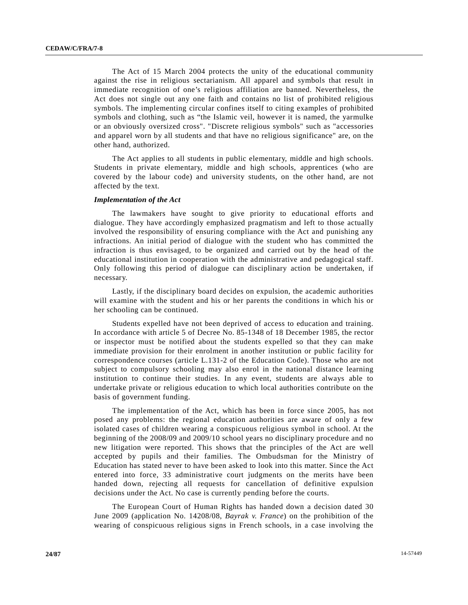The Act of 15 March 2004 protects the unity of the educational community against the rise in religious sectarianism. All apparel and symbols that result in immediate recognition of one's religious affiliation are banned. Nevertheless, the Act does not single out any one faith and contains no list of prohibited religious symbols. The implementing circular confines itself to citing examples of prohibited symbols and clothing, such as "the Islamic veil, however it is named, the yarmulke or an obviously oversized cross". "Discrete religious symbols" such as "accessories and apparel worn by all students and that have no religious significance" are, on the other hand, authorized.

The Act applies to all students in public elementary, middle and high schools. Students in private elementary, middle and high schools, apprentices (who are covered by the labour code) and university students, on the other hand, are not affected by the text.

#### *Implementation of the Act*

The lawmakers have sought to give priority to educational efforts and dialogue. They have accordingly emphasized pragmatism and left to those actually involved the responsibility of ensuring compliance with the Act and punishing any infractions. An initial period of dialogue with the student who has committed the infraction is thus envisaged, to be organized and carried out by the head of the educational institution in cooperation with the administrative and pedagogical staff. Only following this period of dialogue can disciplinary action be undertaken, if necessary.

Lastly, if the disciplinary board decides on expulsion, the academic authorities will examine with the student and his or her parents the conditions in which his or her schooling can be continued.

Students expelled have not been deprived of access to education and training. In accordance with article 5 of Decree No. 85-1348 of 18 December 1985, the rector or inspector must be notified about the students expelled so that they can make immediate provision for their enrolment in another institution or public facility for correspondence courses (article L.131-2 of the Education Code). Those who are not subject to compulsory schooling may also enrol in the national distance learning institution to continue their studies. In any event, students are always able to undertake private or religious education to which local authorities contribute on the basis of government funding.

The implementation of the Act, which has been in force since 2005, has not posed any problems: the regional education authorities are aware of only a few isolated cases of children wearing a conspicuous religious symbol in school. At the beginning of the 2008/09 and 2009/10 school years no disciplinary procedure and no new litigation were reported. This shows that the principles of the Act are well accepted by pupils and their families. The Ombudsman for the Ministry of Education has stated never to have been asked to look into this matter. Since the Act entered into force, 33 administrative court judgments on the merits have been handed down, rejecting all requests for cancellation of definitive expulsion decisions under the Act. No case is currently pending before the courts.

The European Court of Human Rights has handed down a decision dated 30 June 2009 (application No. 14208/08, *Bayrak v. France*) on the prohibition of the wearing of conspicuous religious signs in French schools, in a case involving the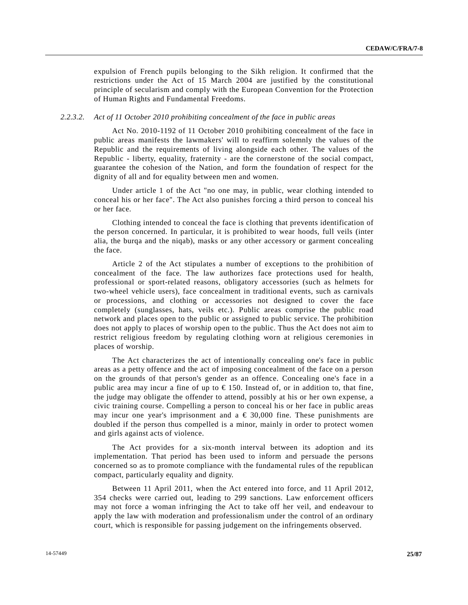expulsion of French pupils belonging to the Sikh religion. It confirmed that the restrictions under the Act of 15 March 2004 are justified by the constitutional principle of secularism and comply with the European Convention for the Protection of Human Rights and Fundamental Freedoms.

#### *2.2.3.2. Act of 11 October 2010 prohibiting concealment of the face in public areas*

Act No. 2010-1192 of 11 October 2010 prohibiting concealment of the face in public areas manifests the lawmakers' will to reaffirm solemnly the values of the Republic and the requirements of living alongside each other. The values of the Republic - liberty, equality, fraternity - are the cornerstone of the social compact, guarantee the cohesion of the Nation, and form the foundation of respect for the dignity of all and for equality between men and women.

Under article 1 of the Act "no one may, in public, wear clothing intended to conceal his or her face". The Act also punishes forcing a third person to conceal his or her face.

Clothing intended to conceal the face is clothing that prevents identification of the person concerned. In particular, it is prohibited to wear hoods, full veils (inter alia, the burqa and the niqab), masks or any other accessory or garment concealing the face.

Article 2 of the Act stipulates a number of exceptions to the prohibition of concealment of the face. The law authorizes face protections used for health, professional or sport-related reasons, obligatory accessories (such as helmets for two-wheel vehicle users), face concealment in traditional events, such as carnivals or processions, and clothing or accessories not designed to cover the face completely (sunglasses, hats, veils etc.). Public areas comprise the public road network and places open to the public or assigned to public service. The prohibition does not apply to places of worship open to the public. Thus the Act does not aim to restrict religious freedom by regulating clothing worn at religious ceremonies in places of worship.

The Act characterizes the act of intentionally concealing one's face in public areas as a petty offence and the act of imposing concealment of the face on a person on the grounds of that person's gender as an offence. Concealing one's face in a public area may incur a fine of up to  $\in$  150. Instead of, or in addition to, that fine, the judge may obligate the offender to attend, possibly at his or her own expense, a civic training course. Compelling a person to conceal his or her face in public areas may incur one year's imprisonment and a  $\epsilon$  30,000 fine. These punishments are doubled if the person thus compelled is a minor, mainly in order to protect women and girls against acts of violence.

The Act provides for a six-month interval between its adoption and its implementation. That period has been used to inform and persuade the persons concerned so as to promote compliance with the fundamental rules of the republican compact, particularly equality and dignity.

Between 11 April 2011, when the Act entered into force, and 11 April 2012, 354 checks were carried out, leading to 299 sanctions. Law enforcement officers may not force a woman infringing the Act to take off her veil, and endeavour to apply the law with moderation and professionalism under the control of an ordinary court, which is responsible for passing judgement on the infringements observed.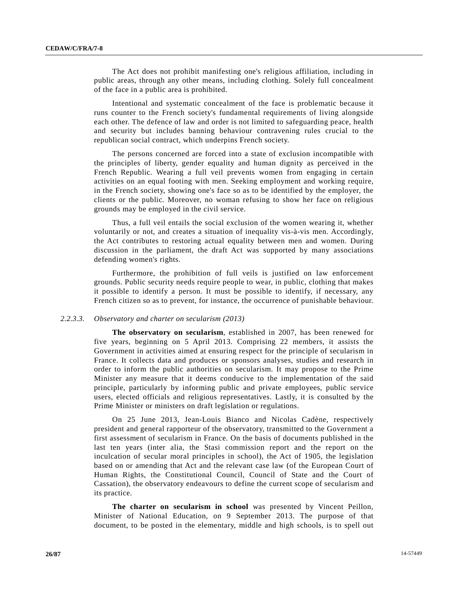The Act does not prohibit manifesting one's religious affiliation, including in public areas, through any other means, including clothing. Solely full concealment of the face in a public area is prohibited.

Intentional and systematic concealment of the face is problematic because it runs counter to the French society's fundamental requirements of living alongside each other. The defence of law and order is not limited to safeguarding peace, health and security but includes banning behaviour contravening rules crucial to the republican social contract, which underpins French society.

The persons concerned are forced into a state of exclusion incompatible with the principles of liberty, gender equality and human dignity as perceived in the French Republic. Wearing a full veil prevents women from engaging in certain activities on an equal footing with men. Seeking employment and working require, in the French society, showing one's face so as to be identified by the employer, the clients or the public. Moreover, no woman refusing to show her face on religious grounds may be employed in the civil service.

Thus, a full veil entails the social exclusion of the women wearing it, whether voluntarily or not, and creates a situation of inequality vis-à-vis men. Accordingly, the Act contributes to restoring actual equality between men and women. During discussion in the parliament, the draft Act was supported by many associations defending women's rights.

Furthermore, the prohibition of full veils is justified on law enforcement grounds. Public security needs require people to wear, in public, clothing that makes it possible to identify a person. It must be possible to identify, if necessary, any French citizen so as to prevent, for instance, the occurrence of punishable behaviour.

#### *2.2.3.3. Observatory and charter on secularism (2013)*

**The observatory on secularism**, established in 2007, has been renewed for five years, beginning on 5 April 2013. Comprising 22 members, it assists the Government in activities aimed at ensuring respect for the principle of secularism in France. It collects data and produces or sponsors analyses, studies and research in order to inform the public authorities on secularism. It may propose to the Prime Minister any measure that it deems conducive to the implementation of the said principle, particularly by informing public and private employees, public service users, elected officials and religious representatives. Lastly, it is consulted by the Prime Minister or ministers on draft legislation or regulations.

On 25 June 2013, Jean-Louis Bianco and Nicolas Cadène, respectively president and general rapporteur of the observatory, transmitted to the Government a first assessment of secularism in France. On the basis of documents published in the last ten years (inter alia, the Stasi commission report and the report on the inculcation of secular moral principles in school), the Act of 1905, the legislation based on or amending that Act and the relevant case law (of the European Court of Human Rights, the Constitutional Council, Council of State and the Court of Cassation), the observatory endeavours to define the current scope of secularism and its practice.

**The charter on secularism in school** was presented by Vincent Peillon, Minister of National Education, on 9 September 2013. The purpose of that document, to be posted in the elementary, middle and high schools, is to spell out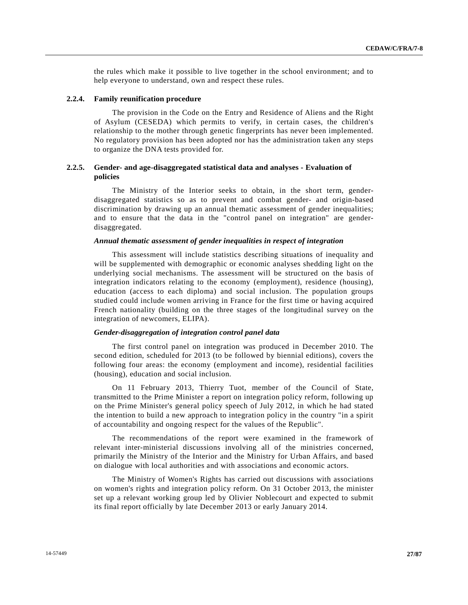the rules which make it possible to live together in the school environment; and to help everyone to understand, own and respect these rules.

### **2.2.4. Family reunification procedure**

The provision in the Code on the Entry and Residence of Aliens and the Right of Asylum (CESEDA) which permits to verify, in certain cases, the children's relationship to the mother through genetic fingerprints has never been implemented. No regulatory provision has been adopted nor has the administration taken any steps to organize the DNA tests provided for.

# **2.2.5. Gender- and age-disaggregated statistical data and analyses - Evaluation of policies**

The Ministry of the Interior seeks to obtain, in the short term, genderdisaggregated statistics so as to prevent and combat gender- and origin-based discrimination by drawing up an annual thematic assessment of gender inequalities; and to ensure that the data in the "control panel on integration" are genderdisaggregated.

#### *Annual thematic assessment of gender inequalities in respect of integration*

This assessment will include statistics describing situations of inequality and will be supplemented with demographic or economic analyses shedding light on the underlying social mechanisms. The assessment will be structured on the basis of integration indicators relating to the economy (employment), residence (housing), education (access to each diploma) and social inclusion. The population groups studied could include women arriving in France for the first time or having acquired French nationality (building on the three stages of the longitudinal survey on the integration of newcomers, ELIPA).

#### *Gender-disaggregation of integration control panel data*

The first control panel on integration was produced in December 2010. The second edition, scheduled for 2013 (to be followed by biennial editions), covers the following four areas: the economy (employment and income), residential facilities (housing), education and social inclusion.

On 11 February 2013, Thierry Tuot, member of the Council of State, transmitted to the Prime Minister a report on integration policy reform, following up on the Prime Minister's general policy speech of July 2012, in which he had stated the intention to build a new approach to integration policy in the country "in a spirit of accountability and ongoing respect for the values of the Republic".

The recommendations of the report were examined in the framework of relevant inter-ministerial discussions involving all of the ministries concerned, primarily the Ministry of the Interior and the Ministry for Urban Affairs, and based on dialogue with local authorities and with associations and economic actors.

The Ministry of Women's Rights has carried out discussions with associations on women's rights and integration policy reform. On 31 October 2013, the minister set up a relevant working group led by Olivier Noblecourt and expected to submit its final report officially by late December 2013 or early January 2014.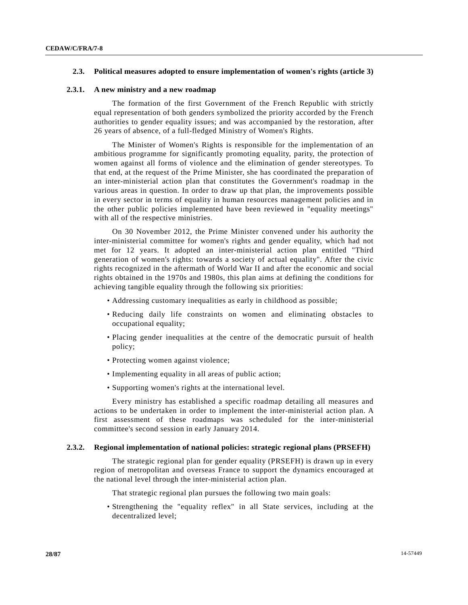# **2.3. Political measures adopted to ensure implementation of women's rights (article 3)**

#### **2.3.1. A new ministry and a new roadmap**

The formation of the first Government of the French Republic with strictly equal representation of both genders symbolized the priority accorded by the French authorities to gender equality issues; and was accompanied by the restoration, after 26 years of absence, of a full-fledged Ministry of Women's Rights.

The Minister of Women's Rights is responsible for the implementation of an ambitious programme for significantly promoting equality, parity, the protection of women against all forms of violence and the elimination of gender stereotypes. To that end, at the request of the Prime Minister, she has coordinated the preparation of an inter-ministerial action plan that constitutes the Government's roadmap in the various areas in question. In order to draw up that plan, the improvements possible in every sector in terms of equality in human resources management policies and in the other public policies implemented have been reviewed in "equality meetings" with all of the respective ministries.

On 30 November 2012, the Prime Minister convened under his authority the inter-ministerial committee for women's rights and gender equality, which had not met for 12 years. It adopted an inter-ministerial action plan entitled "Third generation of women's rights: towards a society of actual equality". After the civic rights recognized in the aftermath of World War II and after the economic and social rights obtained in the 1970s and 1980s, this plan aims at defining the conditions for achieving tangible equality through the following six priorities:

- Addressing customary inequalities as early in childhood as possible;
- Reducing daily life constraints on women and eliminating obstacles to occupational equality;
- Placing gender inequalities at the centre of the democratic pursuit of health policy;
- Protecting women against violence;
- Implementing equality in all areas of public action;
- Supporting women's rights at the international level.

Every ministry has established a specific roadmap detailing all measures and actions to be undertaken in order to implement the inter-ministerial action plan. A first assessment of these roadmaps was scheduled for the inter-ministerial committee's second session in early January 2014.

#### **2.3.2. Regional implementation of national policies: strategic regional plans (PRSEFH)**

The strategic regional plan for gender equality (PRSEFH) is drawn up in every region of metropolitan and overseas France to support the dynamics encouraged at the national level through the inter-ministerial action plan.

That strategic regional plan pursues the following two main goals:

• Strengthening the "equality reflex" in all State services, including at the decentralized level;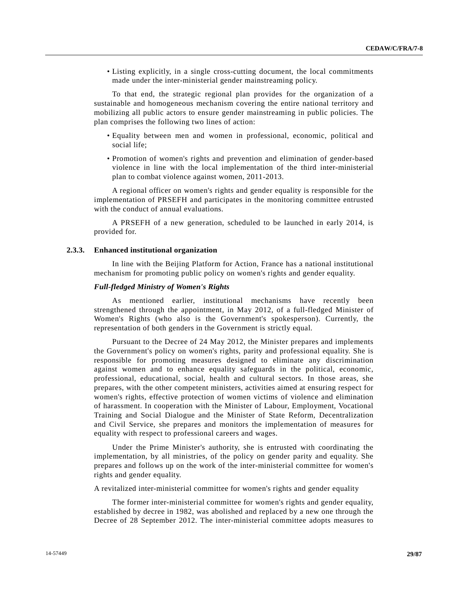• Listing explicitly, in a single cross-cutting document, the local commitments made under the inter-ministerial gender mainstreaming policy.

To that end, the strategic regional plan provides for the organization of a sustainable and homogeneous mechanism covering the entire national territory and mobilizing all public actors to ensure gender mainstreaming in public policies. The plan comprises the following two lines of action:

- Equality between men and women in professional, economic, political and social life;
- Promotion of women's rights and prevention and elimination of gender-based violence in line with the local implementation of the third inter-ministerial plan to combat violence against women, 2011-2013.

A regional officer on women's rights and gender equality is responsible for the implementation of PRSEFH and participates in the monitoring committee entrusted with the conduct of annual evaluations.

A PRSEFH of a new generation, scheduled to be launched in early 2014, is provided for.

#### **2.3.3. Enhanced institutional organization**

In line with the Beijing Platform for Action, France has a national institutional mechanism for promoting public policy on women's rights and gender equality.

### *Full-fledged Ministry of Women's Rights*

As mentioned earlier, institutional mechanisms have recently been strengthened through the appointment, in May 2012, of a full-fledged Minister of Women's Rights (who also is the Government's spokesperson). Currently, the representation of both genders in the Government is strictly equal.

Pursuant to the Decree of 24 May 2012, the Minister prepares and implements the Government's policy on women's rights, parity and professional equality. She is responsible for promoting measures designed to eliminate any discrimination against women and to enhance equality safeguards in the political, economic, professional, educational, social, health and cultural sectors. In those areas, she prepares, with the other competent ministers, activities aimed at ensuring respect for women's rights, effective protection of women victims of violence and elimination of harassment. In cooperation with the Minister of Labour, Employment, Vocational Training and Social Dialogue and the Minister of State Reform, Decentralization and Civil Service, she prepares and monitors the implementation of measures for equality with respect to professional careers and wages.

Under the Prime Minister's authority, she is entrusted with coordinating the implementation, by all ministries, of the policy on gender parity and equality. She prepares and follows up on the work of the inter-ministerial committee for women's rights and gender equality.

A revitalized inter-ministerial committee for women's rights and gender equality

The former inter-ministerial committee for women's rights and gender equality, established by decree in 1982, was abolished and replaced by a new one through the Decree of 28 September 2012. The inter-ministerial committee adopts measures to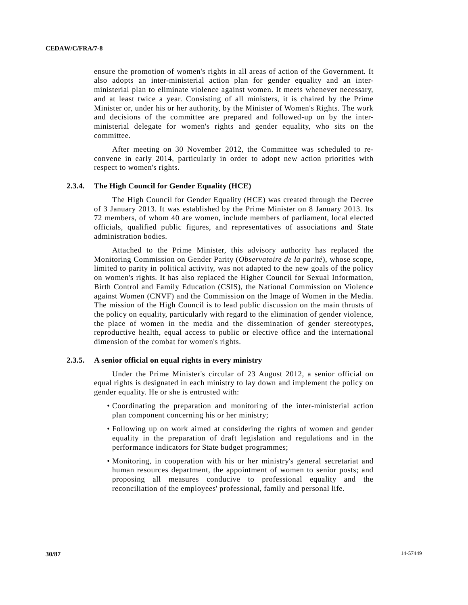ensure the promotion of women's rights in all areas of action of the Government. It also adopts an inter-ministerial action plan for gender equality and an interministerial plan to eliminate violence against women. It meets whenever necessary, and at least twice a year. Consisting of all ministers, it is chaired by the Prime Minister or, under his or her authority, by the Minister of Women's Rights. The work and decisions of the committee are prepared and followed-up on by the interministerial delegate for women's rights and gender equality, who sits on the committee.

After meeting on 30 November 2012, the Committee was scheduled to reconvene in early 2014, particularly in order to adopt new action priorities with respect to women's rights.

# **2.3.4. The High Council for Gender Equality (HCE)**

The High Council for Gender Equality (HCE) was created through the Decree of 3 January 2013. It was established by the Prime Minister on 8 January 2013. Its 72 members, of whom 40 are women, include members of parliament, local elected officials, qualified public figures, and representatives of associations and State administration bodies.

Attached to the Prime Minister, this advisory authority has replaced the Monitoring Commission on Gender Parity (*Observatoire de la parité*), whose scope, limited to parity in political activity, was not adapted to the new goals of the policy on women's rights. It has also replaced the Higher Council for Sexual Information, Birth Control and Family Education (CSIS), the National Commission on Violence against Women (CNVF) and the Commission on the Image of Women in the Media. The mission of the High Council is to lead public discussion on the main thrusts of the policy on equality, particularly with regard to the elimination of gender violence, the place of women in the media and the dissemination of gender stereotypes, reproductive health, equal access to public or elective office and the international dimension of the combat for women's rights.

## **2.3.5. A senior official on equal rights in every ministry**

Under the Prime Minister's circular of 23 August 2012, a senior official on equal rights is designated in each ministry to lay down and implement the policy on gender equality. He or she is entrusted with:

- Coordinating the preparation and monitoring of the inter-ministerial action plan component concerning his or her ministry;
- Following up on work aimed at considering the rights of women and gender equality in the preparation of draft legislation and regulations and in the performance indicators for State budget programmes;
- Monitoring, in cooperation with his or her ministry's general secretariat and human resources department, the appointment of women to senior posts; and proposing all measures conducive to professional equality and the reconciliation of the employees' professional, family and personal life.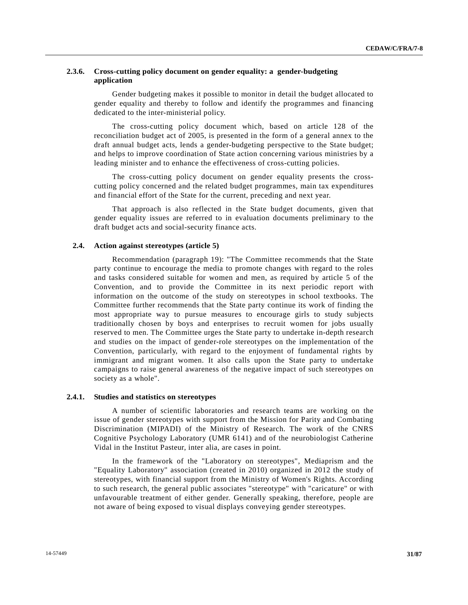# **2.3.6. Cross-cutting policy document on gender equality: a gender-budgeting application**

Gender budgeting makes it possible to monitor in detail the budget allocated to gender equality and thereby to follow and identify the programmes and financing dedicated to the inter-ministerial policy.

The cross-cutting policy document which, based on article 128 of the reconciliation budget act of 2005, is presented in the form of a general annex to the draft annual budget acts, lends a gender-budgeting perspective to the State budget; and helps to improve coordination of State action concerning various ministries by a leading minister and to enhance the effectiveness of cross-cutting policies.

The cross-cutting policy document on gender equality presents the crosscutting policy concerned and the related budget programmes, main tax expenditures and financial effort of the State for the current, preceding and next year.

That approach is also reflected in the State budget documents, given that gender equality issues are referred to in evaluation documents preliminary to the draft budget acts and social-security finance acts.

#### **2.4. Action against stereotypes (article 5)**

Recommendation (paragraph 19): "The Committee recommends that the State party continue to encourage the media to promote changes with regard to the roles and tasks considered suitable for women and men, as required by article 5 of the Convention, and to provide the Committee in its next periodic report with information on the outcome of the study on stereotypes in school textbooks. The Committee further recommends that the State party continue its work of finding the most appropriate way to pursue measures to encourage girls to study subjects traditionally chosen by boys and enterprises to recruit women for jobs usually reserved to men. The Committee urges the State party to undertake in-depth research and studies on the impact of gender-role stereotypes on the implementation of the Convention, particularly, with regard to the enjoyment of fundamental rights by immigrant and migrant women. It also calls upon the State party to undertake campaigns to raise general awareness of the negative impact of such stereotypes on society as a whole".

#### **2.4.1. Studies and statistics on stereotypes**

A number of scientific laboratories and research teams are working on the issue of gender stereotypes with support from the Mission for Parity and Combating Discrimination (MIPADI) of the Ministry of Research. The work of the CNRS Cognitive Psychology Laboratory (UMR 6141) and of the neurobiologist Catherine Vidal in the Institut Pasteur, inter alia, are cases in point.

In the framework of the "Laboratory on stereotypes", Mediaprism and the "Equality Laboratory" association (created in 2010) organized in 2012 the study of stereotypes, with financial support from the Ministry of Women's Rights. According to such research, the general public associates "stereotype" with "caricature" or with unfavourable treatment of either gender. Generally speaking, therefore, people are not aware of being exposed to visual displays conveying gender stereotypes.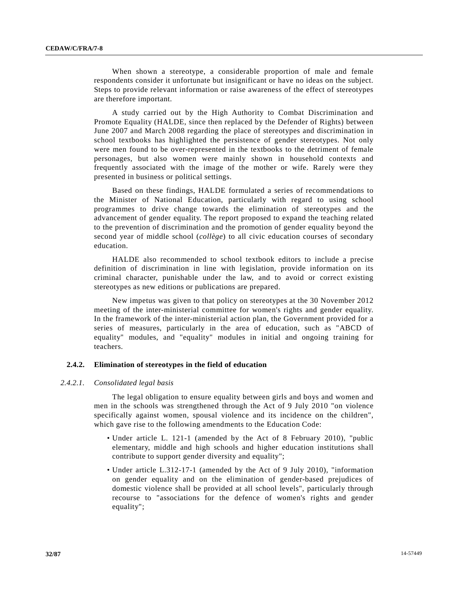When shown a stereotype, a considerable proportion of male and female respondents consider it unfortunate but insignificant or have no ideas on the subject. Steps to provide relevant information or raise awareness of the effect of stereotypes are therefore important.

A study carried out by the High Authority to Combat Discrimination and Promote Equality (HALDE, since then replaced by the Defender of Rights) between June 2007 and March 2008 regarding the place of stereotypes and discrimination in school textbooks has highlighted the persistence of gender stereotypes. Not only were men found to be over-represented in the textbooks to the detriment of female personages, but also women were mainly shown in household contexts and frequently associated with the image of the mother or wife. Rarely were they presented in business or political settings.

Based on these findings, HALDE formulated a series of recommendations to the Minister of National Education, particularly with regard to using school programmes to drive change towards the elimination of stereotypes and the advancement of gender equality. The report proposed to expand the teaching related to the prevention of discrimination and the promotion of gender equality beyond the second year of middle school (*collège*) to all civic education courses of secondary education.

HALDE also recommended to school textbook editors to include a precise definition of discrimination in line with legislation, provide information on its criminal character, punishable under the law, and to avoid or correct existing stereotypes as new editions or publications are prepared.

New impetus was given to that policy on stereotypes at the 30 November 2012 meeting of the inter-ministerial committee for women's rights and gender equality. In the framework of the inter-ministerial action plan, the Government provided for a series of measures, particularly in the area of education, such as "ABCD of equality" modules, and "equality" modules in initial and ongoing training for teachers.

### **2.4.2. Elimination of stereotypes in the field of education**

#### *2.4.2.1. Consolidated legal basis*

The legal obligation to ensure equality between girls and boys and women and men in the schools was strengthened through the Act of 9 July 2010 "on violence specifically against women, spousal violence and its incidence on the children", which gave rise to the following amendments to the Education Code:

- Under article L. 121-1 (amended by the Act of 8 February 2010), "public elementary, middle and high schools and higher education institutions shall contribute to support gender diversity and equality";
- Under article L.312-17-1 (amended by the Act of 9 July 2010), "information on gender equality and on the elimination of gender-based prejudices of domestic violence shall be provided at all school levels", particularly through recourse to "associations for the defence of women's rights and gender equality";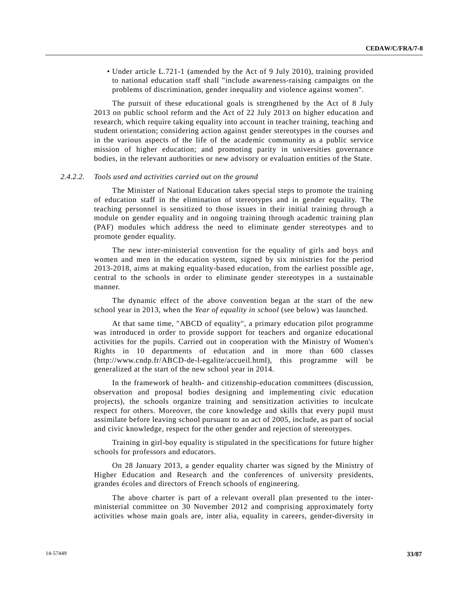• Under article L.721-1 (amended by the Act of 9 July 2010), training provided to national education staff shall "include awareness-raising campaigns on the problems of discrimination, gender inequality and violence against women".

The pursuit of these educational goals is strengthened by the Act of 8 July 2013 on public school reform and the Act of 22 July 2013 on higher education and research, which require taking equality into account in teacher training, teaching and student orientation; considering action against gender stereotypes in the courses and in the various aspects of the life of the academic community as a public service mission of higher education; and promoting parity in universities governance bodies, in the relevant authorities or new advisory or evaluation entities of the State.

#### *2.4.2.2. Tools used and activities carried out on the ground*

The Minister of National Education takes special steps to promote the training of education staff in the elimination of stereotypes and in gender equality. The teaching personnel is sensitized to those issues in their initial training through a module on gender equality and in ongoing training through academic training plan (PAF) modules which address the need to eliminate gender stereotypes and to promote gender equality.

The new inter-ministerial convention for the equality of girls and boys and women and men in the education system, signed by six ministries for the period 2013-2018, aims at making equality-based education, from the earliest possible age, central to the schools in order to eliminate gender stereotypes in a sustainable manner.

The dynamic effect of the above convention began at the start of the new school year in 2013, when the *Year of equality in school* (see below) was launched.

At that same time, "ABCD of equality", a primary education pilot programme was introduced in order to provide support for teachers and organize educational activities for the pupils. Carried out in cooperation with the Ministry of Women's Rights in 10 departments of education and in more than 600 classes (http://www.cndp.fr/ABCD-de-l-egalite/accueil.html), this programme will be generalized at the start of the new school year in 2014.

In the framework of health- and citizenship-education committees (discussion, observation and proposal bodies designing and implementing civic education projects), the schools organize training and sensitization activities to inculcate respect for others. Moreover, the core knowledge and skills that every pupil must assimilate before leaving school pursuant to an act of 2005, include, as part of social and civic knowledge, respect for the other gender and rejection of stereotypes.

Training in girl-boy equality is stipulated in the specifications for future higher schools for professors and educators.

On 28 January 2013, a gender equality charter was signed by the Ministry of Higher Education and Research and the conferences of university presidents, grandes écoles and directors of French schools of engineering.

The above charter is part of a relevant overall plan presented to the interministerial committee on 30 November 2012 and comprising approximately forty activities whose main goals are, inter alia, equality in careers, gender-diversity in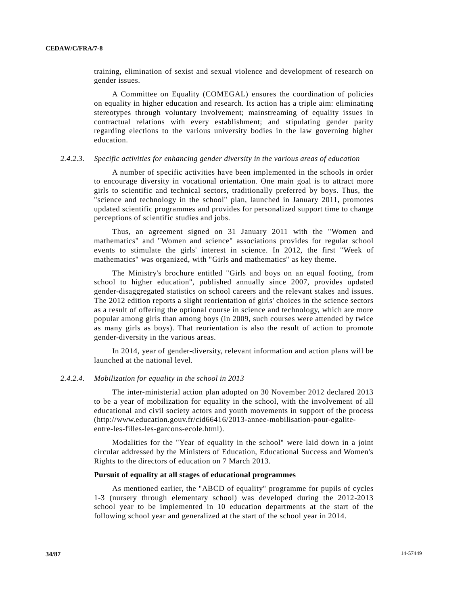training, elimination of sexist and sexual violence and development of research on gender issues.

A Committee on Equality (COMEGAL) ensures the coordination of policies on equality in higher education and research. Its action has a triple aim: eliminating stereotypes through voluntary involvement; mainstreaming of equality issues in contractual relations with every establishment; and stipulating gender parity regarding elections to the various university bodies in the law governing higher education.

#### *2.4.2.3. Specific activities for enhancing gender diversity in the various areas of education*

A number of specific activities have been implemented in the schools in order to encourage diversity in vocational orientation. One main goal is to attract more girls to scientific and technical sectors, traditionally preferred by boys. Thus, the "science and technology in the school" plan, launched in January 2011, promotes updated scientific programmes and provides for personalized support time to change perceptions of scientific studies and jobs.

Thus, an agreement signed on 31 January 2011 with the "Women and mathematics" and "Women and science" associations provides for regular school events to stimulate the girls' interest in science. In 2012, the first "Week of mathematics" was organized, with "Girls and mathematics" as key theme.

The Ministry's brochure entitled "Girls and boys on an equal footing, from school to higher education", published annually since 2007, provides updated gender-disaggregated statistics on school careers and the relevant stakes and issues. The 2012 edition reports a slight reorientation of girls' choices in the science sectors as a result of offering the optional course in science and technology, which are more popular among girls than among boys (in 2009, such courses were attended by twice as many girls as boys). That reorientation is also the result of action to promote gender-diversity in the various areas.

In 2014, year of gender-diversity, relevant information and action plans will be launched at the national level.

#### *2.4.2.4. Mobilization for equality in the school in 2013*

The inter-ministerial action plan adopted on 30 November 2012 declared 2013 to be a year of mobilization for equality in the school, with the involvement of all educational and civil society actors and youth movements in support of the process (http://www.education.gouv.fr/cid66416/2013-annee-mobilisation-pour-egaliteentre-les-filles-les-garcons-ecole.html).

Modalities for the "Year of equality in the school" were laid down in a joint circular addressed by the Ministers of Education, Educational Success and Women's Rights to the directors of education on 7 March 2013.

# **Pursuit of equality at all stages of educational programmes**

As mentioned earlier, the "ABCD of equality" programme for pupils of cycles 1-3 (nursery through elementary school) was developed during the 2012-2013 school year to be implemented in 10 education departments at the start of the following school year and generalized at the start of the school year in 2014.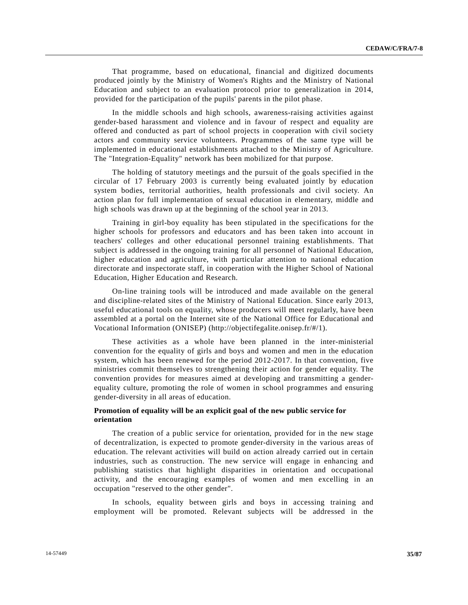That programme, based on educational, financial and digitized documents produced jointly by the Ministry of Women's Rights and the Ministry of National Education and subject to an evaluation protocol prior to generalization in 2014, provided for the participation of the pupils' parents in the pilot phase.

In the middle schools and high schools, awareness-raising activities against gender-based harassment and violence and in favour of respect and equality are offered and conducted as part of school projects in cooperation with civil society actors and community service volunteers. Programmes of the same type will be implemented in educational establishments attached to the Ministry of Agriculture. The "Integration-Equality" network has been mobilized for that purpose.

The holding of statutory meetings and the pursuit of the goals specified in the circular of 17 February 2003 is currently being evaluated jointly by education system bodies, territorial authorities, health professionals and civil society. An action plan for full implementation of sexual education in elementary, middle and high schools was drawn up at the beginning of the school year in 2013.

Training in girl-boy equality has been stipulated in the specifications for the higher schools for professors and educators and has been taken into account in teachers' colleges and other educational personnel training establishments. That subject is addressed in the ongoing training for all personnel of National Education, higher education and agriculture, with particular attention to national education directorate and inspectorate staff, in cooperation with the Higher School of National Education, Higher Education and Research.

On-line training tools will be introduced and made available on the general and discipline-related sites of the Ministry of National Education. Since early 2013, useful educational tools on equality, whose producers will meet regularly, have been assembled at a portal on the Internet site of the National Office for Educational and Vocational Information (ONISEP) (http://objectifegalite.onisep.fr/#/1).

These activities as a whole have been planned in the inter-ministerial convention for the equality of girls and boys and women and men in the education system, which has been renewed for the period 2012-2017. In that convention, five ministries commit themselves to strengthening their action for gender equality. The convention provides for measures aimed at developing and transmitting a genderequality culture, promoting the role of women in school programmes and ensuring gender-diversity in all areas of education.

# **Promotion of equality will be an explicit goal of the new public service for orientation**

The creation of a public service for orientation, provided for in the new stage of decentralization, is expected to promote gender-diversity in the various areas of education. The relevant activities will build on action already carried out in certain industries, such as construction. The new service will engage in enhancing and publishing statistics that highlight disparities in orientation and occupational activity, and the encouraging examples of women and men excelling in an occupation "reserved to the other gender".

In schools, equality between girls and boys in accessing training and employment will be promoted. Relevant subjects will be addressed in the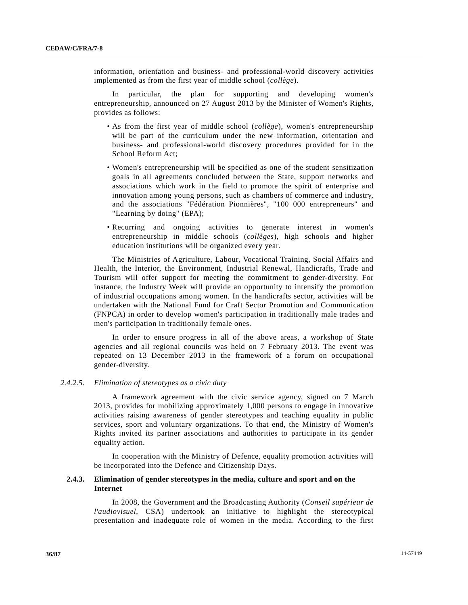information, orientation and business- and professional-world discovery activities implemented as from the first year of middle school (*collège*).

In particular, the plan for supporting and developing women's entrepreneurship, announced on 27 August 2013 by the Minister of Women's Rights, provides as follows:

- As from the first year of middle school (*collège*), women's entrepreneurship will be part of the curriculum under the new information, orientation and business- and professional-world discovery procedures provided for in the School Reform Act;
- Women's entrepreneurship will be specified as one of the student sensitization goals in all agreements concluded between the State, support networks and associations which work in the field to promote the spirit of enterprise and innovation among young persons, such as chambers of commerce and industry, and the associations "Fédération Pionnières", "100 000 entrepreneurs" and "Learning by doing" (EPA);
- Recurring and ongoing activities to generate interest in women's entrepreneurship in middle schools (*collèges*), high schools and higher education institutions will be organized every year.

The Ministries of Agriculture, Labour, Vocational Training, Social Affairs and Health, the Interior, the Environment, Industrial Renewal, Handicrafts, Trade and Tourism will offer support for meeting the commitment to gender-diversity. For instance, the Industry Week will provide an opportunity to intensify the promotion of industrial occupations among women. In the handicrafts sector, activities will be undertaken with the National Fund for Craft Sector Promotion and Communication (FNPCA) in order to develop women's participation in traditionally male trades and men's participation in traditionally female ones.

In order to ensure progress in all of the above areas, a workshop of State agencies and all regional councils was held on 7 February 2013. The event was repeated on 13 December 2013 in the framework of a forum on occupational gender-diversity.

#### *2.4.2.5. Elimination of stereotypes as a civic duty*

A framework agreement with the civic service agency, signed on 7 March 2013, provides for mobilizing approximately 1,000 persons to engage in innovative activities raising awareness of gender stereotypes and teaching equality in public services, sport and voluntary organizations. To that end, the Ministry of Women's Rights invited its partner associations and authorities to participate in its gender equality action.

In cooperation with the Ministry of Defence, equality promotion activities will be incorporated into the Defence and Citizenship Days.

# **2.4.3. Elimination of gender stereotypes in the media, culture and sport and on the Internet**

In 2008, the Government and the Broadcasting Authority (*Conseil supérieur de l'audiovisuel*, CSA) undertook an initiative to highlight the stereotypical presentation and inadequate role of women in the media. According to the first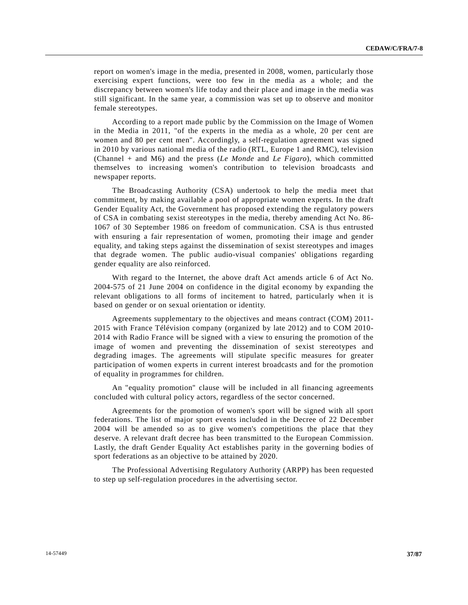report on women's image in the media, presented in 2008, women, particularly those exercising expert functions, were too few in the media as a whole; and the discrepancy between women's life today and their place and image in the media was still significant. In the same year, a commission was set up to observe and monitor female stereotypes.

According to a report made public by the Commission on the Image of Women in the Media in 2011, "of the experts in the media as a whole, 20 per cent are women and 80 per cent men". Accordingly, a self-regulation agreement was signed in 2010 by various national media of the radio (RTL, Europe 1 and RMC), television (Channel + and M6) and the press (*Le Monde* and *Le Figaro*), which committed themselves to increasing women's contribution to television broadcasts and newspaper reports.

The Broadcasting Authority (CSA) undertook to help the media meet that commitment, by making available a pool of appropriate women experts. In the draft Gender Equality Act, the Government has proposed extending the regulatory powers of CSA in combating sexist stereotypes in the media, thereby amending Act No. 86- 1067 of 30 September 1986 on freedom of communication. CSA is thus entrusted with ensuring a fair representation of women, promoting their image and gender equality, and taking steps against the dissemination of sexist stereotypes and images that degrade women. The public audio-visual companies' obligations regarding gender equality are also reinforced.

With regard to the Internet, the above draft Act amends article 6 of Act No. 2004-575 of 21 June 2004 on confidence in the digital economy by expanding the relevant obligations to all forms of incitement to hatred, particularly when it is based on gender or on sexual orientation or identity.

Agreements supplementary to the objectives and means contract (COM) 2011- 2015 with France Télévision company (organized by late 2012) and to COM 2010- 2014 with Radio France will be signed with a view to ensuring the promotion of the image of women and preventing the dissemination of sexist stereotypes and degrading images. The agreements will stipulate specific measures for greater participation of women experts in current interest broadcasts and for the promotion of equality in programmes for children.

An "equality promotion" clause will be included in all financing agreements concluded with cultural policy actors, regardless of the sector concerned.

Agreements for the promotion of women's sport will be signed with all sport federations. The list of major sport events included in the Decree of 22 December 2004 will be amended so as to give women's competitions the place that they deserve. A relevant draft decree has been transmitted to the European Commission. Lastly, the draft Gender Equality Act establishes parity in the governing bodies of sport federations as an objective to be attained by 2020.

The Professional Advertising Regulatory Authority (ARPP) has been requested to step up self-regulation procedures in the advertising sector.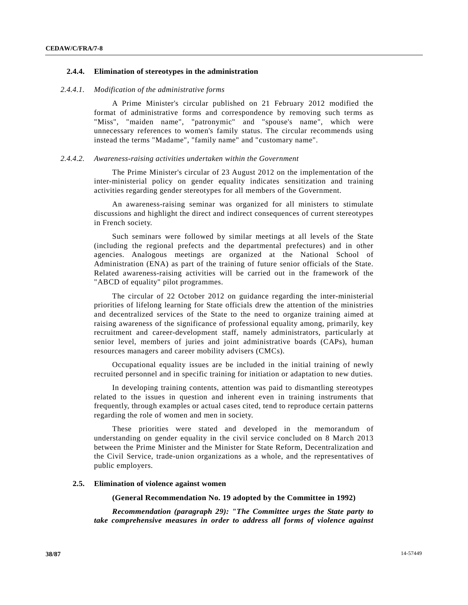### **2.4.4. Elimination of stereotypes in the administration**

# *2.4.4.1. Modification of the administrative forms*

A Prime Minister's circular published on 21 February 2012 modified the format of administrative forms and correspondence by removing such terms as "Miss", "maiden name", "patronymic" and "spouse's name", which were unnecessary references to women's family status. The circular recommends using instead the terms "Madame", "family name" and "customary name".

#### *2.4.4.2. Awareness-raising activities undertaken within the Government*

The Prime Minister's circular of 23 August 2012 on the implementation of the inter-ministerial policy on gender equality indicates sensitization and training activities regarding gender stereotypes for all members of the Government.

An awareness-raising seminar was organized for all ministers to stimulate discussions and highlight the direct and indirect consequences of current stereotypes in French society.

Such seminars were followed by similar meetings at all levels of the State (including the regional prefects and the departmental prefectures) and in other agencies. Analogous meetings are organized at the National School of Administration (ENA) as part of the training of future senior officials of the State. Related awareness-raising activities will be carried out in the framework of the "ABCD of equality" pilot programmes.

The circular of 22 October 2012 on guidance regarding the inter-ministerial priorities of lifelong learning for State officials drew the attention of the ministries and decentralized services of the State to the need to organize training aimed at raising awareness of the significance of professional equality among, primarily, key recruitment and career-development staff, namely administrators, particularly at senior level, members of juries and joint administrative boards (CAPs), human resources managers and career mobility advisers (CMCs).

Occupational equality issues are be included in the initial training of newly recruited personnel and in specific training for initiation or adaptation to new duties.

In developing training contents, attention was paid to dismantling stereotypes related to the issues in question and inherent even in training instruments that frequently, through examples or actual cases cited, tend to reproduce certain patterns regarding the role of women and men in society.

These priorities were stated and developed in the memorandum of understanding on gender equality in the civil service concluded on 8 March 2013 between the Prime Minister and the Minister for State Reform, Decentralization and the Civil Service, trade-union organizations as a whole, and the representatives of public employers.

### **2.5. Elimination of violence against women**

**(General Recommendation No. 19 adopted by the Committee in 1992)**

*Recommendation (paragraph 29): "The Committee urges the State party to take comprehensive measures in order to address all forms of violence against*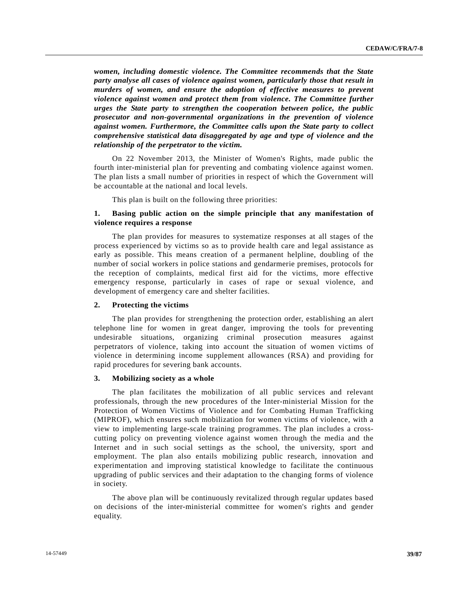*women, including domestic violence. The Committee recommends that the State party analyse all cases of violence against women, particularly those that result in murders of women, and ensure the adoption of effective measures to prevent violence against women and protect them from violence. The Committee further urges the State party to strengthen the cooperation between police, the public prosecutor and non-governmental organizations in the prevention of violence against women. Furthermore, the Committee calls upon the State party to collect comprehensive statistical data disaggregated by age and type of violence and the relationship of the perpetrator to the victim.*

On 22 November 2013, the Minister of Women's Rights, made public the fourth inter-ministerial plan for preventing and combating violence against women. The plan lists a small number of priorities in respect of which the Government will be accountable at the national and local levels.

This plan is built on the following three priorities:

# **1. Basing public action on the simple principle that any manifestation of violence requires a response**

The plan provides for measures to systematize responses at all stages of the process experienced by victims so as to provide health care and legal assistance as early as possible. This means creation of a permanent helpline, doubling of the number of social workers in police stations and gendarmerie premises, protocols for the reception of complaints, medical first aid for the victims, more effective emergency response, particularly in cases of rape or sexual violence, and development of emergency care and shelter facilities.

### **2. Protecting the victims**

The plan provides for strengthening the protection order, establishing an alert telephone line for women in great danger, improving the tools for preventing undesirable situations, organizing criminal prosecution measures against perpetrators of violence, taking into account the situation of women victims of violence in determining income supplement allowances (RSA) and providing for rapid procedures for severing bank accounts.

### **3. Mobilizing society as a whole**

The plan facilitates the mobilization of all public services and relevant professionals, through the new procedures of the Inter-ministerial Mission for the Protection of Women Victims of Violence and for Combating Human Trafficking (MIPROF), which ensures such mobilization for women victims of violence, with a view to implementing large-scale training programmes. The plan includes a crosscutting policy on preventing violence against women through the media and the Internet and in such social settings as the school, the university, sport and employment. The plan also entails mobilizing public research, innovation and experimentation and improving statistical knowledge to facilitate the continuous upgrading of public services and their adaptation to the changing forms of violence in society.

The above plan will be continuously revitalized through regular updates based on decisions of the inter-ministerial committee for women's rights and gender equality.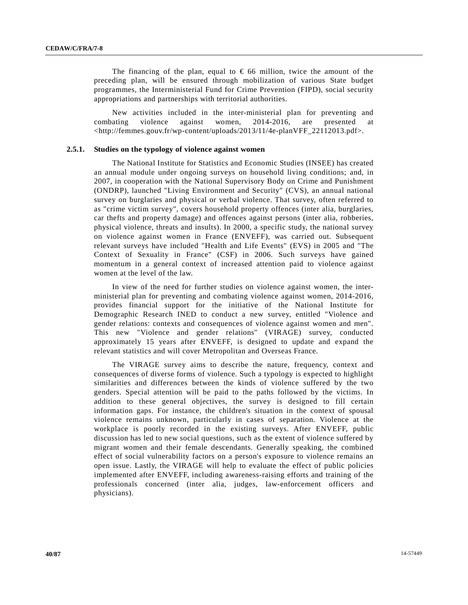The financing of the plan, equal to  $\epsilon$  66 million, twice the amount of the preceding plan, will be ensured through mobilization of various State budget programmes, the Interministerial Fund for Crime Prevention (FIPD), social security appropriations and partnerships with territorial authorities.

New activities included in the inter-ministerial plan for preventing and combating violence against women, 2014-2016, are presented at <http://femmes.gouv.fr/wp-content/uploads/2013/11/4e-planVFF\_22112013.pdf>.

#### **2.5.1. Studies on the typology of violence against women**

The National Institute for Statistics and Economic Studies (INSEE) has created an annual module under ongoing surveys on household living conditions; and, in 2007, in cooperation with the National Supervisory Body on Crime and Punishment (ONDRP), launched "Living Environment and Security" (CVS), an annual national survey on burglaries and physical or verbal violence. That survey, often referred to as "crime victim survey", covers household property offences (inter alia, burglaries, car thefts and property damage) and offences against persons (inter alia, robberies, physical violence, threats and insults). In 2000, a specific study, the national survey on violence against women in France (ENVEFF), was carried out. Subsequent relevant surveys have included "Health and Life Events" (EVS) in 2005 and "The Context of Sexuality in France" (CSF) in 2006. Such surveys have gained momentum in a general context of increased attention paid to violence against women at the level of the law.

In view of the need for further studies on violence against women, the interministerial plan for preventing and combating violence against women, 2014-2016, provides financial support for the initiative of the National Institute for Demographic Research INED to conduct a new survey, entitled "Violence and gender relations: contexts and consequences of violence against women and men". This new "Violence and gender relations" (VIRAGE) survey, conducted approximately 15 years after ENVEFF, is designed to update and expand the relevant statistics and will cover Metropolitan and Overseas France.

The VIRAGE survey aims to describe the nature, frequency, context and consequences of diverse forms of violence. Such a typology is expected to highlight similarities and differences between the kinds of violence suffered by the two genders. Special attention will be paid to the paths followed by the victims. In addition to these general objectives, the survey is designed to fill certain information gaps. For instance, the children's situation in the context of spousal violence remains unknown, particularly in cases of separation. Violence at the workplace is poorly recorded in the existing surveys. After ENVEFF, public discussion has led to new social questions, such as the extent of violence suffered by migrant women and their female descendants. Generally speaking, the combined effect of social vulnerability factors on a person's exposure to violence remains an open issue. Lastly, the VIRAGE will help to evaluate the effect of public policies implemented after ENVEFF, including awareness-raising efforts and training of the professionals concerned (inter alia, judges, law-enforcement officers and physicians).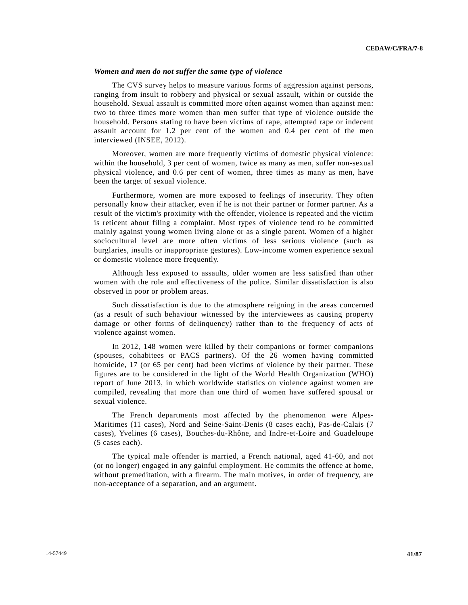# *Women and men do not suffer the same type of violence*

The CVS survey helps to measure various forms of aggression against persons, ranging from insult to robbery and physical or sexual assault, within or outside the household. Sexual assault is committed more often against women than against men: two to three times more women than men suffer that type of violence outside the household. Persons stating to have been victims of rape, attempted rape or indecent assault account for 1.2 per cent of the women and 0.4 per cent of the men interviewed (INSEE, 2012).

Moreover, women are more frequently victims of domestic physical violence: within the household, 3 per cent of women, twice as many as men, suffer non-sexual physical violence, and 0.6 per cent of women, three times as many as men, have been the target of sexual violence.

Furthermore, women are more exposed to feelings of insecurity. They often personally know their attacker, even if he is not their partner or former partner. As a result of the victim's proximity with the offender, violence is repeated and the victim is reticent about filing a complaint. Most types of violence tend to be committed mainly against young women living alone or as a single parent. Women of a higher sociocultural level are more often victims of less serious violence (such as burglaries, insults or inappropriate gestures). Low-income women experience sexual or domestic violence more frequently.

Although less exposed to assaults, older women are less satisfied than other women with the role and effectiveness of the police. Similar dissatisfaction is also observed in poor or problem areas.

Such dissatisfaction is due to the atmosphere reigning in the areas concerned (as a result of such behaviour witnessed by the interviewees as causing property damage or other forms of delinquency) rather than to the frequency of acts of violence against women.

In 2012, 148 women were killed by their companions or former companions (spouses, cohabitees or PACS partners). Of the 26 women having committed homicide, 17 (or 65 per cent) had been victims of violence by their partner. These figures are to be considered in the light of the World Health Organization (WHO) report of June 2013, in which worldwide statistics on violence against women are compiled, revealing that more than one third of women have suffered spousal or sexual violence.

The French departments most affected by the phenomenon were Alpes-Maritimes (11 cases), Nord and Seine-Saint-Denis (8 cases each), Pas-de-Calais (7 cases), Yvelines (6 cases), Bouches-du-Rhône, and Indre-et-Loire and Guadeloupe (5 cases each).

The typical male offender is married, a French national, aged 41-60, and not (or no longer) engaged in any gainful employment. He commits the offence at home, without premeditation, with a firearm. The main motives, in order of frequency, are non-acceptance of a separation, and an argument.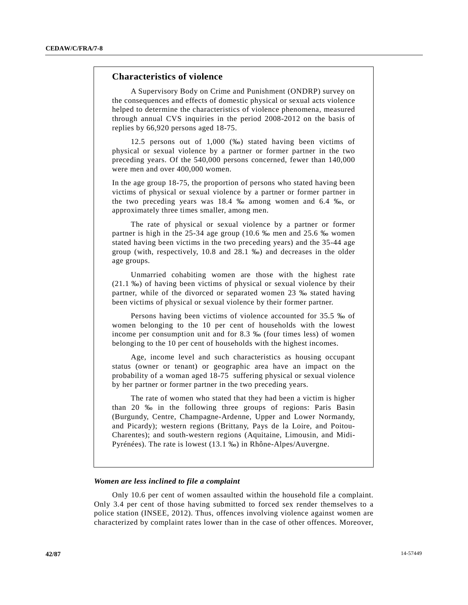# **Characteristics of violence**

A Supervisory Body on Crime and Punishment (ONDRP) survey on the consequences and effects of domestic physical or sexual acts violence helped to determine the characteristics of violence phenomena, measured through annual CVS inquiries in the period 2008-2012 on the basis of replies by 66,920 persons aged 18-75.

12.5 persons out of 1,000 (‰) stated having been victims of physical or sexual violence by a partner or former partner in the two preceding years. Of the 540,000 persons concerned, fewer than 140,000 were men and over 400,000 women.

In the age group 18-75, the proportion of persons who stated having been victims of physical or sexual violence by a partner or former partner in the two preceding years was 18.4 ‰ among women and 6.4 ‰, or approximately three times smaller, among men.

The rate of physical or sexual violence by a partner or former partner is high in the 25-34 age group (10.6 ‰ men and 25.6 ‰ women stated having been victims in the two preceding years) and the 35-44 age group (with, respectively, 10.8 and 28.1 ‰) and decreases in the older age groups.

Unmarried cohabiting women are those with the highest rate (21.1 ‰) of having been victims of physical or sexual violence by their partner, while of the divorced or separated women 23 ‰ stated having been victims of physical or sexual violence by their former partner.

Persons having been victims of violence accounted for 35.5 ‰ of women belonging to the 10 per cent of households with the lowest income per consumption unit and for 8.3 ‰ (four times less) of women belonging to the 10 per cent of households with the highest incomes.

Age, income level and such characteristics as housing occupant status (owner or tenant) or geographic area have an impact on the probability of a woman aged 18-75 suffering physical or sexual violence by her partner or former partner in the two preceding years.

The rate of women who stated that they had been a victim is higher than 20 ‰ in the following three groups of regions: Paris Basin (Burgundy, Centre, Champagne-Ardenne, Upper and Lower Normandy, and Picardy); western regions (Brittany, Pays de la Loire, and Poitou-Charentes); and south-western regions (Aquitaine, Limousin, and Midi-Pyrénées). The rate is lowest (13.1 ‰) in Rhône-Alpes/Auvergne.

#### *Women are less inclined to file a complaint*

Only 10.6 per cent of women assaulted within the household file a complaint. Only 3.4 per cent of those having submitted to forced sex render themselves to a police station (INSEE, 2012). Thus, offences involving violence against women are characterized by complaint rates lower than in the case of other offences. Moreover,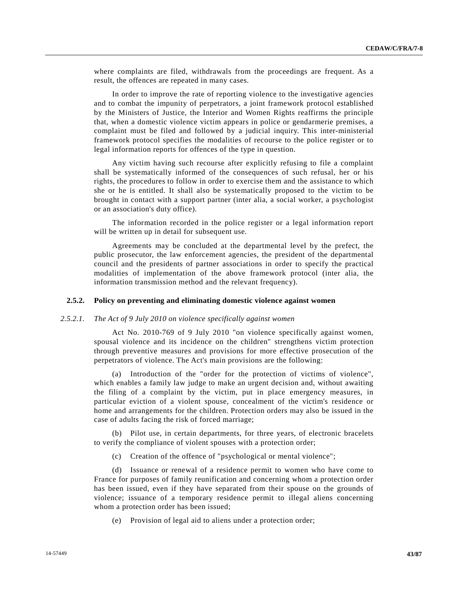where complaints are filed, withdrawals from the proceedings are frequent. As a result, the offences are repeated in many cases.

In order to improve the rate of reporting violence to the investigative agencies and to combat the impunity of perpetrators, a joint framework protocol established by the Ministers of Justice, the Interior and Women Rights reaffirms the principle that, when a domestic violence victim appears in police or gendarmerie premises, a complaint must be filed and followed by a judicial inquiry. This inter-ministerial framework protocol specifies the modalities of recourse to the police register or to legal information reports for offences of the type in question.

Any victim having such recourse after explicitly refusing to file a complaint shall be systematically informed of the consequences of such refusal, her or his rights, the procedures to follow in order to exercise them and the assistance to which she or he is entitled. It shall also be systematically proposed to the victim to be brought in contact with a support partner (inter alia, a social worker, a psychologist or an association's duty office).

The information recorded in the police register or a legal information report will be written up in detail for subsequent use.

Agreements may be concluded at the departmental level by the prefect, the public prosecutor, the law enforcement agencies, the president of the departmental council and the presidents of partner associations in order to specify the practical modalities of implementation of the above framework protocol (inter alia, the information transmission method and the relevant frequency).

### **2.5.2. Policy on preventing and eliminating domestic violence against women**

# *2.5.2.1. The Act of 9 July 2010 on violence specifically against women*

Act No. 2010-769 of 9 July 2010 "on violence specifically against women, spousal violence and its incidence on the children" strengthens victim protection through preventive measures and provisions for more effective prosecution of the perpetrators of violence. The Act's main provisions are the following:

(a) Introduction of the "order for the protection of victims of violence", which enables a family law judge to make an urgent decision and, without awaiting the filing of a complaint by the victim, put in place emergency measures, in particular eviction of a violent spouse, concealment of the victim's residence or home and arrangements for the children. Protection orders may also be issued in the case of adults facing the risk of forced marriage;

(b) Pilot use, in certain departments, for three years, of electronic bracelets to verify the compliance of violent spouses with a protection order;

(c) Creation of the offence of "psychological or mental violence";

(d) Issuance or renewal of a residence permit to women who have come to France for purposes of family reunification and concerning whom a protection order has been issued, even if they have separated from their spouse on the grounds of violence; issuance of a temporary residence permit to illegal aliens concerning whom a protection order has been issued;

(e) Provision of legal aid to aliens under a protection order;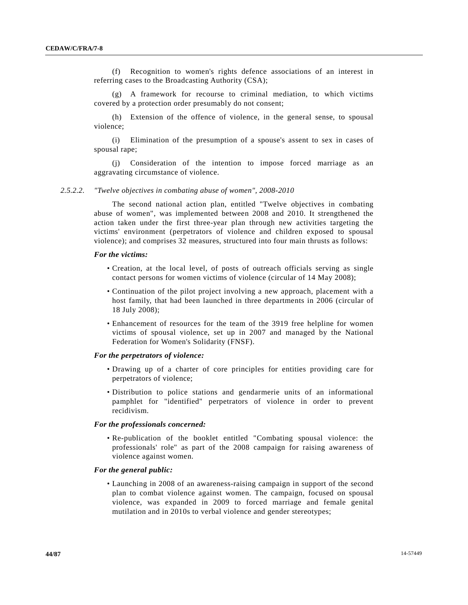(f) Recognition to women's rights defence associations of an interest in referring cases to the Broadcasting Authority (CSA);

(g) A framework for recourse to criminal mediation, to which victims covered by a protection order presumably do not consent;

(h) Extension of the offence of violence, in the general sense, to spousal violence;

(i) Elimination of the presumption of a spouse's assent to sex in cases of spousal rape;

(j) Consideration of the intention to impose forced marriage as an aggravating circumstance of violence.

# *2.5.2.2. "Twelve objectives in combating abuse of women", 2008-2010*

The second national action plan, entitled "Twelve objectives in combating abuse of women", was implemented between 2008 and 2010. It strengthened the action taken under the first three-year plan through new activities targeting the victims' environment (perpetrators of violence and children exposed to spousal violence); and comprises 32 measures, structured into four main thrusts as follows:

# *For the victims:*

- Creation, at the local level, of posts of outreach officials serving as single contact persons for women victims of violence (circular of 14 May 2008);
- Continuation of the pilot project involving a new approach, placement with a host family, that had been launched in three departments in 2006 (circular of 18 July 2008);
- Enhancement of resources for the team of the 3919 free helpline for women victims of spousal violence, set up in 2007 and managed by the National Federation for Women's Solidarity (FNSF).

### *For the perpetrators of violence:*

- Drawing up of a charter of core principles for entities providing care for perpetrators of violence;
- Distribution to police stations and gendarmerie units of an informational pamphlet for "identified" perpetrators of violence in order to prevent recidivism.

# *For the professionals concerned:*

• Re-publication of the booklet entitled "Combating spousal violence: the professionals' role" as part of the 2008 campaign for raising awareness of violence against women.

# *For the general public:*

• Launching in 2008 of an awareness-raising campaign in support of the second plan to combat violence against women. The campaign, focused on spousal violence, was expanded in 2009 to forced marriage and female genital mutilation and in 2010s to verbal violence and gender stereotypes;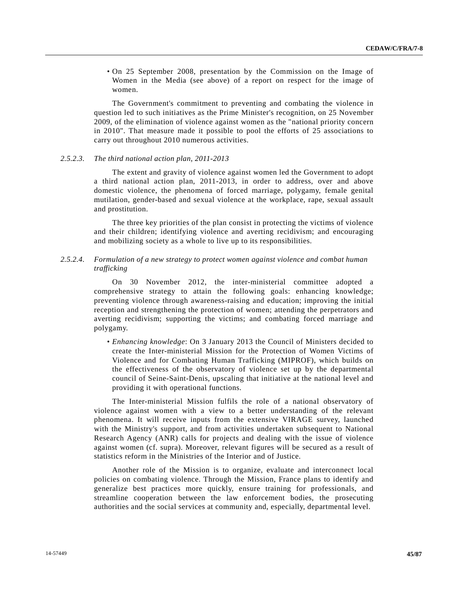• On 25 September 2008, presentation by the Commission on the Image of Women in the Media (see above) of a report on respect for the image of women.

The Government's commitment to preventing and combating the violence in question led to such initiatives as the Prime Minister's recognition, on 25 November 2009, of the elimination of violence against women as the "national priority concern in 2010". That measure made it possible to pool the efforts of 25 associations to carry out throughout 2010 numerous activities.

#### *2.5.2.3. The third national action plan, 2011-2013*

The extent and gravity of violence against women led the Government to adopt a third national action plan, 2011-2013, in order to address, over and above domestic violence, the phenomena of forced marriage, polygamy, female genital mutilation, gender-based and sexual violence at the workplace, rape, sexual assault and prostitution.

The three key priorities of the plan consist in protecting the victims of violence and their children; identifying violence and averting recidivism; and encouraging and mobilizing society as a whole to live up to its responsibilities.

# *2.5.2.4. Formulation of a new strategy to protect women against violence and combat human trafficking*

On 30 November 2012, the inter-ministerial committee adopted a comprehensive strategy to attain the following goals: enhancing knowledge; preventing violence through awareness-raising and education; improving the initial reception and strengthening the protection of women; attending the perpetrators and averting recidivism; supporting the victims; and combating forced marriage and polygamy.

• *Enhancing knowledge*: On 3 January 2013 the Council of Ministers decided to create the Inter-ministerial Mission for the Protection of Women Victims of Violence and for Combating Human Trafficking (MIPROF), which builds on the effectiveness of the observatory of violence set up by the departmental council of Seine-Saint-Denis, upscaling that initiative at the national level and providing it with operational functions.

The Inter-ministerial Mission fulfils the role of a national observatory of violence against women with a view to a better understanding of the relevant phenomena. It will receive inputs from the extensive VIRAGE survey, launched with the Ministry's support, and from activities undertaken subsequent to National Research Agency (ANR) calls for projects and dealing with the issue of violence against women (cf. supra). Moreover, relevant figures will be secured as a result of statistics reform in the Ministries of the Interior and of Justice.

Another role of the Mission is to organize, evaluate and interconnect local policies on combating violence. Through the Mission, France plans to identify and generalize best practices more quickly, ensure training for professionals, and streamline cooperation between the law enforcement bodies, the prosecuting authorities and the social services at community and, especially, departmental level.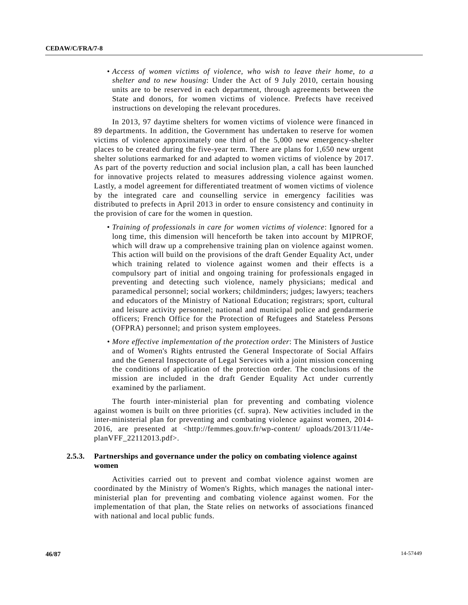• *Access of women victims of violence, who wish to leave their home, to a shelter and to new housing*: Under the Act of 9 July 2010, certain housing units are to be reserved in each department, through agreements between the State and donors, for women victims of violence. Prefects have received instructions on developing the relevant procedures.

In 2013, 97 daytime shelters for women victims of violence were financed in 89 departments. In addition, the Government has undertaken to reserve for women victims of violence approximately one third of the 5,000 new emergency-shelter places to be created during the five-year term. There are plans for 1,650 new urgent shelter solutions earmarked for and adapted to women victims of violence by 2017. As part of the poverty reduction and social inclusion plan, a call has been launched for innovative projects related to measures addressing violence against women. Lastly, a model agreement for differentiated treatment of women victims of violence by the integrated care and counselling service in emergency facilities was distributed to prefects in April 2013 in order to ensure consistency and continuity in the provision of care for the women in question.

- *Training of professionals in care for women victims of violence*: Ignored for a long time, this dimension will henceforth be taken into account by MIPROF, which will draw up a comprehensive training plan on violence against women. This action will build on the provisions of the draft Gender Equality Act, under which training related to violence against women and their effects is a compulsory part of initial and ongoing training for professionals engaged in preventing and detecting such violence, namely physicians; medical and paramedical personnel; social workers; childminders; judges; lawyers; teachers and educators of the Ministry of National Education; registrars; sport, cultural and leisure activity personnel; national and municipal police and gendarmerie officers; French Office for the Protection of Refugees and Stateless Persons (OFPRA) personnel; and prison system employees.
- *More effective implementation of the protection order*: The Ministers of Justice and of Women's Rights entrusted the General Inspectorate of Social Affairs and the General Inspectorate of Legal Services with a joint mission concerning the conditions of application of the protection order. The conclusions of the mission are included in the draft Gender Equality Act under currently examined by the parliament.

The fourth inter-ministerial plan for preventing and combating violence against women is built on three priorities (cf. supra). New activities included in the inter-ministerial plan for preventing and combating violence against women, 2014- 2016, are presented at <http://femmes.gouv.fr/wp-content/ uploads/2013/11/4eplanVFF\_22112013.pdf>.

# **2.5.3. Partnerships and governance under the policy on combating violence against women**

Activities carried out to prevent and combat violence against women are coordinated by the Ministry of Women's Rights, which manages the national interministerial plan for preventing and combating violence against women. For the implementation of that plan, the State relies on networks of associations financed with national and local public funds.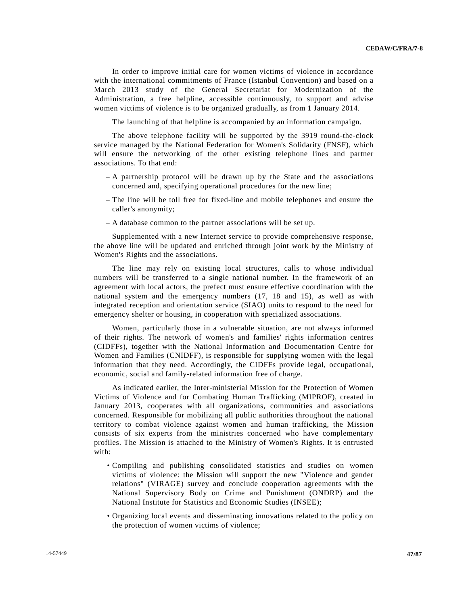In order to improve initial care for women victims of violence in accordance with the international commitments of France (Istanbul Convention) and based on a March 2013 study of the General Secretariat for Modernization of the Administration, a free helpline, accessible continuously, to support and advise women victims of violence is to be organized gradually, as from 1 January 2014.

The launching of that helpline is accompanied by an information campaign.

The above telephone facility will be supported by the 3919 round-the-clock service managed by the National Federation for Women's Solidarity (FNSF), which will ensure the networking of the other existing telephone lines and partner associations. To that end:

- A partnership protocol will be drawn up by the State and the associations concerned and, specifying operational procedures for the new line;
- The line will be toll free for fixed-line and mobile telephones and ensure the caller's anonymity;
- A database common to the partner associations will be set up.

Supplemented with a new Internet service to provide comprehensive response, the above line will be updated and enriched through joint work by the Ministry of Women's Rights and the associations.

The line may rely on existing local structures, calls to whose individual numbers will be transferred to a single national number. In the framework of an agreement with local actors, the prefect must ensure effective coordination with the national system and the emergency numbers (17, 18 and 15), as well as with integrated reception and orientation service (SIAO) units to respond to the need for emergency shelter or housing, in cooperation with specialized associations.

Women, particularly those in a vulnerable situation, are not always informed of their rights. The network of women's and families' rights information centres (CIDFFs), together with the National Information and Documentation Centre for Women and Families (CNIDFF), is responsible for supplying women with the legal information that they need. Accordingly, the CIDFFs provide legal, occupational, economic, social and family-related information free of charge.

As indicated earlier, the Inter-ministerial Mission for the Protection of Women Victims of Violence and for Combating Human Trafficking (MIPROF), created in January 2013, cooperates with all organizations, communities and associations concerned. Responsible for mobilizing all public authorities throughout the national territory to combat violence against women and human trafficking, the Mission consists of six experts from the ministries concerned who have complementary profiles. The Mission is attached to the Ministry of Women's Rights. It is entrusted with:

- Compiling and publishing consolidated statistics and studies on women victims of violence: the Mission will support the new "Violence and gender relations" (VIRAGE) survey and conclude cooperation agreements with the National Supervisory Body on Crime and Punishment (ONDRP) and the National Institute for Statistics and Economic Studies (INSEE);
- Organizing local events and disseminating innovations related to the policy on the protection of women victims of violence;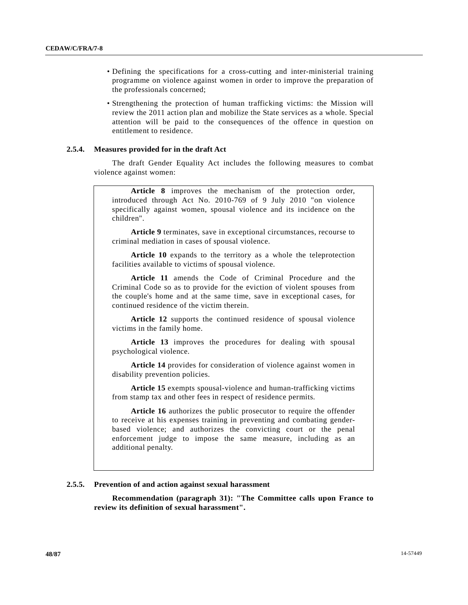- Defining the specifications for a cross-cutting and inter-ministerial training programme on violence against women in order to improve the preparation of the professionals concerned;
- Strengthening the protection of human trafficking victims: the Mission will review the 2011 action plan and mobilize the State services as a whole. Special attention will be paid to the consequences of the offence in question on entitlement to residence.

### **2.5.4. Measures provided for in the draft Act**

The draft Gender Equality Act includes the following measures to combat violence against women:

**Article 8** improves the mechanism of the protection order, introduced through Act No. 2010-769 of 9 July 2010 "on violence specifically against women, spousal violence and its incidence on the children".

**Article 9** terminates, save in exceptional circumstances, recourse to criminal mediation in cases of spousal violence.

**Article 10** expands to the territory as a whole the teleprotection facilities available to victims of spousal violence.

**Article 11** amends the Code of Criminal Procedure and the Criminal Code so as to provide for the eviction of violent spouses from the couple's home and at the same time, save in exceptional cases, for continued residence of the victim therein.

**Article 12** supports the continued residence of spousal violence victims in the family home.

**Article 13** improves the procedures for dealing with spousal psychological violence.

**Article 14** provides for consideration of violence against women in disability prevention policies.

**Article 15** exempts spousal-violence and human-trafficking victims from stamp tax and other fees in respect of residence permits.

**Article 16** authorizes the public prosecutor to require the offender to receive at his expenses training in preventing and combating genderbased violence; and authorizes the convicting court or the penal enforcement judge to impose the same measure, including as an additional penalty.

#### **2.5.5. Prevention of and action against sexual harassment**

**Recommendation (paragraph 31): "The Committee calls upon France to review its definition of sexual harassment".**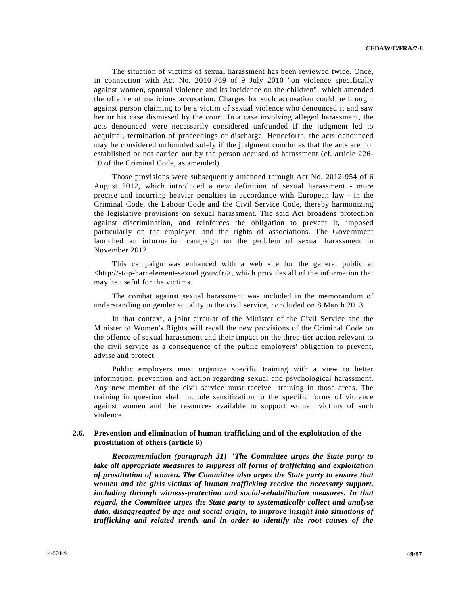The situation of victims of sexual harassment has been reviewed twice. Once, in connection with Act No. 2010-769 of 9 July 2010 "on violence specifically against women, spousal violence and its incidence on the children", which amended the offence of malicious accusation. Charges for such accusation could be brought against person claiming to be a victim of sexual violence who denounced it and saw her or his case dismissed by the court. In a case involving alleged harassment, the acts denounced were necessarily considered unfounded if the judgment led to acquittal, termination of proceedings or discharge. Henceforth, the acts denounced may be considered unfounded solely if the judgment concludes that the acts are not established or not carried out by the person accused of harassment (cf. article 226- 10 of the Criminal Code, as amended).

Those provisions were subsequently amended through Act No. 2012-954 of 6 August 2012, which introduced a new definition of sexual harassment - more precise and incurring heavier penalties in accordance with European law - in the Criminal Code, the Labour Code and the Civil Service Code, thereby harmonizing the legislative provisions on sexual harassment. The said Act broadens protection against discrimination, and reinforces the obligation to prevent it, imposed particularly on the employer, and the rights of associations. The Government launched an information campaign on the problem of sexual harassment in November 2012.

This campaign was enhanced with a web site for the general public at <http://stop-harcelement-sexuel.gouv.fr/>, which provides all of the information that may be useful for the victims.

The combat against sexual harassment was included in the memorandum of understanding on gender equality in the civil service, concluded on 8 March 2013.

In that context, a joint circular of the Minister of the Civil Service and the Minister of Women's Rights will recall the new provisions of the Criminal Code on the offence of sexual harassment and their impact on the three-tier action relevant to the civil service as a consequence of the public employers' obligation to prevent, advise and protect.

Public employers must organize specific training with a view to better information, prevention and action regarding sexual and psychological harassment. Any new member of the civil service must receive training in those areas. The training in question shall include sensitization to the specific forms of violence against women and the resources available to support women victims of such violence.

# **2.6. Prevention and elimination of human trafficking and of the exploitation of the prostitution of others (article 6)**

*Recommendation (paragraph 31) "The Committee urges the State party to take all appropriate measures to suppress all forms of trafficking and exploitation of prostitution of women. The Committee also urges the State party to ensure that women and the girls victims of human trafficking receive the necessary support, including through witness-protection and social-rehabilitation measures. In that regard, the Committee urges the State party to systematically collect and analyse data, disaggregated by age and social origin, to improve insight into situations of trafficking and related trends and in order to identify the root causes of the*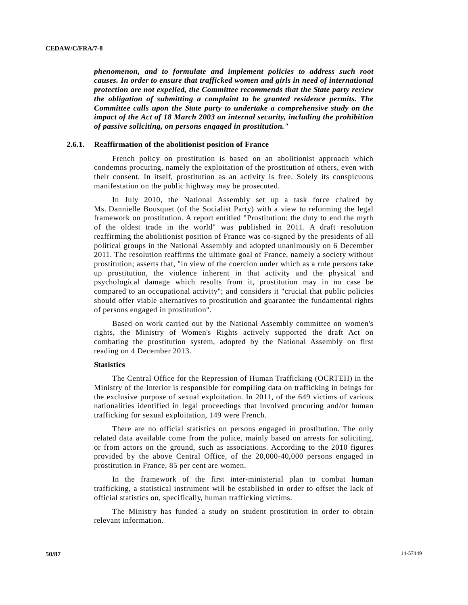*phenomenon, and to formulate and implement policies to address such root causes. In order to ensure that trafficked women and girls in need of international protection are not expelled, the Committee recommends that the State party review the obligation of submitting a complaint to be granted residence permits. The Committee calls upon the State party to undertake a comprehensive study on the impact of the Act of 18 March 2003 on internal security, including the prohibition of passive soliciting, on persons engaged in prostitution."*

# **2.6.1. Reaffirmation of the abolitionist position of France**

French policy on prostitution is based on an abolitionist approach which condemns procuring, namely the exploitation of the prostitution of others, even with their consent. In itself, prostitution as an activity is free. Solely its conspicuous manifestation on the public highway may be prosecuted.

In July 2010, the National Assembly set up a task force chaired by Ms. Dannielle Bousquet (of the Socialist Party) with a view to reforming the legal framework on prostitution. A report entitled "Prostitution: the duty to end the myth of the oldest trade in the world" was published in 2011. A draft resolution reaffirming the abolitionist position of France was co-signed by the presidents of all political groups in the National Assembly and adopted unanimously on 6 December 2011. The resolution reaffirms the ultimate goal of France, namely a society without prostitution; asserts that, "in view of the coercion under which as a rule persons take up prostitution, the violence inherent in that activity and the physical and psychological damage which results from it, prostitution may in no case be compared to an occupational activity"; and considers it "crucial that public policies should offer viable alternatives to prostitution and guarantee the fundamental rights of persons engaged in prostitution".

Based on work carried out by the National Assembly committee on women's rights, the Ministry of Women's Rights actively supported the draft Act on combating the prostitution system, adopted by the National Assembly on first reading on 4 December 2013.

### **Statistics**

The Central Office for the Repression of Human Trafficking (OCRTEH) in the Ministry of the Interior is responsible for compiling data on trafficking in beings for the exclusive purpose of sexual exploitation. In 2011, of the 649 victims of various nationalities identified in legal proceedings that involved procuring and/or human trafficking for sexual exploitation, 149 were French.

There are no official statistics on persons engaged in prostitution. The only related data available come from the police, mainly based on arrests for soliciting, or from actors on the ground, such as associations. According to the 2010 figures provided by the above Central Office, of the 20,000-40,000 persons engaged in prostitution in France, 85 per cent are women.

In the framework of the first inter-ministerial plan to combat human trafficking, a statistical instrument will be established in order to offset the lack of official statistics on, specifically, human trafficking victims.

The Ministry has funded a study on student prostitution in order to obtain relevant information.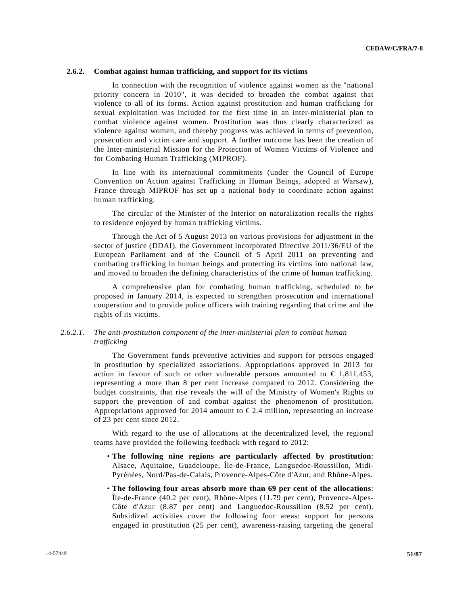# **2.6.2. Combat against human trafficking, and support for its victims**

In connection with the recognition of violence against women as the "national priority concern in 2010", it was decided to broaden the combat against that violence to all of its forms. Action against prostitution and human trafficking for sexual exploitation was included for the first time in an inter-ministerial plan to combat violence against women. Prostitution was thus clearly characterized as violence against women, and thereby progress was achieved in terms of prevention, prosecution and victim care and support. A further outcome has been the creation of the Inter-ministerial Mission for the Protection of Women Victims of Violence and for Combating Human Trafficking (MIPROF).

In line with its international commitments (under the Council of Europe Convention on Action against Trafficking in Human Beings, adopted at Warsaw), France through MIPROF has set up a national body to coordinate action against human trafficking.

The circular of the Minister of the Interior on naturalization recalls the rights to residence enjoyed by human trafficking victims.

Through the Act of 5 August 2013 on various provisions for adjustment in the sector of justice (DDAI), the Government incorporated Directive 2011/36/EU of the European Parliament and of the Council of 5 April 2011 on preventing and combating trafficking in human beings and protecting its victims into national law, and moved to broaden the defining characteristics of the crime of human trafficking.

A comprehensive plan for combating human trafficking, scheduled to be proposed in January 2014, is expected to strengthen prosecution and international cooperation and to provide police officers with training regarding that crime and the rights of its victims.

# *2.6.2.1. The anti-prostitution component of the inter-ministerial plan to combat human trafficking*

The Government funds preventive activities and support for persons engaged in prostitution by specialized associations. Appropriations approved in 2013 for action in favour of such or other vulnerable persons amounted to  $\in$  1,811,453, representing a more than 8 per cent increase compared to 2012. Considering the budget constraints, that rise reveals the will of the Ministry of Women's Rights to support the prevention of and combat against the phenomenon of prostitution. Appropriations approved for 2014 amount to  $E$  2.4 million, representing an increase of 23 per cent since 2012.

With regard to the use of allocations at the decentralized level, the regional teams have provided the following feedback with regard to 2012:

- **The following nine regions are particularly affected by prostitution**: Alsace, Aquitaine, Guadeloupe, Île-de-France, Languedoc-Roussillon, Midi-Pyrénées, Nord/Pas-de-Calais, Provence-Alpes-Côte d'Azur, and Rhône-Alpes.
- **The following four areas absorb more than 69 per cent of the allocations**: Île-de-France (40.2 per cent), Rhône-Alpes (11.79 per cent), Provence-Alpes-Côte d'Azur (8.87 per cent) and Languedoc-Roussillon (8.52 per cent). Subsidized activities cover the following four areas: support for persons engaged in prostitution (25 per cent), awareness-raising targeting the general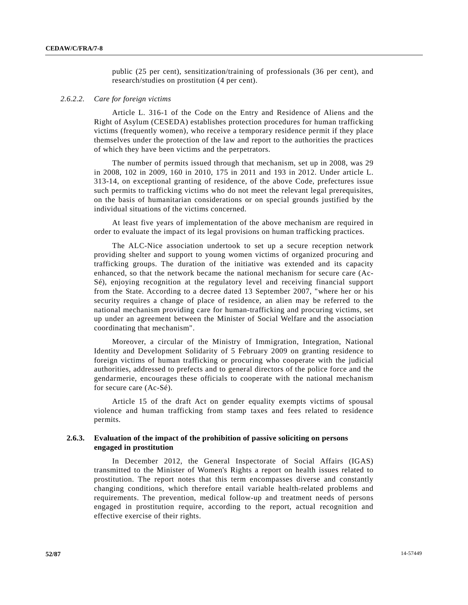public (25 per cent), sensitization/training of professionals (36 per cent), and research/studies on prostitution (4 per cent).

### *2.6.2.2. Care for foreign victims*

Article L. 316-1 of the Code on the Entry and Residence of Aliens and the Right of Asylum (CESEDA) establishes protection procedures for human trafficking victims (frequently women), who receive a temporary residence permit if they place themselves under the protection of the law and report to the authorities the practices of which they have been victims and the perpetrators.

The number of permits issued through that mechanism, set up in 2008, was 29 in 2008, 102 in 2009, 160 in 2010, 175 in 2011 and 193 in 2012. Under article L. 313-14, on exceptional granting of residence, of the above Code, prefectures issue such permits to trafficking victims who do not meet the relevant legal prerequisites, on the basis of humanitarian considerations or on special grounds justified by the individual situations of the victims concerned.

At least five years of implementation of the above mechanism are required in order to evaluate the impact of its legal provisions on human trafficking practices.

The ALC-Nice association undertook to set up a secure reception network providing shelter and support to young women victims of organized procuring and trafficking groups. The duration of the initiative was extended and its capacity enhanced, so that the network became the national mechanism for secure care (Ac-Sé), enjoying recognition at the regulatory level and receiving financial support from the State. According to a decree dated 13 September 2007, "where her or his security requires a change of place of residence, an alien may be referred to the national mechanism providing care for human-trafficking and procuring victims, set up under an agreement between the Minister of Social Welfare and the association coordinating that mechanism".

Moreover, a circular of the Ministry of Immigration, Integration, National Identity and Development Solidarity of 5 February 2009 on granting residence to foreign victims of human trafficking or procuring who cooperate with the judicial authorities, addressed to prefects and to general directors of the police force and the gendarmerie, encourages these officials to cooperate with the national mechanism for secure care (Ac-Sé).

Article 15 of the draft Act on gender equality exempts victims of spousal violence and human trafficking from stamp taxes and fees related to residence permits.

# **2.6.3. Evaluation of the impact of the prohibition of passive soliciting on persons engaged in prostitution**

In December 2012, the General Inspectorate of Social Affairs (IGAS) transmitted to the Minister of Women's Rights a report on health issues related to prostitution. The report notes that this term encompasses diverse and constantly changing conditions, which therefore entail variable health-related problems and requirements. The prevention, medical follow-up and treatment needs of persons engaged in prostitution require, according to the report, actual recognition and effective exercise of their rights.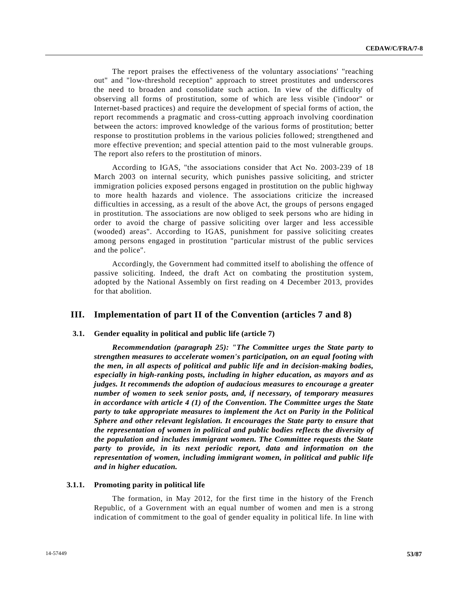The report praises the effectiveness of the voluntary associations' "reaching out" and "low-threshold reception" approach to street prostitutes and underscores the need to broaden and consolidate such action. In view of the difficulty of observing all forms of prostitution, some of which are less visible ('indoor" or Internet-based practices) and require the development of special forms of action, the report recommends a pragmatic and cross-cutting approach involving coordination between the actors: improved knowledge of the various forms of prostitution; better response to prostitution problems in the various policies followed; strengthened and more effective prevention; and special attention paid to the most vulnerable groups. The report also refers to the prostitution of minors.

According to IGAS, "the associations consider that Act No. 2003-239 of 18 March 2003 on internal security, which punishes passive soliciting, and stricter immigration policies exposed persons engaged in prostitution on the public highway to more health hazards and violence. The associations criticize the increased difficulties in accessing, as a result of the above Act, the groups of persons engaged in prostitution. The associations are now obliged to seek persons who are hiding in order to avoid the charge of passive soliciting over larger and less accessible (wooded) areas". According to IGAS, punishment for passive soliciting creates among persons engaged in prostitution "particular mistrust of the public services and the police".

Accordingly, the Government had committed itself to abolishing the offence of passive soliciting. Indeed, the draft Act on combating the prostitution system, adopted by the National Assembly on first reading on 4 December 2013, provides for that abolition.

# **III. Implementation of part II of the Convention (articles 7 and 8)**

## **3.1. Gender equality in political and public life (article 7)**

*Recommendation (paragraph 25): "The Committee urges the State party to strengthen measures to accelerate women's participation, on an equal footing with the men, in all aspects of political and public life and in decision-making bodies, especially in high-ranking posts, including in higher education, as mayors and as judges. It recommends the adoption of audacious measures to encourage a greater number of women to seek senior posts, and, if necessary, of temporary measures in accordance with article 4 (1) of the Convention. The Committee urges the State party to take appropriate measures to implement the Act on Parity in the Political Sphere and other relevant legislation. It encourages the State party to ensure that the representation of women in political and public bodies reflects the diversity of the population and includes immigrant women. The Committee requests the State party to provide, in its next periodic report, data and information on the representation of women, including immigrant women, in political and public life and in higher education.*

#### **3.1.1. Promoting parity in political life**

The formation, in May 2012, for the first time in the history of the French Republic, of a Government with an equal number of women and men is a strong indication of commitment to the goal of gender equality in political life. In line with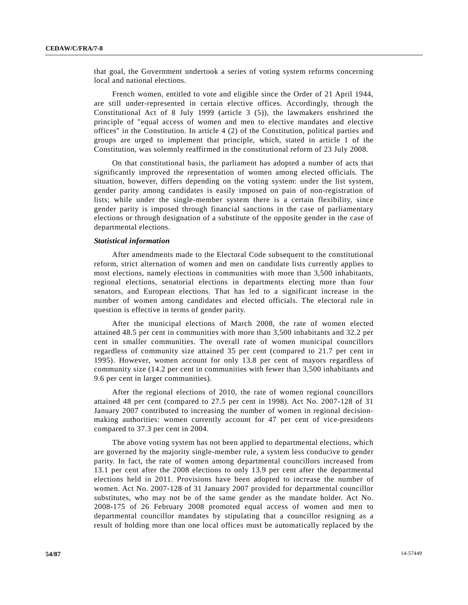that goal, the Government undertook a series of voting system reforms concerning local and national elections.

French women, entitled to vote and eligible since the Order of 21 April 1944, are still under-represented in certain elective offices. Accordingly, through the Constitutional Act of 8 July 1999 (article 3 (5)), the lawmakers enshrined the principle of "equal access of women and men to elective mandates and elective offices" in the Constitution. In article 4 (2) of the Constitution, political parties and groups are urged to implement that principle, which, stated in article 1 of the Constitution, was solemnly reaffirmed in the constitutional reform of 23 July 2008.

On that constitutional basis, the parliament has adopted a number of acts that significantly improved the representation of women among elected officials. The situation, however, differs depending on the voting system: under the list system, gender parity among candidates is easily imposed on pain of non-registration of lists; while under the single-member system there is a certain flexibility, since gender parity is imposed through financial sanctions in the case of parliamentary elections or through designation of a substitute of the opposite gender in the case of departmental elections.

### *Statistical information*

After amendments made to the Electoral Code subsequent to the constitutional reform, strict alternation of women and men on candidate lists currently applies to most elections, namely elections in communities with more than 3,500 inhabitants, regional elections, senatorial elections in departments electing more than four senators, and European elections. That has led to a significant increase in the number of women among candidates and elected officials. The electoral rule in question is effective in terms of gender parity.

After the municipal elections of March 2008, the rate of women elected attained 48.5 per cent in communities with more than 3,500 inhabitants and 32.2 per cent in smaller communities. The overall rate of women municipal councillors regardless of community size attained 35 per cent (compared to 21.7 per cent in 1995). However, women account for only 13.8 per cent of mayors regardless of community size (14.2 per cent in communities with fewer than 3,500 inhabitants and 9.6 per cent in larger communities).

After the regional elections of 2010, the rate of women regional councillors attained 48 per cent (compared to 27.5 per cent in 1998). Act No. 2007-128 of 31 January 2007 contributed to increasing the number of women in regional decisionmaking authorities: women currently account for 47 per cent of vice-presidents compared to 37.3 per cent in 2004.

The above voting system has not been applied to departmental elections, which are governed by the majority single-member rule, a system less conducive to gender parity. In fact, the rate of women among departmental councillors increased from 13.1 per cent after the 2008 elections to only 13.9 per cent after the departmental elections held in 2011. Provisions have been adopted to increase the number of women. Act No. 2007-128 of 31 January 2007 provided for departmental councillor substitutes, who may not be of the same gender as the mandate holder. Act No. 2008-175 of 26 February 2008 promoted equal access of women and men to departmental councillor mandates by stipulating that a councillor resigning as a result of holding more than one local offices must be automatically replaced by the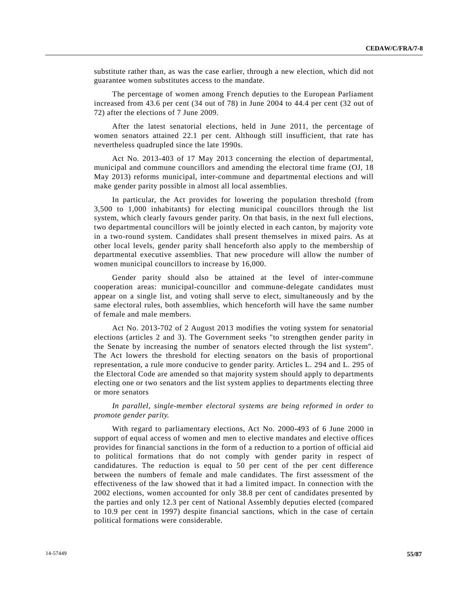substitute rather than, as was the case earlier, through a new election, which did not guarantee women substitutes access to the mandate.

The percentage of women among French deputies to the European Parliament increased from 43.6 per cent (34 out of 78) in June 2004 to 44.4 per cent (32 out of 72) after the elections of 7 June 2009.

After the latest senatorial elections, held in June 2011, the percentage of women senators attained 22.1 per cent. Although still insufficient, that rate has nevertheless quadrupled since the late 1990s.

Act No. 2013-403 of 17 May 2013 concerning the election of departmental, municipal and commune councillors and amending the electoral time frame (OJ, 18 May 2013) reforms municipal, inter-commune and departmental elections and will make gender parity possible in almost all local assemblies.

In particular, the Act provides for lowering the population threshold (from 3,500 to 1,000 inhabitants) for electing municipal councillors through the list system, which clearly favours gender parity. On that basis, in the next full elections, two departmental councillors will be jointly elected in each canton, by majority vote in a two-round system. Candidates shall present themselves in mixed pairs. As at other local levels, gender parity shall henceforth also apply to the membership of departmental executive assemblies. That new procedure will allow the number of women municipal councillors to increase by 16,000.

Gender parity should also be attained at the level of inter-commune cooperation areas: municipal-councillor and commune-delegate candidates must appear on a single list, and voting shall serve to elect, simultaneously and by the same electoral rules, both assemblies, which henceforth will have the same number of female and male members.

Act No. 2013-702 of 2 August 2013 modifies the voting system for senatorial elections (articles 2 and 3). The Government seeks "to strengthen gender parity in the Senate by increasing the number of senators elected through the list system". The Act lowers the threshold for electing senators on the basis of proportional representation, a rule more conducive to gender parity. Articles L. 294 and L. 295 of the Electoral Code are amended so that majority system should apply to departments electing one or two senators and the list system applies to departments electing three or more senators

*In parallel, single-member electoral systems are being reformed in order to promote gender parity.* 

With regard to parliamentary elections, Act No. 2000-493 of 6 June 2000 in support of equal access of women and men to elective mandates and elective offices provides for financial sanctions in the form of a reduction to a portion of official aid to political formations that do not comply with gender parity in respect of candidatures. The reduction is equal to 50 per cent of the per cent difference between the numbers of female and male candidates. The first assessment of the effectiveness of the law showed that it had a limited impact. In connection with the 2002 elections, women accounted for only 38.8 per cent of candidates presented by the parties and only 12.3 per cent of National Assembly deputies elected (compared to 10.9 per cent in 1997) despite financial sanctions, which in the case of certain political formations were considerable.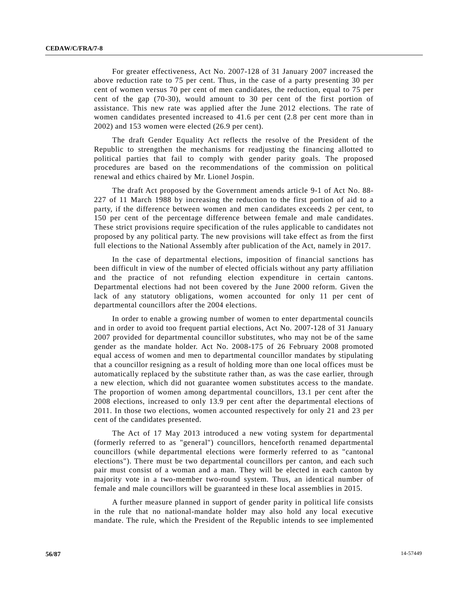For greater effectiveness, Act No. 2007-128 of 31 January 2007 increased the above reduction rate to 75 per cent. Thus, in the case of a party presenting 30 per cent of women versus 70 per cent of men candidates, the reduction, equal to 75 per cent of the gap (70-30), would amount to 30 per cent of the first portion of assistance. This new rate was applied after the June 2012 elections. The rate of women candidates presented increased to 41.6 per cent (2.8 per cent more than in 2002) and 153 women were elected (26.9 per cent).

The draft Gender Equality Act reflects the resolve of the President of the Republic to strengthen the mechanisms for readjusting the financing allotted to political parties that fail to comply with gender parity goals. The proposed procedures are based on the recommendations of the commission on political renewal and ethics chaired by Mr. Lionel Jospin.

The draft Act proposed by the Government amends article 9-1 of Act No. 88- 227 of 11 March 1988 by increasing the reduction to the first portion of aid to a party, if the difference between women and men candidates exceeds 2 per cent, to 150 per cent of the percentage difference between female and male candidates. These strict provisions require specification of the rules applicable to candidates not proposed by any political party. The new provisions will take effect as from the first full elections to the National Assembly after publication of the Act, namely in 2017.

In the case of departmental elections, imposition of financial sanctions has been difficult in view of the number of elected officials without any party affiliation and the practice of not refunding election expenditure in certain cantons. Departmental elections had not been covered by the June 2000 reform. Given the lack of any statutory obligations, women accounted for only 11 per cent of departmental councillors after the 2004 elections.

In order to enable a growing number of women to enter departmental councils and in order to avoid too frequent partial elections, Act No. 2007-128 of 31 January 2007 provided for departmental councillor substitutes, who may not be of the same gender as the mandate holder. Act No. 2008-175 of 26 February 2008 promoted equal access of women and men to departmental councillor mandates by stipulating that a councillor resigning as a result of holding more than one local offices must be automatically replaced by the substitute rather than, as was the case earlier, through a new election, which did not guarantee women substitutes access to the mandate. The proportion of women among departmental councillors, 13.1 per cent after the 2008 elections, increased to only 13.9 per cent after the departmental elections of 2011. In those two elections, women accounted respectively for only 21 and 23 per cent of the candidates presented.

The Act of 17 May 2013 introduced a new voting system for departmental (formerly referred to as "general") councillors, henceforth renamed departmental councillors (while departmental elections were formerly referred to as "cantonal elections"). There must be two departmental councillors per canton, and each such pair must consist of a woman and a man. They will be elected in each canton by majority vote in a two-member two-round system. Thus, an identical number of female and male councillors will be guaranteed in these local assemblies in 2015.

A further measure planned in support of gender parity in political life consists in the rule that no national-mandate holder may also hold any local executive mandate. The rule, which the President of the Republic intends to see implemented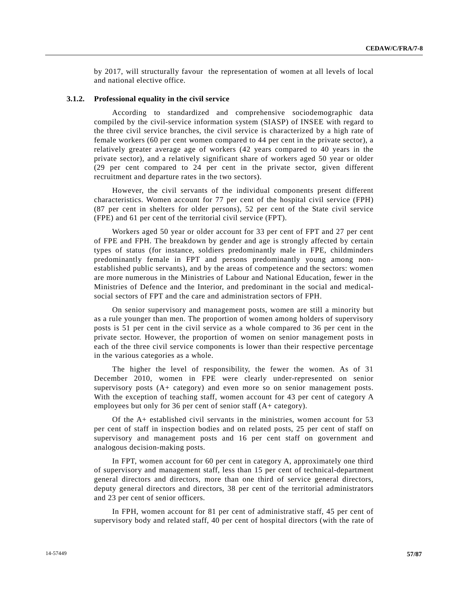by 2017, will structurally favour the representation of women at all levels of local and national elective office.

### **3.1.2. Professional equality in the civil service**

According to standardized and comprehensive sociodemographic data compiled by the civil-service information system (SIASP) of INSEE with regard to the three civil service branches, the civil service is characterized by a high rate of female workers (60 per cent women compared to 44 per cent in the private sector), a relatively greater average age of workers (42 years compared to 40 years in the private sector), and a relatively significant share of workers aged 50 year or older (29 per cent compared to 24 per cent in the private sector, given different recruitment and departure rates in the two sectors).

However, the civil servants of the individual components present different characteristics. Women account for 77 per cent of the hospital civil service (FPH) (87 per cent in shelters for older persons), 52 per cent of the State civil service (FPE) and 61 per cent of the territorial civil service (FPT).

Workers aged 50 year or older account for 33 per cent of FPT and 27 per cent of FPE and FPH. The breakdown by gender and age is strongly affected by certain types of status (for instance, soldiers predominantly male in FPE, childminders predominantly female in FPT and persons predominantly young among nonestablished public servants), and by the areas of competence and the sectors: women are more numerous in the Ministries of Labour and National Education, fewer in the Ministries of Defence and the Interior, and predominant in the social and medicalsocial sectors of FPT and the care and administration sectors of FPH.

On senior supervisory and management posts, women are still a minority but as a rule younger than men. The proportion of women among holders of supervisory posts is 51 per cent in the civil service as a whole compared to 36 per cent in the private sector. However, the proportion of women on senior management posts in each of the three civil service components is lower than their respective percentage in the various categories as a whole.

The higher the level of responsibility, the fewer the women. As of 31 December 2010, women in FPE were clearly under-represented on senior supervisory posts (A+ category) and even more so on senior management posts. With the exception of teaching staff, women account for 43 per cent of category A employees but only for 36 per cent of senior staff (A+ category).

Of the A+ established civil servants in the ministries, women account for 53 per cent of staff in inspection bodies and on related posts, 25 per cent of staff on supervisory and management posts and 16 per cent staff on government and analogous decision-making posts.

In FPT, women account for 60 per cent in category A, approximately one third of supervisory and management staff, less than 15 per cent of technical-department general directors and directors, more than one third of service general directors, deputy general directors and directors, 38 per cent of the territorial administrators and 23 per cent of senior officers.

In FPH, women account for 81 per cent of administrative staff, 45 per cent of supervisory body and related staff, 40 per cent of hospital directors (with the rate of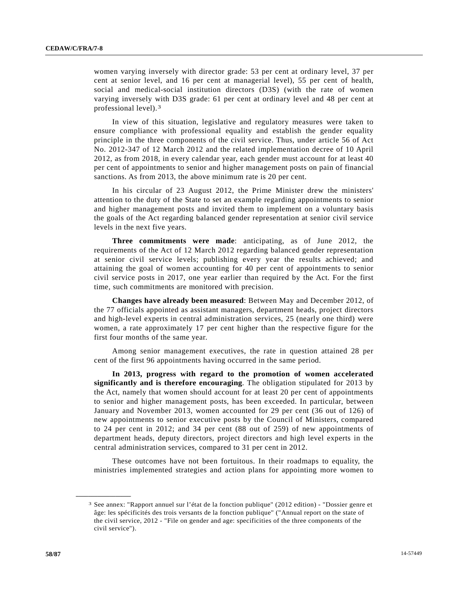women varying inversely with director grade: 53 per cent at ordinary level, 37 per cent at senior level, and 16 per cent at managerial level), 55 per cent of health, social and medical-social institution directors (D3S) (with the rate of women varying inversely with D3S grade: 61 per cent at ordinary level and 48 per cent at professional level).[3](#page-21-0)

In view of this situation, legislative and regulatory measures were taken to ensure compliance with professional equality and establish the gender equality principle in the three components of the civil service. Thus, under article 56 of Act No. 2012-347 of 12 March 2012 and the related implementation decree of 10 April 2012, as from 2018, in every calendar year, each gender must account for at least 40 per cent of appointments to senior and higher management posts on pain of financial sanctions. As from 2013, the above minimum rate is 20 per cent.

In his circular of 23 August 2012, the Prime Minister drew the ministers' attention to the duty of the State to set an example regarding appointments to senior and higher management posts and invited them to implement on a voluntary basis the goals of the Act regarding balanced gender representation at senior civil service levels in the next five years.

**Three commitments were made**: anticipating, as of June 2012, the requirements of the Act of 12 March 2012 regarding balanced gender representation at senior civil service levels; publishing every year the results achieved; and attaining the goal of women accounting for 40 per cent of appointments to senior civil service posts in 2017, one year earlier than required by the Act. For the first time, such commitments are monitored with precision.

**Changes have already been measured**: Between May and December 2012, of the 77 officials appointed as assistant managers, department heads, project directors and high-level experts in central administration services, 25 (nearly one third) were women, a rate approximately 17 per cent higher than the respective figure for the first four months of the same year.

Among senior management executives, the rate in question attained 28 per cent of the first 96 appointments having occurred in the same period.

**In 2013, progress with regard to the promotion of women accelerated significantly and is therefore encouraging**. The obligation stipulated for 2013 by the Act, namely that women should account for at least 20 per cent of appointments to senior and higher management posts, has been exceeded. In particular, between January and November 2013, women accounted for 29 per cent (36 out of 126) of new appointments to senior executive posts by the Council of Ministers, compared to 24 per cent in 2012; and 34 per cent (88 out of 259) of new appointments of department heads, deputy directors, project directors and high level experts in the central administration services, compared to 31 per cent in 2012.

These outcomes have not been fortuitous. In their roadmaps to equality, the ministries implemented strategies and action plans for appointing more women to

**\_\_\_\_\_\_\_\_\_\_\_\_\_\_\_\_\_\_**

<sup>3</sup> See annex: "Rapport annuel sur l'état de la fonction publique" (2012 edition) - "Dossier genre et âge: les spécificités des trois versants de la fonction publique" ("Annual report on the state of the civil service, 2012 - "File on gender and age: specificities of the three components of the civil service").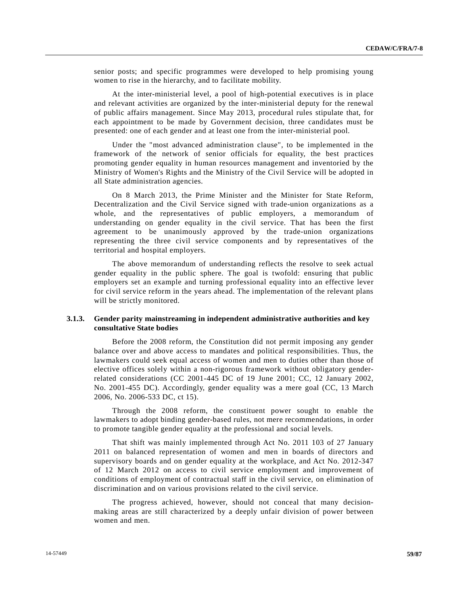senior posts; and specific programmes were developed to help promising young women to rise in the hierarchy, and to facilitate mobility.

At the inter-ministerial level, a pool of high-potential executives is in place and relevant activities are organized by the inter-ministerial deputy for the renewal of public affairs management. Since May 2013, procedural rules stipulate that, for each appointment to be made by Government decision, three candidates must be presented: one of each gender and at least one from the inter-ministerial pool.

Under the "most advanced administration clause", to be implemented in the framework of the network of senior officials for equality, the best practices promoting gender equality in human resources management and inventoried by the Ministry of Women's Rights and the Ministry of the Civil Service will be adopted in all State administration agencies.

On 8 March 2013, the Prime Minister and the Minister for State Reform, Decentralization and the Civil Service signed with trade-union organizations as a whole, and the representatives of public employers, a memorandum of understanding on gender equality in the civil service. That has been the first agreement to be unanimously approved by the trade-union organizations representing the three civil service components and by representatives of the territorial and hospital employers.

The above memorandum of understanding reflects the resolve to seek actual gender equality in the public sphere. The goal is twofold: ensuring that public employers set an example and turning professional equality into an effective lever for civil service reform in the years ahead. The implementation of the relevant plans will be strictly monitored.

# **3.1.3. Gender parity mainstreaming in independent administrative authorities and key consultative State bodies**

Before the 2008 reform, the Constitution did not permit imposing any gender balance over and above access to mandates and political responsibilities. Thus, the lawmakers could seek equal access of women and men to duties other than those of elective offices solely within a non-rigorous framework without obligatory genderrelated considerations (CC 2001-445 DC of 19 June 2001; CC, 12 January 2002, No. 2001-455 DC). Accordingly, gender equality was a mere goal (CC, 13 March 2006, No. 2006-533 DC, ct 15).

Through the 2008 reform, the constituent power sought to enable the lawmakers to adopt binding gender-based rules, not mere recommendations, in order to promote tangible gender equality at the professional and social levels.

That shift was mainly implemented through Act No. 2011 103 of 27 January 2011 on balanced representation of women and men in boards of directors and supervisory boards and on gender equality at the workplace, and Act No. 2012-347 of 12 March 2012 on access to civil service employment and improvement of conditions of employment of contractual staff in the civil service, on elimination of discrimination and on various provisions related to the civil service.

The progress achieved, however, should not conceal that many decisionmaking areas are still characterized by a deeply unfair division of power between women and men.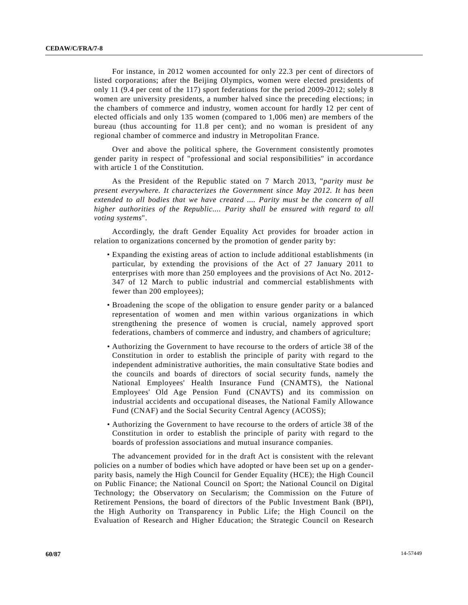For instance, in 2012 women accounted for only 22.3 per cent of directors of listed corporations; after the Beijing Olympics, women were elected presidents of only 11 (9.4 per cent of the 117) sport federations for the period 2009-2012; solely 8 women are university presidents, a number halved since the preceding elections; in the chambers of commerce and industry, women account for hardly 12 per cent of elected officials and only 135 women (compared to 1,006 men) are members of the bureau (thus accounting for 11.8 per cent); and no woman is president of any regional chamber of commerce and industry in Metropolitan France.

Over and above the political sphere, the Government consistently promotes gender parity in respect of "professional and social responsibilities" in accordance with article 1 of the Constitution.

As the President of the Republic stated on 7 March 2013, "*parity must be present everywhere. It characterizes the Government since May 2012. It has been extended to all bodies that we have created .... Parity must be the concern of all higher authorities of the Republic.... Parity shall be ensured with regard to all voting systems*".

Accordingly, the draft Gender Equality Act provides for broader action in relation to organizations concerned by the promotion of gender parity by:

- Expanding the existing areas of action to include additional establishments (in particular, by extending the provisions of the Act of 27 January 2011 to enterprises with more than 250 employees and the provisions of Act No. 2012- 347 of 12 March to public industrial and commercial establishments with fewer than 200 employees);
- Broadening the scope of the obligation to ensure gender parity or a balanced representation of women and men within various organizations in which strengthening the presence of women is crucial, namely approved sport federations, chambers of commerce and industry, and chambers of agriculture;
- Authorizing the Government to have recourse to the orders of article 38 of the Constitution in order to establish the principle of parity with regard to the independent administrative authorities, the main consultative State bodies and the councils and boards of directors of social security funds, namely the National Employees' Health Insurance Fund (CNAMTS), the National Employees' Old Age Pension Fund (CNAVTS) and its commission on industrial accidents and occupational diseases, the National Family Allowance Fund (CNAF) and the Social Security Central Agency (ACOSS);
- Authorizing the Government to have recourse to the orders of article 38 of the Constitution in order to establish the principle of parity with regard to the boards of profession associations and mutual insurance companies.

The advancement provided for in the draft Act is consistent with the relevant policies on a number of bodies which have adopted or have been set up on a genderparity basis, namely the High Council for Gender Equality (HCE); the High Council on Public Finance; the National Council on Sport; the National Council on Digital Technology; the Observatory on Secularism; the Commission on the Future of Retirement Pensions, the board of directors of the Public Investment Bank (BPI), the High Authority on Transparency in Public Life; the High Council on the Evaluation of Research and Higher Education; the Strategic Council on Research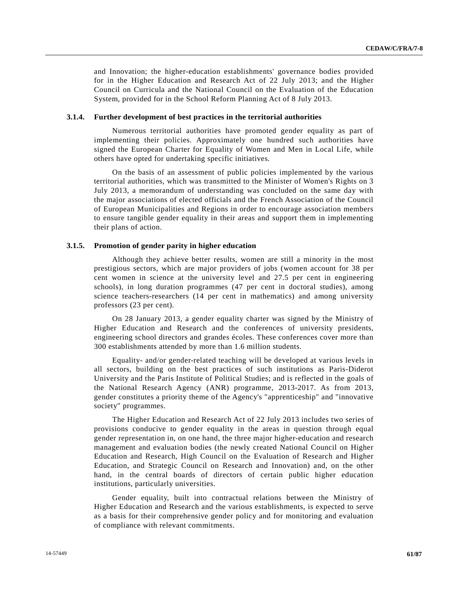and Innovation; the higher-education establishments' governance bodies provided for in the Higher Education and Research Act of 22 July 2013; and the Higher Council on Curricula and the National Council on the Evaluation of the Education System, provided for in the School Reform Planning Act of 8 July 2013.

# **3.1.4. Further development of best practices in the territorial authorities**

Numerous territorial authorities have promoted gender equality as part of implementing their policies. Approximately one hundred such authorities have signed the European Charter for Equality of Women and Men in Local Life, while others have opted for undertaking specific initiatives.

On the basis of an assessment of public policies implemented by the various territorial authorities, which was transmitted to the Minister of Women's Rights on 3 July 2013, a memorandum of understanding was concluded on the same day with the major associations of elected officials and the French Association of the Council of European Municipalities and Regions in order to encourage association members to ensure tangible gender equality in their areas and support them in implementing their plans of action.

#### **3.1.5. Promotion of gender parity in higher education**

Although they achieve better results, women are still a minority in the most prestigious sectors, which are major providers of jobs (women account for 38 per cent women in science at the university level and 27.5 per cent in engineering schools), in long duration programmes (47 per cent in doctoral studies), among science teachers-researchers (14 per cent in mathematics) and among university professors (23 per cent).

On 28 January 2013, a gender equality charter was signed by the Ministry of Higher Education and Research and the conferences of university presidents, engineering school directors and grandes écoles. These conferences cover more than 300 establishments attended by more than 1.6 million students.

Equality- and/or gender-related teaching will be developed at various levels in all sectors, building on the best practices of such institutions as Paris-Diderot University and the Paris Institute of Political Studies; and is reflected in the goals of the National Research Agency (ANR) programme, 2013-2017. As from 2013, gender constitutes a priority theme of the Agency's "apprenticeship" and "innovative society" programmes.

The Higher Education and Research Act of 22 July 2013 includes two series of provisions conducive to gender equality in the areas in question through equal gender representation in, on one hand, the three major higher-education and research management and evaluation bodies (the newly created National Council on Higher Education and Research, High Council on the Evaluation of Research and Higher Education, and Strategic Council on Research and Innovation) and, on the other hand, in the central boards of directors of certain public higher education institutions, particularly universities.

Gender equality, built into contractual relations between the Ministry of Higher Education and Research and the various establishments, is expected to serve as a basis for their comprehensive gender policy and for monitoring and evaluation of compliance with relevant commitments.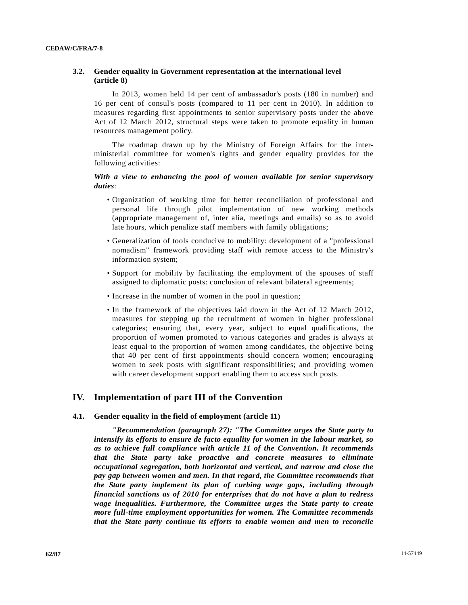# **3.2. Gender equality in Government representation at the international level (article 8)**

In 2013, women held 14 per cent of ambassador's posts (180 in number) and 16 per cent of consul's posts (compared to 11 per cent in 2010). In addition to measures regarding first appointments to senior supervisory posts under the above Act of 12 March 2012, structural steps were taken to promote equality in human resources management policy.

The roadmap drawn up by the Ministry of Foreign Affairs for the interministerial committee for women's rights and gender equality provides for the following activities:

# *With a view to enhancing the pool of women available for senior supervisory duties*:

- Organization of working time for better reconciliation of professional and personal life through pilot implementation of new working methods (appropriate management of, inter alia, meetings and emails) so as to avoid late hours, which penalize staff members with family obligations;
- Generalization of tools conducive to mobility: development of a "professional nomadism" framework providing staff with remote access to the Ministry's information system;
- Support for mobility by facilitating the employment of the spouses of staff assigned to diplomatic posts: conclusion of relevant bilateral agreements;
- Increase in the number of women in the pool in question;
- In the framework of the objectives laid down in the Act of 12 March 2012, measures for stepping up the recruitment of women in higher professional categories; ensuring that, every year, subject to equal qualifications, the proportion of women promoted to various categories and grades is always at least equal to the proportion of women among candidates, the objective being that 40 per cent of first appointments should concern women; encouraging women to seek posts with significant responsibilities; and providing women with career development support enabling them to access such posts.

# **IV. Implementation of part III of the Convention**

# **4.1. Gender equality in the field of employment (article 11)**

*"Recommendation (paragraph 27): "The Committee urges the State party to intensify its efforts to ensure de facto equality for women in the labour market, so as to achieve full compliance with article 11 of the Convention. It recommends that the State party take proactive and concrete measures to eliminate occupational segregation, both horizontal and vertical, and narrow and close the pay gap between women and men. In that regard, the Committee recommends that the State party implement its plan of curbing wage gaps, including through financial sanctions as of 2010 for enterprises that do not have a plan to redress wage inequalities. Furthermore, the Committee urges the State party to create more full-time employment opportunities for women. The Committee recommends that the State party continue its efforts to enable women and men to reconcile*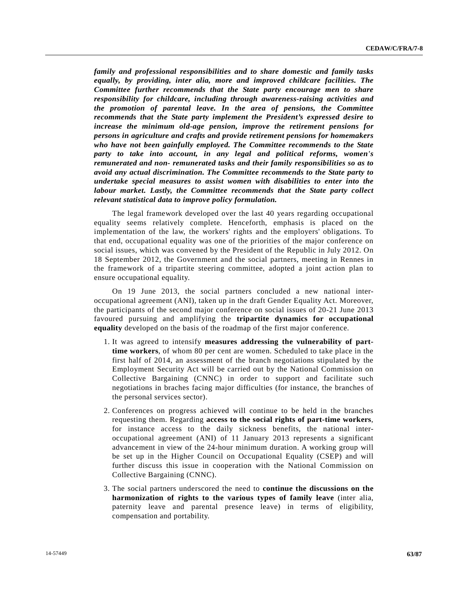*family and professional responsibilities and to share domestic and family tasks equally, by providing, inter alia, more and improved childcare facilities. The Committee further recommends that the State party encourage men to share responsibility for childcare, including through awareness-raising activities and the promotion of parental leave. In the area of pensions, the Committee recommends that the State party implement the President's expressed desire to increase the minimum old-age pension, improve the retirement pensions for persons in agriculture and crafts and provide retirement pensions for homemakers who have not been gainfully employed. The Committee recommends to the State party to take into account, in any legal and political reforms, women's remunerated and non- remunerated tasks and their family responsibilities so as to avoid any actual discrimination. The Committee recommends to the State party to undertake special measures to assist women with disabilities to enter into the labour market. Lastly, the Committee recommends that the State party collect relevant statistical data to improve policy formulation.*

The legal framework developed over the last 40 years regarding occupational equality seems relatively complete. Henceforth, emphasis is placed on the implementation of the law, the workers' rights and the employers' obligations. To that end, occupational equality was one of the priorities of the major conference on social issues, which was convened by the President of the Republic in July 2012. On 18 September 2012, the Government and the social partners, meeting in Rennes in the framework of a tripartite steering committee, adopted a joint action plan to ensure occupational equality.

On 19 June 2013, the social partners concluded a new national interoccupational agreement (ANI), taken up in the draft Gender Equality Act. Moreover, the participants of the second major conference on social issues of 20-21 June 2013 favoured pursuing and amplifying the **tripartite dynamics for occupational equality** developed on the basis of the roadmap of the first major conference.

- 1. It was agreed to intensify **measures addressing the vulnerability of parttime workers**, of whom 80 per cent are women. Scheduled to take place in the first half of 2014, an assessment of the branch negotiations stipulated by the Employment Security Act will be carried out by the National Commission on Collective Bargaining (CNNC) in order to support and facilitate such negotiations in braches facing major difficulties (for instance, the branches of the personal services sector).
- 2. Conferences on progress achieved will continue to be held in the branches requesting them. Regarding **access to the social rights of part-time workers**, for instance access to the daily sickness benefits, the national interoccupational agreement (ANI) of 11 January 2013 represents a significant advancement in view of the 24-hour minimum duration. A working group will be set up in the Higher Council on Occupational Equality (CSEP) and will further discuss this issue in cooperation with the National Commission on Collective Bargaining (CNNC).
- 3. The social partners underscored the need to **continue the discussions on the harmonization of rights to the various types of family leave** (inter alia, paternity leave and parental presence leave) in terms of eligibility, compensation and portability.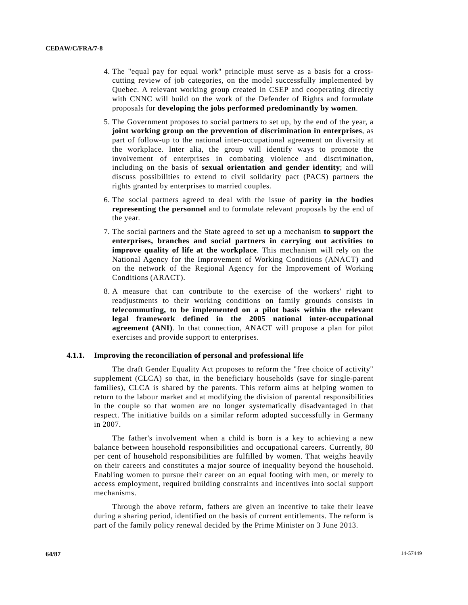- 4. The "equal pay for equal work" principle must serve as a basis for a crosscutting review of job categories, on the model successfully implemented by Quebec. A relevant working group created in CSEP and cooperating directly with CNNC will build on the work of the Defender of Rights and formulate proposals for **developing the jobs performed predominantly by women**.
- 5. The Government proposes to social partners to set up, by the end of the year, a **joint working group on the prevention of discrimination in enterprises**, as part of follow-up to the national inter-occupational agreement on diversity at the workplace. Inter alia, the group will identify ways to promote the involvement of enterprises in combating violence and discrimination, including on the basis of **sexual orientation and gender identity**; and will discuss possibilities to extend to civil solidarity pact (PACS) partners the rights granted by enterprises to married couples.
- 6. The social partners agreed to deal with the issue of **parity in the bodies representing the personnel** and to formulate relevant proposals by the end of the year.
- 7. The social partners and the State agreed to set up a mechanism **to support the enterprises, branches and social partners in carrying out activities to improve quality of life at the workplace**. This mechanism will rely on the National Agency for the Improvement of Working Conditions (ANACT) and on the network of the Regional Agency for the Improvement of Working Conditions (ARACT).
- 8. A measure that can contribute to the exercise of the workers' right to readjustments to their working conditions on family grounds consists in **telecommuting, to be implemented on a pilot basis within the relevant legal framework defined in the 2005 national inter-occupational agreement (ANI)**. In that connection, ANACT will propose a plan for pilot exercises and provide support to enterprises.

# **4.1.1. Improving the reconciliation of personal and professional life**

The draft Gender Equality Act proposes to reform the "free choice of activity" supplement (CLCA) so that, in the beneficiary households (save for single-parent families), CLCA is shared by the parents. This reform aims at helping women to return to the labour market and at modifying the division of parental responsibilities in the couple so that women are no longer systematically disadvantaged in that respect. The initiative builds on a similar reform adopted successfully in Germany in 2007.

The father's involvement when a child is born is a key to achieving a new balance between household responsibilities and occupational careers. Currently, 80 per cent of household responsibilities are fulfilled by women. That weighs heavily on their careers and constitutes a major source of inequality beyond the household. Enabling women to pursue their career on an equal footing with men, or merely to access employment, required building constraints and incentives into social support mechanisms.

Through the above reform, fathers are given an incentive to take their leave during a sharing period, identified on the basis of current entitlements. The reform is part of the family policy renewal decided by the Prime Minister on 3 June 2013.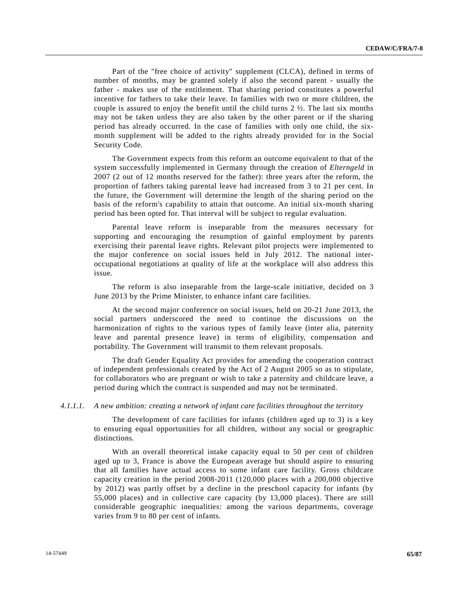Part of the "free choice of activity" supplement (CLCA), defined in terms of number of months, may be granted solely if also the second parent - usually the father - makes use of the entitlement. That sharing period constitutes a powerful incentive for fathers to take their leave. In families with two or more children, the couple is assured to enjoy the benefit until the child turns  $2 \frac{1}{2}$ . The last six months may not be taken unless they are also taken by the other parent or if the sharing period has already occurred. In the case of families with only one child, the sixmonth supplement will be added to the rights already provided for in the Social Security Code.

The Government expects from this reform an outcome equivalent to that of the system successfully implemented in Germany through the creation of *Elterngeld* in 2007 (2 out of 12 months reserved for the father): three years after the reform, the proportion of fathers taking parental leave had increased from 3 to 21 per cent. In the future, the Government will determine the length of the sharing period on the basis of the reform's capability to attain that outcome. An initial six-month sharing period has been opted for. That interval will be subject to regular evaluation.

Parental leave reform is inseparable from the measures necessary for supporting and encouraging the resumption of gainful employment by parents exercising their parental leave rights. Relevant pilot projects were implemented to the major conference on social issues held in July 2012. The national interoccupational negotiations at quality of life at the workplace will also address this issue.

The reform is also inseparable from the large-scale initiative, decided on 3 June 2013 by the Prime Minister, to enhance infant care facilities.

At the second major conference on social issues, held on 20-21 June 2013, the social partners underscored the need to continue the discussions on the harmonization of rights to the various types of family leave (inter alia, paternity leave and parental presence leave) in terms of eligibility, compensation and portability. The Government will transmit to them relevant proposals.

The draft Gender Equality Act provides for amending the cooperation contract of independent professionals created by the Act of 2 August 2005 so as to stipulate, for collaborators who are pregnant or wish to take a paternity and childcare leave, a period during which the contract is suspended and may not be terminated.

# *4.1.1.1. A new ambition: creating a network of infant care facilities throughout the territory*

The development of care facilities for infants (children aged up to 3) is a key to ensuring equal opportunities for all children, without any social or geographic distinctions.

With an overall theoretical intake capacity equal to 50 per cent of children aged up to 3, France is above the European average but should aspire to ensuring that all families have actual access to some infant care facility. Gross childcare capacity creation in the period 2008-2011 (120,000 places with a 200,000 objective by 2012) was partly offset by a decline in the preschool capacity for infants (by 55,000 places) and in collective care capacity (by 13,000 places). There are still considerable geographic inequalities: among the various departments, coverage varies from 9 to 80 per cent of infants.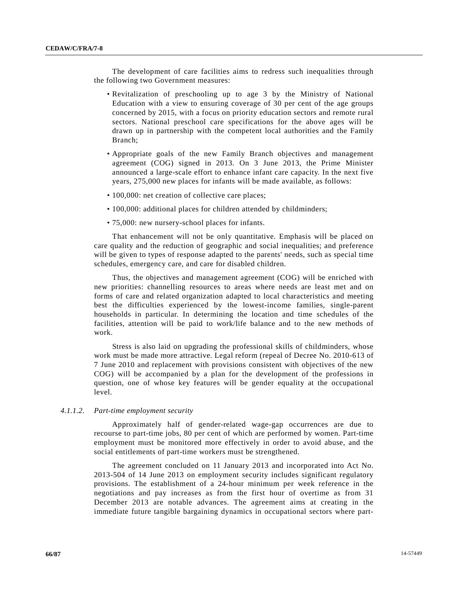The development of care facilities aims to redress such inequalities through the following two Government measures:

- Revitalization of preschooling up to age 3 by the Ministry of National Education with a view to ensuring coverage of 30 per cent of the age groups concerned by 2015, with a focus on priority education sectors and remote rural sectors. National preschool care specifications for the above ages will be drawn up in partnership with the competent local authorities and the Family Branch;
- Appropriate goals of the new Family Branch objectives and management agreement (COG) signed in 2013. On 3 June 2013, the Prime Minister announced a large-scale effort to enhance infant care capacity. In the next five years, 275,000 new places for infants will be made available, as follows:
- 100,000: net creation of collective care places;
- 100,000: additional places for children attended by childminders;
- 75,000: new nursery-school places for infants.

That enhancement will not be only quantitative. Emphasis will be placed on care quality and the reduction of geographic and social inequalities; and preference will be given to types of response adapted to the parents' needs, such as special time schedules, emergency care, and care for disabled children.

Thus, the objectives and management agreement (COG) will be enriched with new priorities: channelling resources to areas where needs are least met and on forms of care and related organization adapted to local characteristics and meeting best the difficulties experienced by the lowest-income families, single-parent households in particular. In determining the location and time schedules of the facilities, attention will be paid to work/life balance and to the new methods of work.

Stress is also laid on upgrading the professional skills of childminders, whose work must be made more attractive. Legal reform (repeal of Decree No. 2010-613 of 7 June 2010 and replacement with provisions consistent with objectives of the new COG) will be accompanied by a plan for the development of the professions in question, one of whose key features will be gender equality at the occupational level.

# *4.1.1.2. Part-time employment security*

Approximately half of gender-related wage-gap occurrences are due to recourse to part-time jobs, 80 per cent of which are performed by women. Part-time employment must be monitored more effectively in order to avoid abuse, and the social entitlements of part-time workers must be strengthened.

The agreement concluded on 11 January 2013 and incorporated into Act No. 2013-504 of 14 June 2013 on employment security includes significant regulatory provisions. The establishment of a 24-hour minimum per week reference in the negotiations and pay increases as from the first hour of overtime as from 31 December 2013 are notable advances. The agreement aims at creating in the immediate future tangible bargaining dynamics in occupational sectors where part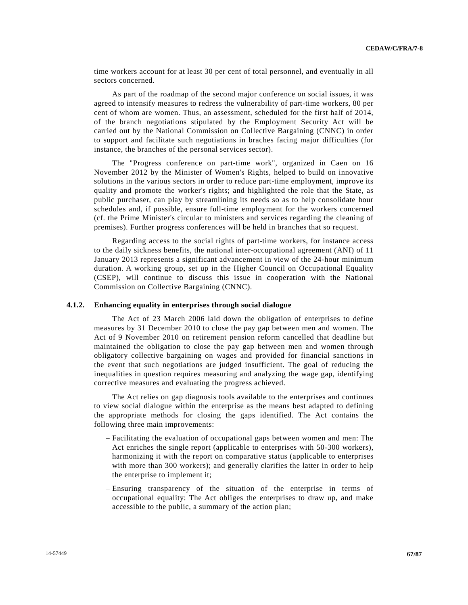time workers account for at least 30 per cent of total personnel, and eventually in all sectors concerned.

As part of the roadmap of the second major conference on social issues, it was agreed to intensify measures to redress the vulnerability of part-time workers, 80 per cent of whom are women. Thus, an assessment, scheduled for the first half of 2014, of the branch negotiations stipulated by the Employment Security Act will be carried out by the National Commission on Collective Bargaining (CNNC) in order to support and facilitate such negotiations in braches facing major difficulties (for instance, the branches of the personal services sector).

The "Progress conference on part-time work", organized in Caen on 16 November 2012 by the Minister of Women's Rights, helped to build on innovative solutions in the various sectors in order to reduce part-time employment, improve its quality and promote the worker's rights; and highlighted the role that the State, as public purchaser, can play by streamlining its needs so as to help consolidate hour schedules and, if possible, ensure full-time employment for the workers concerned (cf. the Prime Minister's circular to ministers and services regarding the cleaning of premises). Further progress conferences will be held in branches that so request.

Regarding access to the social rights of part-time workers, for instance access to the daily sickness benefits, the national inter-occupational agreement (ANI) of 11 January 2013 represents a significant advancement in view of the 24-hour minimum duration. A working group, set up in the Higher Council on Occupational Equality (CSEP), will continue to discuss this issue in cooperation with the National Commission on Collective Bargaining (CNNC).

#### **4.1.2. Enhancing equality in enterprises through social dialogue**

The Act of 23 March 2006 laid down the obligation of enterprises to define measures by 31 December 2010 to close the pay gap between men and women. The Act of 9 November 2010 on retirement pension reform cancelled that deadline but maintained the obligation to close the pay gap between men and women through obligatory collective bargaining on wages and provided for financial sanctions in the event that such negotiations are judged insufficient. The goal of reducing the inequalities in question requires measuring and analyzing the wage gap, identifying corrective measures and evaluating the progress achieved.

The Act relies on gap diagnosis tools available to the enterprises and continues to view social dialogue within the enterprise as the means best adapted to defining the appropriate methods for closing the gaps identified. The Act contains the following three main improvements:

- Facilitating the evaluation of occupational gaps between women and men: The Act enriches the single report (applicable to enterprises with 50-300 workers), harmonizing it with the report on comparative status (applicable to enterprises with more than 300 workers); and generally clarifies the latter in order to help the enterprise to implement it;
- Ensuring transparency of the situation of the enterprise in terms of occupational equality: The Act obliges the enterprises to draw up, and make accessible to the public, a summary of the action plan;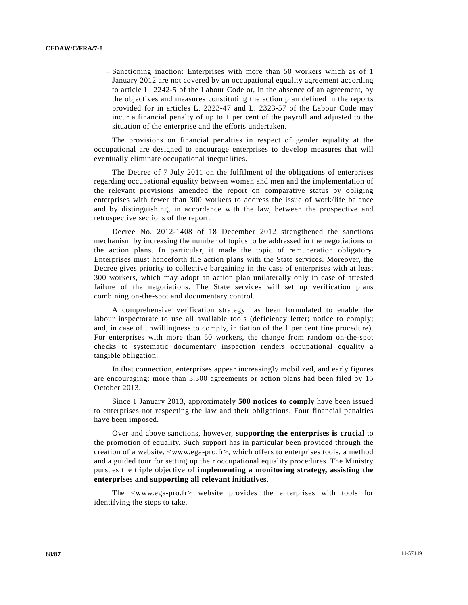– Sanctioning inaction: Enterprises with more than 50 workers which as of 1 January 2012 are not covered by an occupational equality agreement according to article L. 2242-5 of the Labour Code or, in the absence of an agreement, by the objectives and measures constituting the action plan defined in the reports provided for in articles L. 2323-47 and L. 2323-57 of the Labour Code may incur a financial penalty of up to 1 per cent of the payroll and adjusted to the situation of the enterprise and the efforts undertaken.

The provisions on financial penalties in respect of gender equality at the occupational are designed to encourage enterprises to develop measures that will eventually eliminate occupational inequalities.

The Decree of 7 July 2011 on the fulfilment of the obligations of enterprises regarding occupational equality between women and men and the implementation of the relevant provisions amended the report on comparative status by obliging enterprises with fewer than 300 workers to address the issue of work/life balance and by distinguishing, in accordance with the law, between the prospective and retrospective sections of the report.

Decree No. 2012-1408 of 18 December 2012 strengthened the sanctions mechanism by increasing the number of topics to be addressed in the negotiations or the action plans. In particular, it made the topic of remuneration obligatory. Enterprises must henceforth file action plans with the State services. Moreover, the Decree gives priority to collective bargaining in the case of enterprises with at least 300 workers, which may adopt an action plan unilaterally only in case of attested failure of the negotiations. The State services will set up verification plans combining on-the-spot and documentary control.

A comprehensive verification strategy has been formulated to enable the labour inspectorate to use all available tools (deficiency letter; notice to comply; and, in case of unwillingness to comply, initiation of the 1 per cent fine procedure). For enterprises with more than 50 workers, the change from random on-the-spot checks to systematic documentary inspection renders occupational equality a tangible obligation.

In that connection, enterprises appear increasingly mobilized, and early figures are encouraging: more than 3,300 agreements or action plans had been filed by 15 October 2013.

Since 1 January 2013, approximately **500 notices to comply** have been issued to enterprises not respecting the law and their obligations. Four financial penalties have been imposed.

Over and above sanctions, however, **supporting the enterprises is crucial** to the promotion of equality. Such support has in particular been provided through the creation of a website, <www.ega-pro.fr>, which offers to enterprises tools, a method and a guided tour for setting up their occupational equality procedures. The Ministry pursues the triple objective of **implementing a monitoring strategy, assisting the enterprises and supporting all relevant initiatives**.

The <www.ega-pro.fr> website provides the enterprises with tools for identifying the steps to take.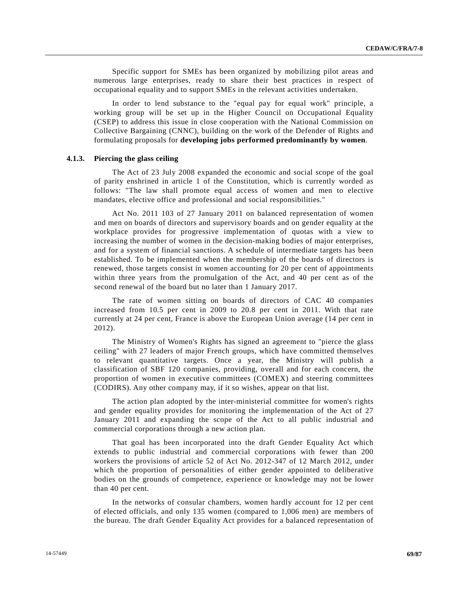Specific support for SMEs has been organized by mobilizing pilot areas and numerous large enterprises, ready to share their best practices in respect of occupational equality and to support SMEs in the relevant activities undertaken.

In order to lend substance to the "equal pay for equal work" principle, a working group will be set up in the Higher Council on Occupational Equality (CSEP) to address this issue in close cooperation with the National Commission on Collective Bargaining (CNNC), building on the work of the Defender of Rights and formulating proposals for **developing jobs performed predominantly by women**.

### **4.1.3. Piercing the glass ceiling**

The Act of 23 July 2008 expanded the economic and social scope of the goal of parity enshrined in article 1 of the Constitution, which is currently worded as follows: "The law shall promote equal access of women and men to elective mandates, elective office and professional and social responsibilities."

Act No. 2011 103 of 27 January 2011 on balanced representation of women and men on boards of directors and supervisory boards and on gender equality at the workplace provides for progressive implementation of quotas with a view to increasing the number of women in the decision-making bodies of major enterprises, and for a system of financial sanctions. A schedule of intermediate targets has been established. To be implemented when the membership of the boards of directors is renewed, those targets consist in women accounting for 20 per cent of appointments within three years from the promulgation of the Act, and 40 per cent as of the second renewal of the board but no later than 1 January 2017.

The rate of women sitting on boards of directors of CAC 40 companies increased from 10.5 per cent in 2009 to 20.8 per cent in 2011. With that rate currently at 24 per cent, France is above the European Union average (14 per cent in 2012).

The Ministry of Women's Rights has signed an agreement to "pierce the glass ceiling" with 27 leaders of major French groups, which have committed themselves to relevant quantitative targets. Once a year, the Ministry will publish a classification of SBF 120 companies, providing, overall and for each concern, the proportion of women in executive committees (COMEX) and steering committees (CODIRS). Any other company may, if it so wishes, appear on that list.

The action plan adopted by the inter-ministerial committee for women's rights and gender equality provides for monitoring the implementation of the Act of 27 January 2011 and expanding the scope of the Act to all public industrial and commercial corporations through a new action plan.

That goal has been incorporated into the draft Gender Equality Act which extends to public industrial and commercial corporations with fewer than 200 workers the provisions of article 52 of Act No. 2012-347 of 12 March 2012, under which the proportion of personalities of either gender appointed to deliberative bodies on the grounds of competence, experience or knowledge may not be lower than 40 per cent.

In the networks of consular chambers, women hardly account for 12 per cent of elected officials, and only 135 women (compared to 1,006 men) are members of the bureau. The draft Gender Equality Act provides for a balanced representation of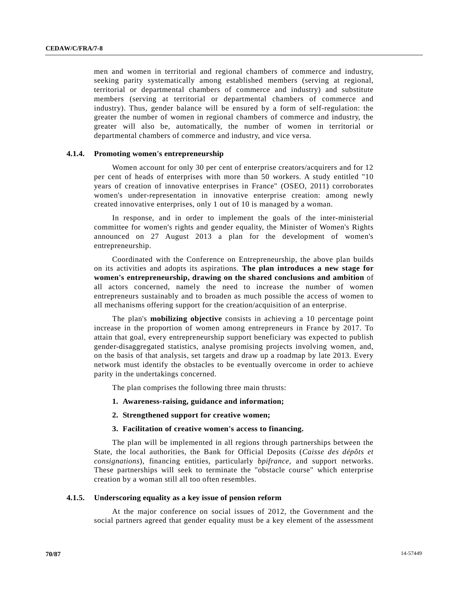men and women in territorial and regional chambers of commerce and industry, seeking parity systematically among established members (serving at regional, territorial or departmental chambers of commerce and industry) and substitute members (serving at territorial or departmental chambers of commerce and industry). Thus, gender balance will be ensured by a form of self-regulation: the greater the number of women in regional chambers of commerce and industry, the greater will also be, automatically, the number of women in territorial or departmental chambers of commerce and industry, and vice versa.

### **4.1.4. Promoting women's entrepreneurship**

Women account for only 30 per cent of enterprise creators/acquirers and for 12 per cent of heads of enterprises with more than 50 workers. A study entitled "10 years of creation of innovative enterprises in France" (OSEO, 2011) corroborates women's under-representation in innovative enterprise creation: among newly created innovative enterprises, only 1 out of 10 is managed by a woman.

In response, and in order to implement the goals of the inter-ministerial committee for women's rights and gender equality, the Minister of Women's Rights announced on 27 August 2013 a plan for the development of women's entrepreneurship.

Coordinated with the Conference on Entrepreneurship, the above plan builds on its activities and adopts its aspirations. **The plan introduces a new stage for women's entrepreneurship, drawing on the shared conclusions and ambition** of all actors concerned, namely the need to increase the number of women entrepreneurs sustainably and to broaden as much possible the access of women to all mechanisms offering support for the creation/acquisition of an enterprise.

The plan's **mobilizing objective** consists in achieving a 10 percentage point increase in the proportion of women among entrepreneurs in France by 2017. To attain that goal, every entrepreneurship support beneficiary was expected to publish gender-disaggregated statistics, analyse promising projects involving women, and, on the basis of that analysis, set targets and draw up a roadmap by late 2013. Every network must identify the obstacles to be eventually overcome in order to achieve parity in the undertakings concerned.

The plan comprises the following three main thrusts:

- **1. Awareness-raising, guidance and information;**
- **2. Strengthened support for creative women;**

# **3. Facilitation of creative women's access to financing.**

The plan will be implemented in all regions through partnerships between the State, the local authorities, the Bank for Official Deposits (*Caisse des dépôts et consignations*), financing entities, particularly *bpifrance*, and support networks. These partnerships will seek to terminate the "obstacle course" which enterprise creation by a woman still all too often resembles.

# **4.1.5. Underscoring equality as a key issue of pension reform**

At the major conference on social issues of 2012, the Government and the social partners agreed that gender equality must be a key element of the assessment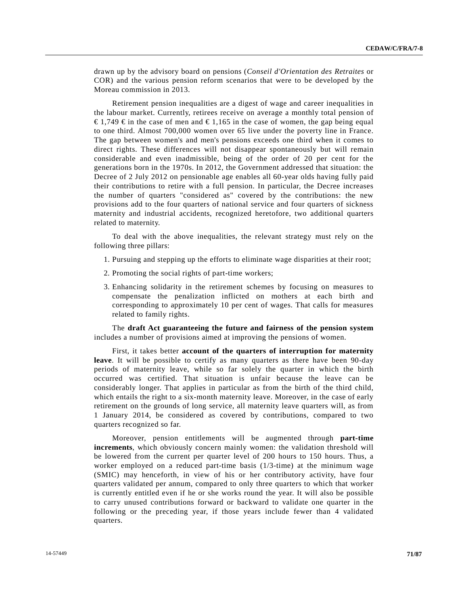drawn up by the advisory board on pensions (*Conseil d'Orientation des Retraites* or COR) and the various pension reform scenarios that were to be developed by the Moreau commission in 2013.

Retirement pension inequalities are a digest of wage and career inequalities in the labour market. Currently, retirees receive on average a monthly total pension of €1,749 € in the case of men and €1,165 in the case of women, the gap being equal to one third. Almost 700,000 women over 65 live under the poverty line in France. The gap between women's and men's pensions exceeds one third when it comes to direct rights. These differences will not disappear spontaneously but will remain considerable and even inadmissible, being of the order of 20 per cent for the generations born in the 1970s. In 2012, the Government addressed that situation: the Decree of 2 July 2012 on pensionable age enables all 60-year olds having fully paid their contributions to retire with a full pension. In particular, the Decree increases the number of quarters "considered as" covered by the contributions: the new provisions add to the four quarters of national service and four quarters of sickness maternity and industrial accidents, recognized heretofore, two additional quarters related to maternity.

To deal with the above inequalities, the relevant strategy must rely on the following three pillars:

- 1. Pursuing and stepping up the efforts to eliminate wage disparities at their root;
- 2. Promoting the social rights of part-time workers;
- 3. Enhancing solidarity in the retirement schemes by focusing on measures to compensate the penalization inflicted on mothers at each birth and corresponding to approximately 10 per cent of wages. That calls for measures related to family rights.

The **draft Act guaranteeing the future and fairness of the pension system** includes a number of provisions aimed at improving the pensions of women.

First, it takes better **account of the quarters of interruption for maternity leave**. It will be possible to certify as many quarters as there have been 90-day periods of maternity leave, while so far solely the quarter in which the birth occurred was certified. That situation is unfair because the leave can be considerably longer. That applies in particular as from the birth of the third child, which entails the right to a six-month maternity leave. Moreover, in the case of early retirement on the grounds of long service, all maternity leave quarters will, as from 1 January 2014, be considered as covered by contributions, compared to two quarters recognized so far.

Moreover, pension entitlements will be augmented through **part-time increments**, which obviously concern mainly women: the validation threshold will be lowered from the current per quarter level of 200 hours to 150 hours. Thus, a worker employed on a reduced part-time basis  $(1/3$ -time) at the minimum wage (SMIC) may henceforth, in view of his or her contributory activity, have four quarters validated per annum, compared to only three quarters to which that worker is currently entitled even if he or she works round the year. It will also be possible to carry unused contributions forward or backward to validate one quarter in the following or the preceding year, if those years include fewer than 4 validated quarters.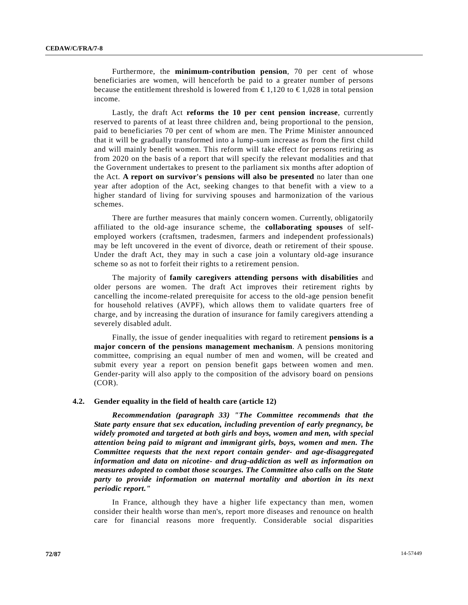Furthermore, the **minimum-contribution pension**, 70 per cent of whose beneficiaries are women, will henceforth be paid to a greater number of persons because the entitlement threshold is lowered from  $\epsilon 1,120$  to  $\epsilon 1,028$  in total pension income.

Lastly, the draft Act **reforms the 10 per cent pension increase**, currently reserved to parents of at least three children and, being proportional to the pension, paid to beneficiaries 70 per cent of whom are men. The Prime Minister announced that it will be gradually transformed into a lump-sum increase as from the first child and will mainly benefit women. This reform will take effect for persons retiring as from 2020 on the basis of a report that will specify the relevant modalities and that the Government undertakes to present to the parliament six months after adoption of the Act. **A report on survivor's pensions will also be presented** no later than one year after adoption of the Act, seeking changes to that benefit with a view to a higher standard of living for surviving spouses and harmonization of the various schemes.

There are further measures that mainly concern women. Currently, obligatorily affiliated to the old-age insurance scheme, the **collaborating spouses** of selfemployed workers (craftsmen, tradesmen, farmers and independent professionals) may be left uncovered in the event of divorce, death or retirement of their spouse. Under the draft Act, they may in such a case join a voluntary old-age insurance scheme so as not to forfeit their rights to a retirement pension.

The majority of **family caregivers attending persons with disabilities** and older persons are women. The draft Act improves their retirement rights by cancelling the income-related prerequisite for access to the old-age pension benefit for household relatives (AVPF), which allows them to validate quarters free of charge, and by increasing the duration of insurance for family caregivers attending a severely disabled adult.

Finally, the issue of gender inequalities with regard to retirement **pensions is a major concern of the pensions management mechanism**. A pensions monitoring committee, comprising an equal number of men and women, will be created and submit every year a report on pension benefit gaps between women and men. Gender-parity will also apply to the composition of the advisory board on pensions (COR).

# **4.2. Gender equality in the field of health care (article 12)**

*Recommendation (paragraph 33) "The Committee recommends that the State party ensure that sex education, including prevention of early pregnancy, be widely promoted and targeted at both girls and boys, women and men, with special attention being paid to migrant and immigrant girls, boys, women and men. The Committee requests that the next report contain gender- and age-disaggregated information and data on nicotine- and drug-addiction as well as information on measures adopted to combat those scourges. The Committee also calls on the State party to provide information on maternal mortality and abortion in its next periodic report."*

In France, although they have a higher life expectancy than men, women consider their health worse than men's, report more diseases and renounce on health care for financial reasons more frequently. Considerable social disparities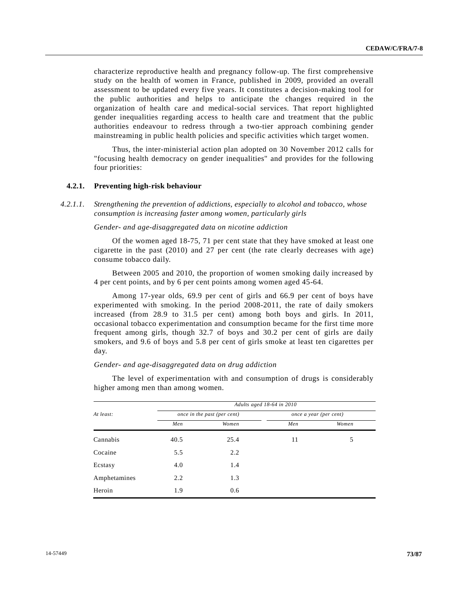characterize reproductive health and pregnancy follow-up. The first comprehensive study on the health of women in France, published in 2009, provided an overall assessment to be updated every five years. It constitutes a decision-making tool for the public authorities and helps to anticipate the changes required in the organization of health care and medical-social services. That report highlighted gender inequalities regarding access to health care and treatment that the public authorities endeavour to redress through a two-tier approach combining gender mainstreaming in public health policies and specific activities which target women.

Thus, the inter-ministerial action plan adopted on 30 November 2012 calls for "focusing health democracy on gender inequalities" and provides for the following four priorities:

### **4.2.1. Preventing high-risk behaviour**

*4.2.1.1. Strengthening the prevention of addictions, especially to alcohol and tobacco, whose consumption is increasing faster among women, particularly girls*

#### *Gender- and age-disaggregated data on nicotine addiction*

Of the women aged 18-75, 71 per cent state that they have smoked at least one cigarette in the past (2010) and 27 per cent (the rate clearly decreases with age) consume tobacco daily.

Between 2005 and 2010, the proportion of women smoking daily increased by 4 per cent points, and by 6 per cent points among women aged 45-64.

Among 17-year olds, 69.9 per cent of girls and 66.9 per cent of boys have experimented with smoking. In the period 2008-2011, the rate of daily smokers increased (from 28.9 to 31.5 per cent) among both boys and girls. In 2011, occasional tobacco experimentation and consumption became for the first time more frequent among girls, though 32.7 of boys and 30.2 per cent of girls are daily smokers, and 9.6 of boys and 5.8 per cent of girls smoke at least ten cigarettes per day.

### *Gender- and age-disaggregated data on drug addiction*

The level of experimentation with and consumption of drugs is considerably higher among men than among women.

| At least:    | Adults aged 18-64 in 2010 |                             |                        |       |  |  |  |
|--------------|---------------------------|-----------------------------|------------------------|-------|--|--|--|
|              |                           | once in the past (per cent) | once a year (per cent) |       |  |  |  |
|              | Men                       | Women                       | Men                    | Women |  |  |  |
| Cannabis     | 40.5                      | 25.4                        | 11                     | 5     |  |  |  |
| Cocaine      | 5.5                       | 2.2                         |                        |       |  |  |  |
| Ecstasy      | 4.0                       | 1.4                         |                        |       |  |  |  |
| Amphetamines | 2.2                       | 1.3                         |                        |       |  |  |  |
| Heroin       | 1.9                       | 0.6                         |                        |       |  |  |  |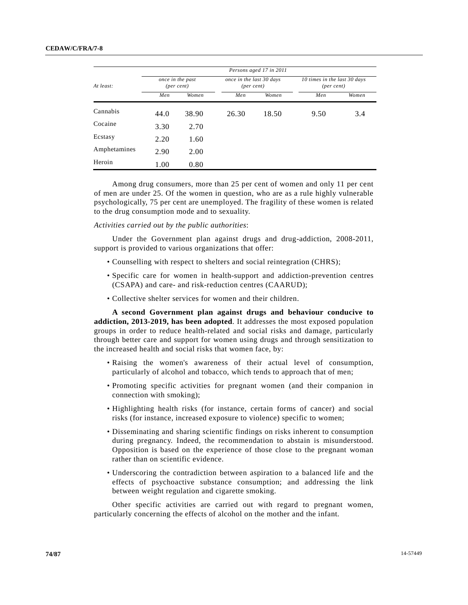| At least:    | Persons aged 17 in 2011                 |       |                                             |       |                                                     |       |  |  |
|--------------|-----------------------------------------|-------|---------------------------------------------|-------|-----------------------------------------------------|-------|--|--|
|              | once in the past<br>$(\text{per cent})$ |       | once in the last 30 days<br>$(per \; cent)$ |       | 10 times in the last 30 days<br>$(\text{per cent})$ |       |  |  |
|              | Men                                     | Women | Men                                         | Women | Men                                                 | Women |  |  |
| Cannabis     | 44.0                                    | 38.90 | 26.30                                       | 18.50 | 9.50                                                | 3.4   |  |  |
| Cocaine      | 3.30                                    | 2.70  |                                             |       |                                                     |       |  |  |
| Ecstasy      | 2.20                                    | 1.60  |                                             |       |                                                     |       |  |  |
| Amphetamines | 2.90                                    | 2.00  |                                             |       |                                                     |       |  |  |
| Heroin       | 1.00                                    | 0.80  |                                             |       |                                                     |       |  |  |

Among drug consumers, more than 25 per cent of women and only 11 per cent of men are under 25. Of the women in question, who are as a rule highly vulnerable psychologically, 75 per cent are unemployed. The fragility of these women is related to the drug consumption mode and to sexuality.

## *Activities carried out by the public authorities*:

Under the Government plan against drugs and drug-addiction, 2008-2011, support is provided to various organizations that offer:

- Counselling with respect to shelters and social reintegration (CHRS);
- Specific care for women in health-support and addiction-prevention centres (CSAPA) and care- and risk-reduction centres (CAARUD);
- Collective shelter services for women and their children.

**A second Government plan against drugs and behaviour conducive to addiction, 2013-2019, has been adopted**. It addresses the most exposed population groups in order to reduce health-related and social risks and damage, particularly through better care and support for women using drugs and through sensitization to the increased health and social risks that women face, by:

- Raising the women's awareness of their actual level of consumption, particularly of alcohol and tobacco, which tends to approach that of men;
- Promoting specific activities for pregnant women (and their companion in connection with smoking);
- Highlighting health risks (for instance, certain forms of cancer) and social risks (for instance, increased exposure to violence) specific to women;
- Disseminating and sharing scientific findings on risks inherent to consumption during pregnancy. Indeed, the recommendation to abstain is misunderstood. Opposition is based on the experience of those close to the pregnant woman rather than on scientific evidence.
- Underscoring the contradiction between aspiration to a balanced life and the effects of psychoactive substance consumption; and addressing the link between weight regulation and cigarette smoking.

Other specific activities are carried out with regard to pregnant women, particularly concerning the effects of alcohol on the mother and the infant.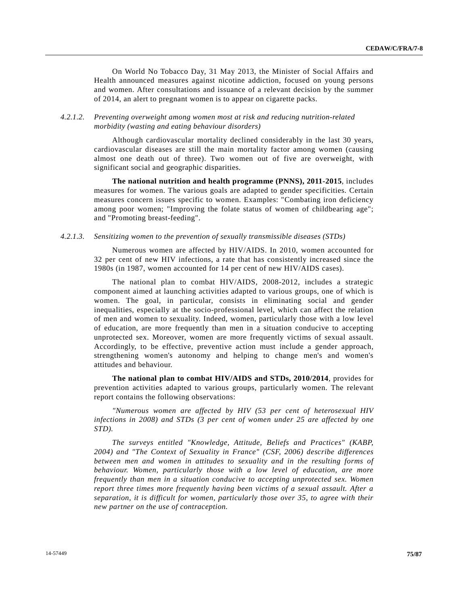On World No Tobacco Day, 31 May 2013, the Minister of Social Affairs and Health announced measures against nicotine addiction, focused on young persons and women. After consultations and issuance of a relevant decision by the summer of 2014, an alert to pregnant women is to appear on cigarette packs.

# *4.2.1.2. Preventing overweight among women most at risk and reducing nutrition-related morbidity (wasting and eating behaviour disorders)*

Although cardiovascular mortality declined considerably in the last 30 years, cardiovascular diseases are still the main mortality factor among women (causing almost one death out of three). Two women out of five are overweight, with significant social and geographic disparities.

**The national nutrition and health programme (PNNS), 2011-2015**, includes measures for women. The various goals are adapted to gender specificities. Certain measures concern issues specific to women. Examples: "Combating iron deficiency among poor women; "Improving the folate status of women of childbearing age"; and "Promoting breast-feeding".

# *4.2.1.3. Sensitizing women to the prevention of sexually transmissible diseases (STDs)*

Numerous women are affected by HIV/AIDS. In 2010, women accounted for 32 per cent of new HIV infections, a rate that has consistently increased since the 1980s (in 1987, women accounted for 14 per cent of new HIV/AIDS cases).

The national plan to combat HIV/AIDS, 2008-2012, includes a strategic component aimed at launching activities adapted to various groups, one of which is women. The goal, in particular, consists in eliminating social and gender inequalities, especially at the socio-professional level, which can affect the relation of men and women to sexuality. Indeed, women, particularly those with a low level of education, are more frequently than men in a situation conducive to accepting unprotected sex. Moreover, women are more frequently victims of sexual assault. Accordingly, to be effective, preventive action must include a gender approach, strengthening women's autonomy and helping to change men's and women's attitudes and behaviour.

**The national plan to combat HIV/AIDS and STDs, 2010/2014**, provides for prevention activities adapted to various groups, particularly women. The relevant report contains the following observations:

*"Numerous women are affected by HIV (53 per cent of heterosexual HIV infections in 2008) and STDs (3 per cent of women under 25 are affected by one STD).*

*The surveys entitled "Knowledge, Attitude, Beliefs and Practices" (KABP, 2004) and "The Context of Sexuality in France" (CSF, 2006) describe differences between men and women in attitudes to sexuality and in the resulting forms of behaviour. Women, particularly those with a low level of education, are more frequently than men in a situation conducive to accepting unprotected sex. Women report three times more frequently having been victims of a sexual assault. After a separation, it is difficult for women, particularly those over 35, to agree with their new partner on the use of contraception.*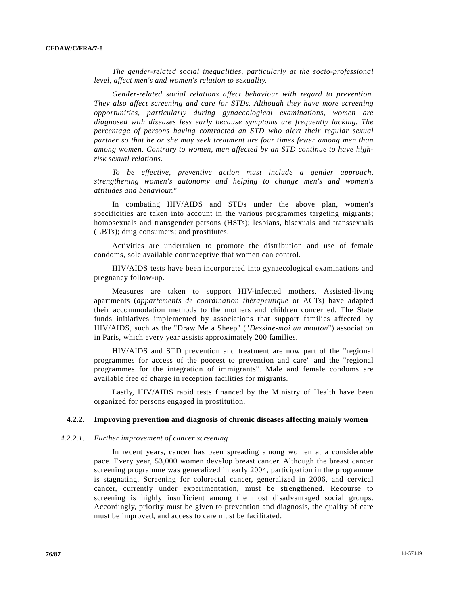*The gender-related social inequalities, particularly at the socio-professional level, affect men's and women's relation to sexuality.*

*Gender-related social relations affect behaviour with regard to prevention. They also affect screening and care for STDs. Although they have more screening opportunities, particularly during gynaecological examinations, women are diagnosed with diseases less early because symptoms are frequently lacking. The percentage of persons having contracted an STD who alert their regular sexual partner so that he or she may seek treatment are four times fewer among men than among women. Contrary to women, men affected by an STD continue to have highrisk sexual relations.*

*To be effective, preventive action must include a gender approach, strengthening women's autonomy and helping to change men's and women's attitudes and behaviour."*

In combating HIV/AIDS and STDs under the above plan, women's specificities are taken into account in the various programmes targeting migrants; homosexuals and transgender persons (HSTs); lesbians, bisexuals and transsexuals (LBTs); drug consumers; and prostitutes.

Activities are undertaken to promote the distribution and use of female condoms, sole available contraceptive that women can control.

HIV/AIDS tests have been incorporated into gynaecological examinations and pregnancy follow-up.

Measures are taken to support HIV-infected mothers. Assisted-living apartments (*appartements de coordination thérapeutique* or ACTs) have adapted their accommodation methods to the mothers and children concerned. The State funds initiatives implemented by associations that support families affected by HIV/AIDS, such as the "Draw Me a Sheep" ("*Dessine-moi un mouton*") association in Paris, which every year assists approximately 200 families.

HIV/AIDS and STD prevention and treatment are now part of the "regional programmes for access of the poorest to prevention and care" and the "regional programmes for the integration of immigrants". Male and female condoms are available free of charge in reception facilities for migrants.

Lastly, HIV/AIDS rapid tests financed by the Ministry of Health have been organized for persons engaged in prostitution.

# **4.2.2. Improving prevention and diagnosis of chronic diseases affecting mainly women**

## *4.2.2.1. Further improvement of cancer screening*

In recent years, cancer has been spreading among women at a considerable pace. Every year, 53,000 women develop breast cancer. Although the breast cancer screening programme was generalized in early 2004, participation in the programme is stagnating. Screening for colorectal cancer, generalized in 2006, and cervical cancer, currently under experimentation, must be strengthened. Recourse to screening is highly insufficient among the most disadvantaged social groups. Accordingly, priority must be given to prevention and diagnosis, the quality of care must be improved, and access to care must be facilitated.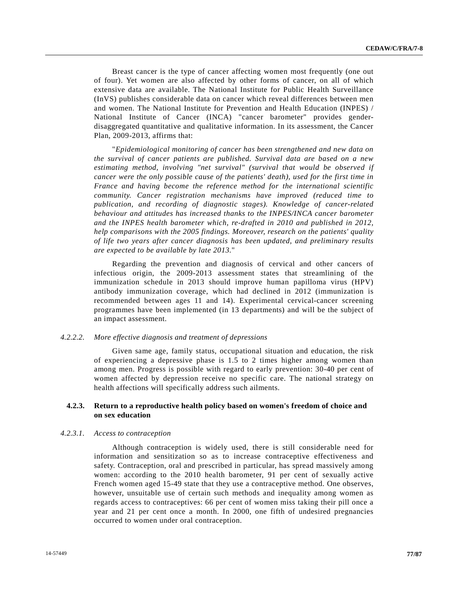Breast cancer is the type of cancer affecting women most frequently (one out of four). Yet women are also affected by other forms of cancer, on all of which extensive data are available. The National Institute for Public Health Surveillance (InVS) publishes considerable data on cancer which reveal differences between men and women. The National Institute for Prevention and Health Education (INPES) / National Institute of Cancer (INCA) "cancer barometer" provides genderdisaggregated quantitative and qualitative information. In its assessment, the Cancer Plan, 2009-2013, affirms that:

"*Epidemiological monitoring of cancer has been strengthened and new data on the survival of cancer patients are published. Survival data are based on a new estimating method, involving "net survival" (survival that would be observed if cancer were the only possible cause of the patients' death), used for the first time in France and having become the reference method for the international scientific community. Cancer registration mechanisms have improved (reduced time to publication, and recording of diagnostic stages). Knowledge of cancer-related behaviour and attitudes has increased thanks to the INPES/INCA cancer barometer and the INPES health barometer which, re-drafted in 2010 and published in 2012, help comparisons with the 2005 findings. Moreover, research on the patients' quality of life two years after cancer diagnosis has been updated, and preliminary results are expected to be available by late 2013.*"

Regarding the prevention and diagnosis of cervical and other cancers of infectious origin, the 2009-2013 assessment states that streamlining of the immunization schedule in 2013 should improve human papilloma virus (HPV) antibody immunization coverage, which had declined in 2012 (immunization is recommended between ages 11 and 14). Experimental cervical-cancer screening programmes have been implemented (in 13 departments) and will be the subject of an impact assessment.

### *4.2.2.2. More effective diagnosis and treatment of depressions*

Given same age, family status, occupational situation and education, the risk of experiencing a depressive phase is 1.5 to 2 times higher among women than among men. Progress is possible with regard to early prevention: 30-40 per cent of women affected by depression receive no specific care. The national strategy on health affections will specifically address such ailments.

# **4.2.3. Return to a reproductive health policy based on women's freedom of choice and on sex education**

# *4.2.3.1. Access to contraception*

Although contraception is widely used, there is still considerable need for information and sensitization so as to increase contraceptive effectiveness and safety. Contraception, oral and prescribed in particular, has spread massively among women: according to the 2010 health barometer, 91 per cent of sexually active French women aged 15-49 state that they use a contraceptive method. One observes, however, unsuitable use of certain such methods and inequality among women as regards access to contraceptives: 66 per cent of women miss taking their pill once a year and 21 per cent once a month. In 2000, one fifth of undesired pregnancies occurred to women under oral contraception.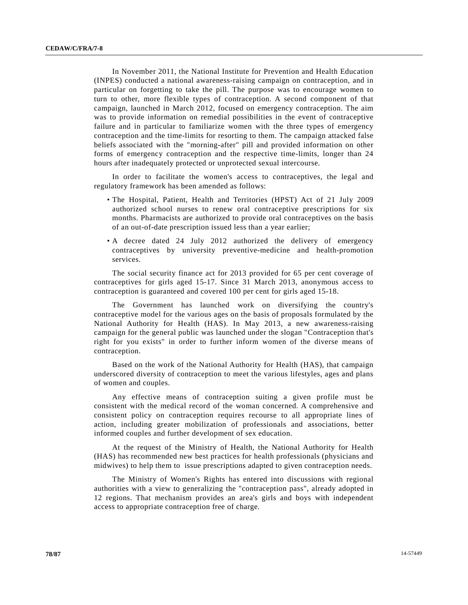In November 2011, the National Institute for Prevention and Health Education (INPES) conducted a national awareness-raising campaign on contraception, and in particular on forgetting to take the pill. The purpose was to encourage women to turn to other, more flexible types of contraception. A second component of that campaign, launched in March 2012, focused on emergency contraception. The aim was to provide information on remedial possibilities in the event of contraceptive failure and in particular to familiarize women with the three types of emergency contraception and the time-limits for resorting to them. The campaign attacked false beliefs associated with the "morning-after" pill and provided information on other forms of emergency contraception and the respective time-limits, longer than 24 hours after inadequately protected or unprotected sexual intercourse.

In order to facilitate the women's access to contraceptives, the legal and regulatory framework has been amended as follows:

- The Hospital, Patient, Health and Territories (HPST) Act of 21 July 2009 authorized school nurses to renew oral contraceptive prescriptions for six months. Pharmacists are authorized to provide oral contraceptives on the basis of an out-of-date prescription issued less than a year earlier;
- A decree dated 24 July 2012 authorized the delivery of emergency contraceptives by university preventive-medicine and health-promotion services.

The social security finance act for 2013 provided for 65 per cent coverage of contraceptives for girls aged 15-17. Since 31 March 2013, anonymous access to contraception is guaranteed and covered 100 per cent for girls aged 15-18.

The Government has launched work on diversifying the country's contraceptive model for the various ages on the basis of proposals formulated by the National Authority for Health (HAS). In May 2013, a new awareness-raising campaign for the general public was launched under the slogan "Contraception that's right for you exists" in order to further inform women of the diverse means of contraception.

Based on the work of the National Authority for Health (HAS), that campaign underscored diversity of contraception to meet the various lifestyles, ages and plans of women and couples.

Any effective means of contraception suiting a given profile must be consistent with the medical record of the woman concerned. A comprehensive and consistent policy on contraception requires recourse to all appropriate lines of action, including greater mobilization of professionals and associations, better informed couples and further development of sex education.

At the request of the Ministry of Health, the National Authority for Health (HAS) has recommended new best practices for health professionals (physicians and midwives) to help them to issue prescriptions adapted to given contraception needs.

The Ministry of Women's Rights has entered into discussions with regional authorities with a view to generalizing the "contraception pass", already adopted in 12 regions. That mechanism provides an area's girls and boys with independent access to appropriate contraception free of charge.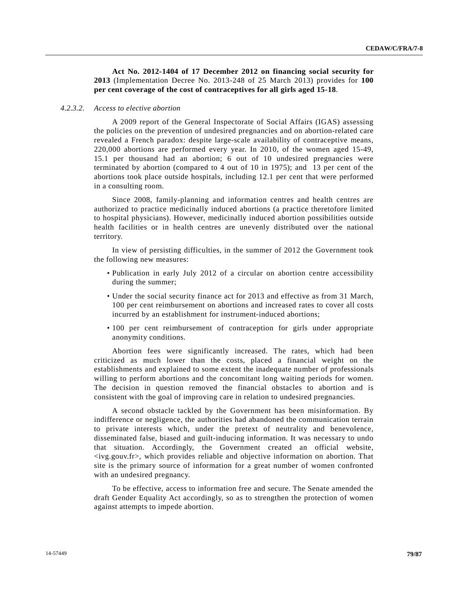**Act No. 2012-1404 of 17 December 2012 on financing social security for 2013** (Implementation Decree No. 2013-248 of 25 March 2013) provides for **100 per cent coverage of the cost of contraceptives for all girls aged 15-18**.

#### *4.2.3.2. Access to elective abortion*

A 2009 report of the General Inspectorate of Social Affairs (IGAS) assessing the policies on the prevention of undesired pregnancies and on abortion-related care revealed a French paradox: despite large-scale availability of contraceptive means, 220,000 abortions are performed every year. In 2010, of the women aged 15-49, 15.1 per thousand had an abortion; 6 out of 10 undesired pregnancies were terminated by abortion (compared to 4 out of 10 in 1975); and 13 per cent of the abortions took place outside hospitals, including 12.1 per cent that were performed in a consulting room.

Since 2008, family-planning and information centres and health centres are authorized to practice medicinally induced abortions (a practice theretofore limited to hospital physicians). However, medicinally induced abortion possibilities outside health facilities or in health centres are unevenly distributed over the national territory.

In view of persisting difficulties, in the summer of 2012 the Government took the following new measures:

- Publication in early July 2012 of a circular on abortion centre accessibility during the summer;
- Under the social security finance act for 2013 and effective as from 31 March, 100 per cent reimbursement on abortions and increased rates to cover all costs incurred by an establishment for instrument-induced abortions;
- 100 per cent reimbursement of contraception for girls under appropriate anonymity conditions.

Abortion fees were significantly increased. The rates, which had been criticized as much lower than the costs, placed a financial weight on the establishments and explained to some extent the inadequate number of professionals willing to perform abortions and the concomitant long waiting periods for women. The decision in question removed the financial obstacles to abortion and is consistent with the goal of improving care in relation to undesired pregnancies.

A second obstacle tackled by the Government has been misinformation. By indifference or negligence, the authorities had abandoned the communication terrain to private interests which, under the pretext of neutrality and benevolence, disseminated false, biased and guilt-inducing information. It was necessary to undo that situation. Accordingly, the Government created an official website,  $\langle$ ivg.gouv.fr>, which provides reliable and objective information on abortion. That site is the primary source of information for a great number of women confronted with an undesired pregnancy.

To be effective, access to information free and secure. The Senate amended the draft Gender Equality Act accordingly, so as to strengthen the protection of women against attempts to impede abortion.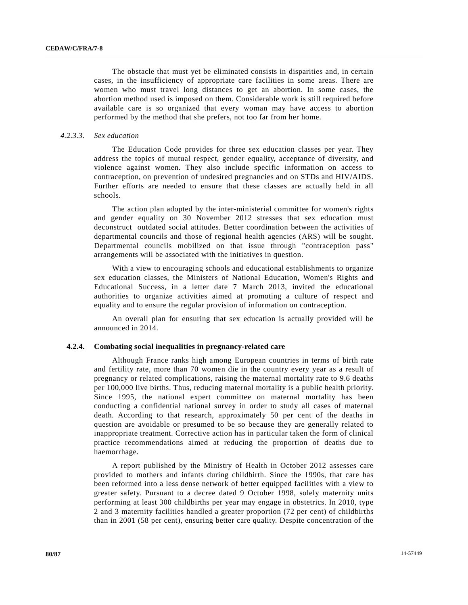The obstacle that must yet be eliminated consists in disparities and, in certain cases, in the insufficiency of appropriate care facilities in some areas. There are women who must travel long distances to get an abortion. In some cases, the abortion method used is imposed on them. Considerable work is still required before available care is so organized that every woman may have access to abortion performed by the method that she prefers, not too far from her home.

# *4.2.3.3. Sex education*

The Education Code provides for three sex education classes per year. They address the topics of mutual respect, gender equality, acceptance of diversity, and violence against women. They also include specific information on access to contraception, on prevention of undesired pregnancies and on STDs and HIV/AIDS. Further efforts are needed to ensure that these classes are actually held in all schools.

The action plan adopted by the inter-ministerial committee for women's rights and gender equality on 30 November 2012 stresses that sex education must deconstruct outdated social attitudes. Better coordination between the activities of departmental councils and those of regional health agencies (ARS) will be sought. Departmental councils mobilized on that issue through "contraception pass" arrangements will be associated with the initiatives in question.

With a view to encouraging schools and educational establishments to organize sex education classes, the Ministers of National Education, Women's Rights and Educational Success, in a letter date 7 March 2013, invited the educational authorities to organize activities aimed at promoting a culture of respect and equality and to ensure the regular provision of information on contraception.

An overall plan for ensuring that sex education is actually provided will be announced in 2014.

## **4.2.4. Combating social inequalities in pregnancy-related care**

Although France ranks high among European countries in terms of birth rate and fertility rate, more than 70 women die in the country every year as a result of pregnancy or related complications, raising the maternal mortality rate to 9.6 deaths per 100,000 live births. Thus, reducing maternal mortality is a public health priority. Since 1995, the national expert committee on maternal mortality has been conducting a confidential national survey in order to study all cases of maternal death. According to that research, approximately 50 per cent of the deaths in question are avoidable or presumed to be so because they are generally related to inappropriate treatment. Corrective action has in particular taken the form of clinical practice recommendations aimed at reducing the proportion of deaths due to haemorrhage.

A report published by the Ministry of Health in October 2012 assesses care provided to mothers and infants during childbirth. Since the 1990s, that care has been reformed into a less dense network of better equipped facilities with a view to greater safety. Pursuant to a decree dated 9 October 1998, solely maternity units performing at least 300 childbirths per year may engage in obstetrics. In 2010, type 2 and 3 maternity facilities handled a greater proportion (72 per cent) of childbirths than in 2001 (58 per cent), ensuring better care quality. Despite concentration of the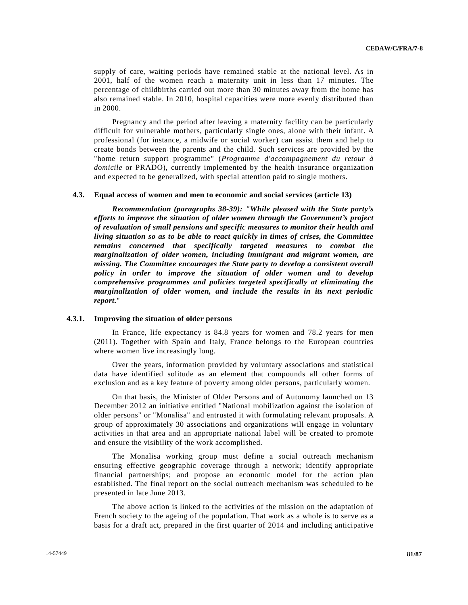supply of care, waiting periods have remained stable at the national level. As in 2001, half of the women reach a maternity unit in less than 17 minutes. The percentage of childbirths carried out more than 30 minutes away from the home has also remained stable. In 2010, hospital capacities were more evenly distributed than in 2000.

Pregnancy and the period after leaving a maternity facility can be particularly difficult for vulnerable mothers, particularly single ones, alone with their infant. A professional (for instance, a midwife or social worker) can assist them and help to create bonds between the parents and the child. Such services are provided by the "home return support programme" (*Programme d'accompagnement du retour à domicile* or PRADO), currently implemented by the health insurance organization and expected to be generalized, with special attention paid to single mothers.

#### **4.3. Equal access of women and men to economic and social services (article 13)**

*Recommendation (paragraphs 38-39): "While pleased with the State party's efforts to improve the situation of older women through the Government's project of revaluation of small pensions and specific measures to monitor their health and living situation so as to be able to react quickly in times of crises, the Committee remains concerned that specifically targeted measures to combat the marginalization of older women, including immigrant and migrant women, are missing. The Committee encourages the State party to develop a consistent overall policy in order to improve the situation of older women and to develop comprehensive programmes and policies targeted specifically at eliminating the marginalization of older women, and include the results in its next periodic report.*"

### **4.3.1. Improving the situation of older persons**

In France, life expectancy is 84.8 years for women and 78.2 years for men (2011). Together with Spain and Italy, France belongs to the European countries where women live increasingly long.

Over the years, information provided by voluntary associations and statistical data have identified solitude as an element that compounds all other forms of exclusion and as a key feature of poverty among older persons, particularly women.

On that basis, the Minister of Older Persons and of Autonomy launched on 13 December 2012 an initiative entitled "National mobilization against the isolation of older persons" or "Monalisa" and entrusted it with formulating relevant proposals. A group of approximately 30 associations and organizations will engage in voluntary activities in that area and an appropriate national label will be created to promote and ensure the visibility of the work accomplished.

The Monalisa working group must define a social outreach mechanism ensuring effective geographic coverage through a network; identify appropriate financial partnerships; and propose an economic model for the action plan established. The final report on the social outreach mechanism was scheduled to be presented in late June 2013.

The above action is linked to the activities of the mission on the adaptation of French society to the ageing of the population. That work as a whole is to serve as a basis for a draft act, prepared in the first quarter of 2014 and including anticipative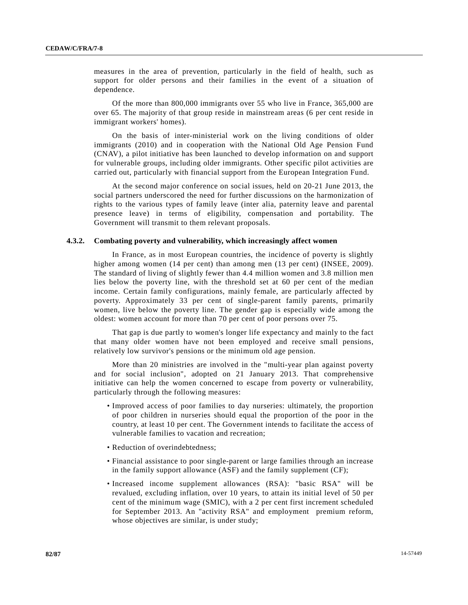measures in the area of prevention, particularly in the field of health, such as support for older persons and their families in the event of a situation of dependence.

Of the more than 800,000 immigrants over 55 who live in France, 365,000 are over 65. The majority of that group reside in mainstream areas (6 per cent reside in immigrant workers' homes).

On the basis of inter-ministerial work on the living conditions of older immigrants (2010) and in cooperation with the National Old Age Pension Fund (CNAV), a pilot initiative has been launched to develop information on and support for vulnerable groups, including older immigrants. Other specific pilot activities are carried out, particularly with financial support from the European Integration Fund.

At the second major conference on social issues, held on 20-21 June 2013, the social partners underscored the need for further discussions on the harmonization of rights to the various types of family leave (inter alia, paternity leave and parental presence leave) in terms of eligibility, compensation and portability. The Government will transmit to them relevant proposals.

## **4.3.2. Combating poverty and vulnerability, which increasingly affect women**

In France, as in most European countries, the incidence of poverty is slightly higher among women (14 per cent) than among men (13 per cent) (INSEE, 2009). The standard of living of slightly fewer than 4.4 million women and 3.8 million men lies below the poverty line, with the threshold set at 60 per cent of the median income. Certain family configurations, mainly female, are particularly affected by poverty. Approximately 33 per cent of single-parent family parents, primarily women, live below the poverty line. The gender gap is especially wide among the oldest: women account for more than 70 per cent of poor persons over 75.

That gap is due partly to women's longer life expectancy and mainly to the fact that many older women have not been employed and receive small pensions, relatively low survivor's pensions or the minimum old age pension.

More than 20 ministries are involved in the "multi-year plan against poverty and for social inclusion", adopted on 21 January 2013. That comprehensive initiative can help the women concerned to escape from poverty or vulnerability, particularly through the following measures:

- Improved access of poor families to day nurseries: ultimately, the proportion of poor children in nurseries should equal the proportion of the poor in the country, at least 10 per cent. The Government intends to facilitate the access of vulnerable families to vacation and recreation;
- Reduction of overindebtedness:
- Financial assistance to poor single-parent or large families through an increase in the family support allowance (ASF) and the family supplement (CF);
- Increased income supplement allowances (RSA): "basic RSA" will be revalued, excluding inflation, over 10 years, to attain its initial level of 50 per cent of the minimum wage (SMIC), with a 2 per cent first increment scheduled for September 2013. An "activity RSA" and employment premium reform, whose objectives are similar, is under study;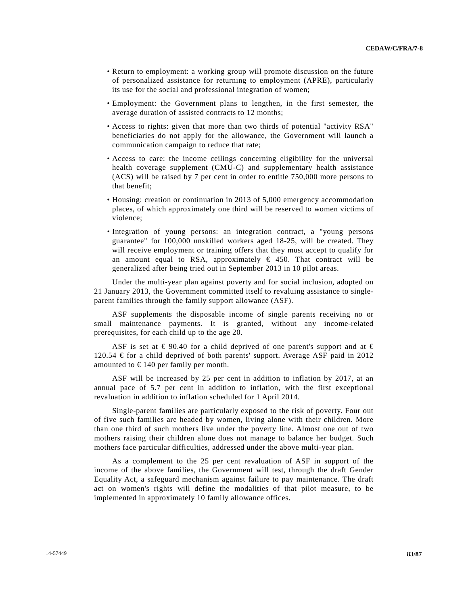- Return to employment: a working group will promote discussion on the future of personalized assistance for returning to employment (APRE), particularly its use for the social and professional integration of women;
- Employment: the Government plans to lengthen, in the first semester, the average duration of assisted contracts to 12 months;
- Access to rights: given that more than two thirds of potential "activity RSA" beneficiaries do not apply for the allowance, the Government will launch a communication campaign to reduce that rate;
- Access to care: the income ceilings concerning eligibility for the universal health coverage supplement (CMU-C) and supplementary health assistance (ACS) will be raised by 7 per cent in order to entitle 750,000 more persons to that benefit;
- Housing: creation or continuation in 2013 of 5,000 emergency accommodation places, of which approximately one third will be reserved to women victims of violence;
- Integration of young persons: an integration contract, a "young persons guarantee" for 100,000 unskilled workers aged 18-25, will be created. They will receive employment or training offers that they must accept to qualify for an amount equal to RSA, approximately  $\epsilon$  450. That contract will be generalized after being tried out in September 2013 in 10 pilot areas.

Under the multi-year plan against poverty and for social inclusion, adopted on 21 January 2013, the Government committed itself to revaluing assistance to singleparent families through the family support allowance (ASF).

ASF supplements the disposable income of single parents receiving no or small maintenance payments. It is granted, without any income-related prerequisites, for each child up to the age 20.

ASF is set at  $\epsilon$  90.40 for a child deprived of one parent's support and at  $\epsilon$ 120.54 € for a child deprived of both parents' support. Average ASF paid in 2012 amounted to  $\epsilon$ 140 per family per month.

ASF will be increased by 25 per cent in addition to inflation by 2017, at an annual pace of 5.7 per cent in addition to inflation, with the first exceptional revaluation in addition to inflation scheduled for 1 April 2014.

Single-parent families are particularly exposed to the risk of poverty. Four out of five such families are headed by women, living alone with their children. More than one third of such mothers live under the poverty line. Almost one out of two mothers raising their children alone does not manage to balance her budget. Such mothers face particular difficulties, addressed under the above multi-year plan.

As a complement to the 25 per cent revaluation of ASF in support of the income of the above families, the Government will test, through the draft Gender Equality Act, a safeguard mechanism against failure to pay maintenance. The draft act on women's rights will define the modalities of that pilot measure, to be implemented in approximately 10 family allowance offices.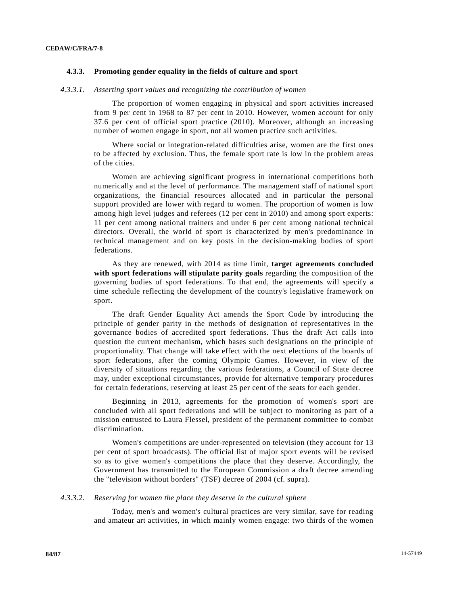# **4.3.3. Promoting gender equality in the fields of culture and sport**

#### *4.3.3.1. Asserting sport values and recognizing the contribution of women*

The proportion of women engaging in physical and sport activities increased from 9 per cent in 1968 to 87 per cent in 2010. However, women account for only 37.6 per cent of official sport practice (2010). Moreover, although an increasing number of women engage in sport, not all women practice such activities.

Where social or integration-related difficulties arise, women are the first ones to be affected by exclusion. Thus, the female sport rate is low in the problem areas of the cities.

Women are achieving significant progress in international competitions both numerically and at the level of performance. The management staff of national sport organizations, the financial resources allocated and in particular the personal support provided are lower with regard to women. The proportion of women is low among high level judges and referees (12 per cent in 2010) and among sport experts: 11 per cent among national trainers and under 6 per cent among national technical directors. Overall, the world of sport is characterized by men's predominance in technical management and on key posts in the decision-making bodies of sport federations.

As they are renewed, with 2014 as time limit, **target agreements concluded with sport federations will stipulate parity goals** regarding the composition of the governing bodies of sport federations. To that end, the agreements will specify a time schedule reflecting the development of the country's legislative framework on sport.

The draft Gender Equality Act amends the Sport Code by introducing the principle of gender parity in the methods of designation of representatives in the governance bodies of accredited sport federations. Thus the draft Act calls into question the current mechanism, which bases such designations on the principle of proportionality. That change will take effect with the next elections of the boards of sport federations, after the coming Olympic Games. However, in view of the diversity of situations regarding the various federations, a Council of State decree may, under exceptional circumstances, provide for alternative temporary procedures for certain federations, reserving at least 25 per cent of the seats for each gender.

Beginning in 2013, agreements for the promotion of women's sport are concluded with all sport federations and will be subject to monitoring as part of a mission entrusted to Laura Flessel, president of the permanent committee to combat discrimination.

Women's competitions are under-represented on television (they account for 13 per cent of sport broadcasts). The official list of major sport events will be revised so as to give women's competitions the place that they deserve. Accordingly, the Government has transmitted to the European Commission a draft decree amending the "television without borders" (TSF) decree of 2004 (cf. supra).

#### *4.3.3.2. Reserving for women the place they deserve in the cultural sphere*

Today, men's and women's cultural practices are very similar, save for reading and amateur art activities, in which mainly women engage: two thirds of the women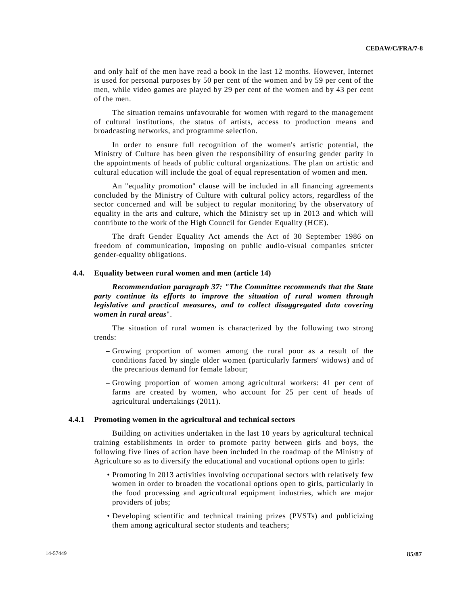and only half of the men have read a book in the last 12 months. However, Internet is used for personal purposes by 50 per cent of the women and by 59 per cent of the men, while video games are played by 29 per cent of the women and by 43 per cent of the men.

The situation remains unfavourable for women with regard to the management of cultural institutions, the status of artists, access to production means and broadcasting networks, and programme selection.

In order to ensure full recognition of the women's artistic potential, the Ministry of Culture has been given the responsibility of ensuring gender parity in the appointments of heads of public cultural organizations. The plan on artistic and cultural education will include the goal of equal representation of women and men.

An "equality promotion" clause will be included in all financing agreements concluded by the Ministry of Culture with cultural policy actors, regardless of the sector concerned and will be subject to regular monitoring by the observatory of equality in the arts and culture, which the Ministry set up in 2013 and which will contribute to the work of the High Council for Gender Equality (HCE).

The draft Gender Equality Act amends the Act of 30 September 1986 on freedom of communication, imposing on public audio-visual companies stricter gender-equality obligations.

# **4.4. Equality between rural women and men (article 14)**

*Recommendation paragraph 37: "The Committee recommends that the State party continue its efforts to improve the situation of rural women through legislative and practical measures, and to collect disaggregated data covering women in rural areas*".

The situation of rural women is characterized by the following two strong trends:

- Growing proportion of women among the rural poor as a result of the conditions faced by single older women (particularly farmers' widows) and of the precarious demand for female labour;
- Growing proportion of women among agricultural workers: 41 per cent of farms are created by women, who account for 25 per cent of heads of agricultural undertakings (2011).

#### **4.4.1 Promoting women in the agricultural and technical sectors**

Building on activities undertaken in the last 10 years by agricultural technical training establishments in order to promote parity between girls and boys, the following five lines of action have been included in the roadmap of the Ministry of Agriculture so as to diversify the educational and vocational options open to girls:

- Promoting in 2013 activities involving occupational sectors with relatively few women in order to broaden the vocational options open to girls, particularly in the food processing and agricultural equipment industries, which are major providers of jobs;
- Developing scientific and technical training prizes (PVSTs) and publicizing them among agricultural sector students and teachers;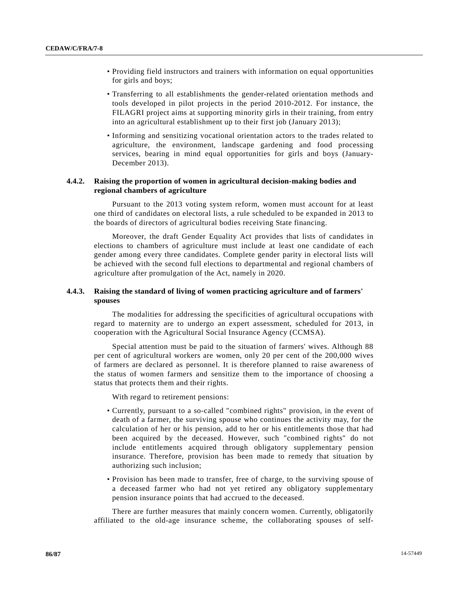- Providing field instructors and trainers with information on equal opportunities for girls and boys;
- Transferring to all establishments the gender-related orientation methods and tools developed in pilot projects in the period 2010-2012. For instance, the FILAGRI project aims at supporting minority girls in their training, from entry into an agricultural establishment up to their first job (January 2013);
- Informing and sensitizing vocational orientation actors to the trades related to agriculture, the environment, landscape gardening and food processing services, bearing in mind equal opportunities for girls and boys (January-December 2013).

# **4.4.2. Raising the proportion of women in agricultural decision-making bodies and regional chambers of agriculture**

Pursuant to the 2013 voting system reform, women must account for at least one third of candidates on electoral lists, a rule scheduled to be expanded in 2013 to the boards of directors of agricultural bodies receiving State financing.

Moreover, the draft Gender Equality Act provides that lists of candidates in elections to chambers of agriculture must include at least one candidate of each gender among every three candidates. Complete gender parity in electoral lists will be achieved with the second full elections to departmental and regional chambers of agriculture after promulgation of the Act, namely in 2020.

# **4.4.3. Raising the standard of living of women practicing agriculture and of farmers' spouses**

The modalities for addressing the specificities of agricultural occupations with regard to maternity are to undergo an expert assessment, scheduled for 2013, in cooperation with the Agricultural Social Insurance Agency (CCMSA).

Special attention must be paid to the situation of farmers' wives. Although 88 per cent of agricultural workers are women, only 20 per cent of the 200,000 wives of farmers are declared as personnel. It is therefore planned to raise awareness of the status of women farmers and sensitize them to the importance of choosing a status that protects them and their rights.

With regard to retirement pensions:

- Currently, pursuant to a so-called "combined rights" provision, in the event of death of a farmer, the surviving spouse who continues the activity may, for the calculation of her or his pension, add to her or his entitlements those that had been acquired by the deceased. However, such "combined rights" do not include entitlements acquired through obligatory supplementary pension insurance. Therefore, provision has been made to remedy that situation by authorizing such inclusion;
- Provision has been made to transfer, free of charge, to the surviving spouse of a deceased farmer who had not yet retired any obligatory supplementary pension insurance points that had accrued to the deceased.

There are further measures that mainly concern women. Currently, obligatorily affiliated to the old-age insurance scheme, the collaborating spouses of self